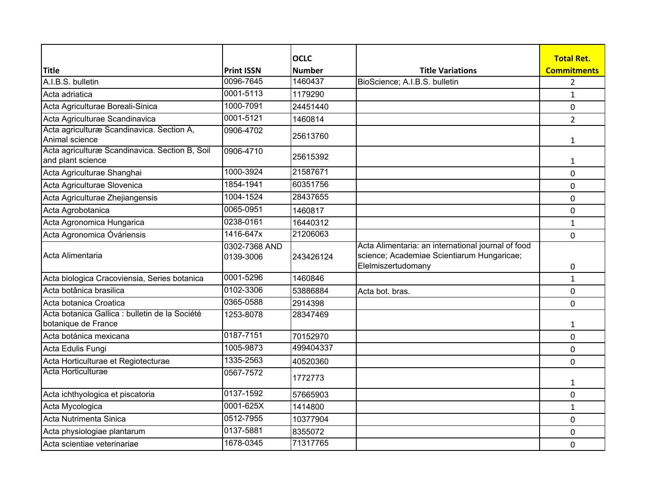|                                                                       |                            | <b>OCLC</b>   |                                                                                                                        | <b>Total Ret.</b>  |
|-----------------------------------------------------------------------|----------------------------|---------------|------------------------------------------------------------------------------------------------------------------------|--------------------|
| <b>Title</b>                                                          | <b>Print ISSN</b>          | <b>Number</b> | <b>Title Variations</b>                                                                                                | <b>Commitments</b> |
| A.I.B.S. bulletin                                                     | 0096-7645                  | 1460437       | BioScience; A.I.B.S. bulletin                                                                                          | 2                  |
| Acta adriatica                                                        | 0001-5113                  | 1179290       |                                                                                                                        | $\mathbf{1}$       |
| Acta Agriculturae Boreali-Sinica                                      | 1000-7091                  | 24451440      |                                                                                                                        | 0                  |
| Acta Agriculturae Scandinavica                                        | 0001-5121                  | 1460814       |                                                                                                                        | $\overline{2}$     |
| Acta agriculturæ Scandinavica. Section A,<br>Animal science           | 0906-4702                  | 25613760      |                                                                                                                        | 1                  |
| Acta agriculturæ Scandinavica. Section B, Soil<br>and plant science   | 0906-4710                  | 25615392      |                                                                                                                        | 1                  |
| Acta Agriculturae Shanghai                                            | 1000-3924                  | 21587671      |                                                                                                                        | 0                  |
| Acta Agriculturae Slovenica                                           | 1854-1941                  | 60351756      |                                                                                                                        | $\mathbf 0$        |
| Acta Agriculturae Zhejiangensis                                       | 1004-1524                  | 28437655      |                                                                                                                        | $\mathbf 0$        |
| Acta Agrobotanica                                                     | 0065-0951                  | 1460817       |                                                                                                                        | 0                  |
| Acta Agronomica Hungarica                                             | 0238-0161                  | 16440312      |                                                                                                                        | $\mathbf{1}$       |
| Acta Agronomica Óváriensis                                            | 1416-647x                  | 21206063      |                                                                                                                        | 0                  |
| Acta Alimentaria                                                      | 0302-7368 AND<br>0139-3006 | 243426124     | Acta Alimentaria: an international journal of food<br>science; Academiae Scientiarum Hungaricae;<br>Elelmiszertudomany | 0                  |
| Acta biologica Cracoviensia, Series botanica                          | 0001-5296                  | 1460846       |                                                                                                                        | $\mathbf{1}$       |
| Acta botânica brasilica                                               | 0102-3306                  | 53886884      | Acta bot. bras.                                                                                                        | $\mathbf 0$        |
| Acta botanica Croatica                                                | 0365-0588                  | 2914398       |                                                                                                                        | 0                  |
| Acta botanica Gallica : bulletin de la Société<br>botanique de France | 1253-8078                  | 28347469      |                                                                                                                        | 1                  |
| Acta botánica mexicana                                                | 0187-7151                  | 70152970      |                                                                                                                        | $\mathbf 0$        |
| Acta Edulis Fungi                                                     | 1005-9873                  | 499404337     |                                                                                                                        | $\mathbf 0$        |
| Acta Horticulturae et Regiotecturae                                   | 1335-2563                  | 40520360      |                                                                                                                        | $\mathbf 0$        |
| Acta Horticulturae                                                    | 0567-7572                  | 1772773       |                                                                                                                        | 1                  |
| Acta ichthyologica et piscatoria                                      | 0137-1592                  | 57665903      |                                                                                                                        | 0                  |
| Acta Mycologica                                                       | 0001-625X                  | 1414800       |                                                                                                                        | $\mathbf{1}$       |
| Acta Nutrimenta Sinica                                                | 0512-7955                  | 10377904      |                                                                                                                        | 0                  |
| Acta physiologiae plantarum                                           | 0137-5881                  | 8355072       |                                                                                                                        | 0                  |
| Acta scientiae veterinariae                                           | 1678-0345                  | 71317765      |                                                                                                                        | 0                  |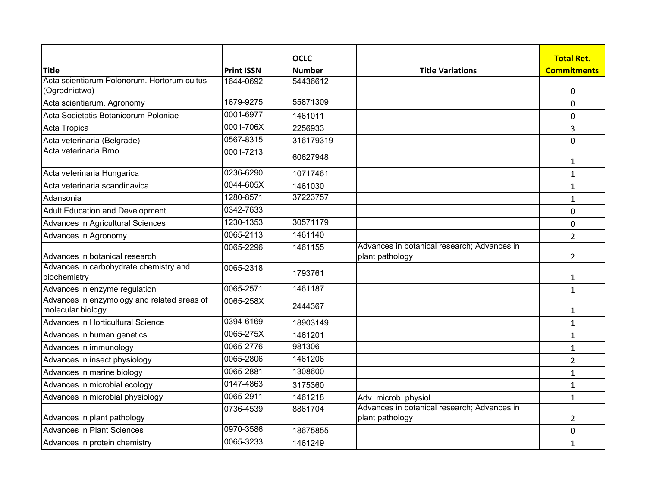|                                                                  |                                | <b>OCLC</b>   |                                                                | <b>Total Ret.</b>  |
|------------------------------------------------------------------|--------------------------------|---------------|----------------------------------------------------------------|--------------------|
| <b>Title</b><br>Acta scientiarum Polonorum. Hortorum cultus      | <b>Print ISSN</b><br>1644-0692 | <b>Number</b> | <b>Title Variations</b>                                        | <b>Commitments</b> |
| (Ogrodnictwo)                                                    |                                | 54436612      |                                                                | 0                  |
| Acta scientiarum. Agronomy                                       | 1679-9275                      | 55871309      |                                                                | $\overline{0}$     |
| Acta Societatis Botanicorum Poloniae                             | 0001-6977                      | 1461011       |                                                                | 0                  |
| Acta Tropica                                                     | 0001-706X                      | 2256933       |                                                                | 3                  |
| Acta veterinaria (Belgrade)                                      | 0567-8315                      | 316179319     |                                                                | 0                  |
| Acta veterinaria Brno                                            | 0001-7213                      | 60627948      |                                                                | 1                  |
| Acta veterinaria Hungarica                                       | 0236-6290                      | 10717461      |                                                                | $\mathbf{1}$       |
| Acta veterinaria scandinavica.                                   | 0044-605X                      | 1461030       |                                                                | 1                  |
| Adansonia                                                        | 1280-8571                      | 37223757      |                                                                | 1                  |
| <b>Adult Education and Development</b>                           | 0342-7633                      |               |                                                                | 0                  |
| Advances in Agricultural Sciences                                | 1230-1353                      | 30571179      |                                                                | 0                  |
| Advances in Agronomy                                             | 0065-2113                      | 1461140       |                                                                | $\overline{2}$     |
| Advances in botanical research                                   | 0065-2296                      | 1461155       | Advances in botanical research; Advances in<br>plant pathology | $\overline{2}$     |
| Advances in carbohydrate chemistry and<br>biochemistry           | 0065-2318                      | 1793761       |                                                                | 1                  |
| Advances in enzyme regulation                                    | 0065-2571                      | 1461187       |                                                                | $\mathbf{1}$       |
| Advances in enzymology and related areas of<br>molecular biology | 0065-258X                      | 2444367       |                                                                | 1                  |
| Advances in Horticultural Science                                | 0394-6169                      | 18903149      |                                                                | $\mathbf{1}$       |
| Advances in human genetics                                       | 0065-275X                      | 1461201       |                                                                | 1                  |
| Advances in immunology                                           | 0065-2776                      | 981306        |                                                                | $\mathbf{1}$       |
| Advances in insect physiology                                    | 0065-2806                      | 1461206       |                                                                | $\overline{2}$     |
| Advances in marine biology                                       | 0065-2881                      | 1308600       |                                                                | $\mathbf{1}$       |
| Advances in microbial ecology                                    | 0147-4863                      | 3175360       |                                                                | $\mathbf{1}$       |
| Advances in microbial physiology                                 | 0065-2911                      | 1461218       | Adv. microb. physiol                                           | $\mathbf{1}$       |
| Advances in plant pathology                                      | 0736-4539                      | 8861704       | Advances in botanical research; Advances in<br>plant pathology | $\overline{2}$     |
| <b>Advances in Plant Sciences</b>                                | 0970-3586                      | 18675855      |                                                                | 0                  |
| Advances in protein chemistry                                    | 0065-3233                      | 1461249       |                                                                | $\mathbf{1}$       |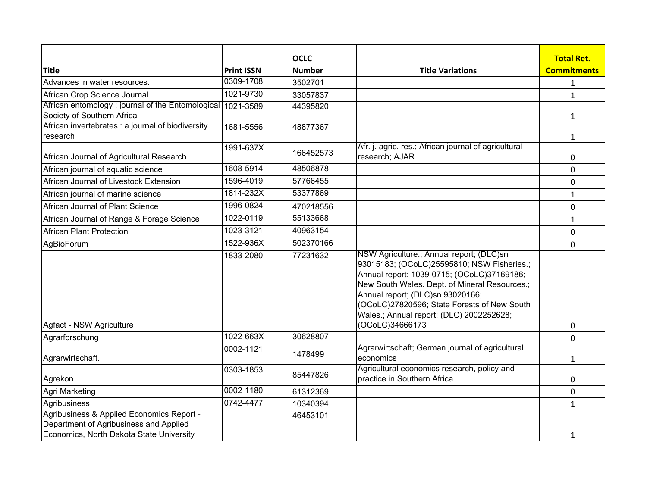|                                                                                                                                 |                   | <b>OCLC</b>   |                                                                                                                                                                                                                                                                                                                                         | <b>Total Ret.</b>  |
|---------------------------------------------------------------------------------------------------------------------------------|-------------------|---------------|-----------------------------------------------------------------------------------------------------------------------------------------------------------------------------------------------------------------------------------------------------------------------------------------------------------------------------------------|--------------------|
| <b>Title</b>                                                                                                                    | <b>Print ISSN</b> | <b>Number</b> | <b>Title Variations</b>                                                                                                                                                                                                                                                                                                                 | <b>Commitments</b> |
| Advances in water resources.                                                                                                    | 0309-1708         | 3502701       |                                                                                                                                                                                                                                                                                                                                         | $\mathbf{1}$       |
| African Crop Science Journal                                                                                                    | 1021-9730         | 33057837      |                                                                                                                                                                                                                                                                                                                                         | $\mathbf{1}$       |
| African entomology : journal of the Entomological   1021-3589<br>Society of Southern Africa                                     |                   | 44395820      |                                                                                                                                                                                                                                                                                                                                         | 1                  |
| African invertebrates : a journal of biodiversity<br>research                                                                   | 1681-5556         | 48877367      |                                                                                                                                                                                                                                                                                                                                         | $\mathbf{1}$       |
| African Journal of Agricultural Research                                                                                        | 1991-637X         | 166452573     | Afr. j. agric. res.; African journal of agricultural<br>research; AJAR                                                                                                                                                                                                                                                                  | 0                  |
| African journal of aquatic science                                                                                              | 1608-5914         | 48506878      |                                                                                                                                                                                                                                                                                                                                         | $\mathbf{0}$       |
| African Journal of Livestock Extension                                                                                          | 1596-4019         | 57766455      |                                                                                                                                                                                                                                                                                                                                         | $\mathbf 0$        |
| African journal of marine science                                                                                               | 1814-232X         | 53377869      |                                                                                                                                                                                                                                                                                                                                         | $\mathbf{1}$       |
| African Journal of Plant Science                                                                                                | 1996-0824         | 470218556     |                                                                                                                                                                                                                                                                                                                                         | 0                  |
| African Journal of Range & Forage Science                                                                                       | 1022-0119         | 55133668      |                                                                                                                                                                                                                                                                                                                                         | $\mathbf{1}$       |
| <b>African Plant Protection</b>                                                                                                 | 1023-3121         | 40963154      |                                                                                                                                                                                                                                                                                                                                         | 0                  |
| AgBioForum                                                                                                                      | 1522-936X         | 502370166     |                                                                                                                                                                                                                                                                                                                                         | 0                  |
| Agfact - NSW Agriculture                                                                                                        | 1833-2080         | 77231632      | NSW Agriculture.; Annual report; (DLC)sn<br>93015183; (OCoLC)25595810; NSW Fisheries.;<br>Annual report; 1039-0715; (OCoLC)37169186;<br>New South Wales. Dept. of Mineral Resources.;<br>Annual report; (DLC)sn 93020166;<br>(OCoLC)27820596; State Forests of New South<br>Wales.; Annual report; (DLC) 2002252628;<br>(OCoLC)34666173 | 0                  |
| Agrarforschung                                                                                                                  | 1022-663X         | 30628807      |                                                                                                                                                                                                                                                                                                                                         | 0                  |
| Agrarwirtschaft.                                                                                                                | 0002-1121         | 1478499       | Agrarwirtschaft; German journal of agricultural<br>economics                                                                                                                                                                                                                                                                            | $\mathbf{1}$       |
| Agrekon                                                                                                                         | 0303-1853         | 85447826      | Agricultural economics research, policy and<br>practice in Southern Africa                                                                                                                                                                                                                                                              | 0                  |
| Agri Marketing                                                                                                                  | 0002-1180         | 61312369      |                                                                                                                                                                                                                                                                                                                                         | 0                  |
| Agribusiness                                                                                                                    | 0742-4477         | 10340394      |                                                                                                                                                                                                                                                                                                                                         | $\mathbf{1}$       |
| Agribusiness & Applied Economics Report -<br>Department of Agribusiness and Applied<br>Economics, North Dakota State University |                   | 46453101      |                                                                                                                                                                                                                                                                                                                                         | $\mathbf{1}$       |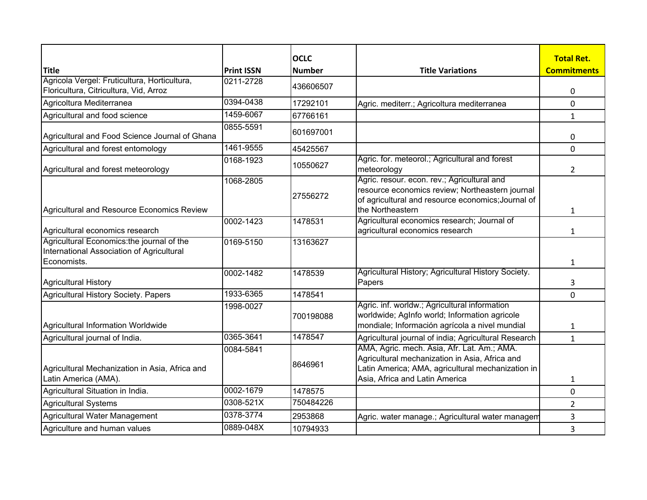|                                                                                         |                   | <b>OCLC</b>   |                                                                                                                                                                                      | <b>Total Ret.</b>  |
|-----------------------------------------------------------------------------------------|-------------------|---------------|--------------------------------------------------------------------------------------------------------------------------------------------------------------------------------------|--------------------|
| <b>Title</b><br>Agricola Vergel: Fruticultura, Horticultura,                            | <b>Print ISSN</b> | <b>Number</b> | <b>Title Variations</b>                                                                                                                                                              | <b>Commitments</b> |
| Floricultura, Citricultura, Vid, Arroz                                                  | 0211-2728         | 436606507     |                                                                                                                                                                                      | 0                  |
| Agricoltura Mediterranea                                                                | 0394-0438         | 17292101      | Agric. mediterr.; Agricoltura mediterranea                                                                                                                                           | 0                  |
| Agricultural and food science                                                           | 1459-6067         | 67766161      |                                                                                                                                                                                      | $\mathbf{1}$       |
| Agricultural and Food Science Journal of Ghana                                          | 0855-5591         | 601697001     |                                                                                                                                                                                      | 0                  |
| Agricultural and forest entomology                                                      | 1461-9555         | 45425567      |                                                                                                                                                                                      | $\mathbf 0$        |
| Agricultural and forest meteorology                                                     | 0168-1923         | 10550627      | Agric. for. meteorol.; Agricultural and forest<br>meteorology                                                                                                                        | $\overline{2}$     |
| Agricultural and Resource Economics Review                                              | 1068-2805         | 27556272      | Agric. resour. econ. rev.; Agricultural and<br>resource economics review; Northeastern journal<br>of agricultural and resource economics; Journal of<br>the Northeastern             |                    |
|                                                                                         | 0002-1423         | 1478531       | Agricultural economics research; Journal of                                                                                                                                          | 1                  |
| Agricultural economics research                                                         |                   |               | agricultural economics research                                                                                                                                                      | $\mathbf{1}$       |
| Agricultural Economics: the journal of the<br>International Association of Agricultural | 0169-5150         | 13163627      |                                                                                                                                                                                      |                    |
| Economists.                                                                             |                   |               |                                                                                                                                                                                      | $\mathbf{1}$       |
| <b>Agricultural History</b>                                                             | 0002-1482         | 1478539       | Agricultural History; Agricultural History Society.<br>Papers                                                                                                                        | 3                  |
| Agricultural History Society. Papers                                                    | 1933-6365         | 1478541       |                                                                                                                                                                                      | 0                  |
| Agricultural Information Worldwide                                                      | 1998-0027         | 700198088     | Agric. inf. worldw.; Agricultural information<br>worldwide; AgInfo world; Information agricole<br>mondiale; Información agrícola a nivel mundial                                     | 1                  |
| Agricultural journal of India.                                                          | 0365-3641         | 1478547       | Agricultural journal of india; Agricultural Research                                                                                                                                 | 1                  |
| Agricultural Mechanization in Asia, Africa and<br>Latin America (AMA).                  | 0084-5841         | 8646961       | AMA, Agric. mech. Asia, Afr. Lat. Am.; AMA.<br>Agricultural mechanization in Asia, Africa and<br>Latin America; AMA, agricultural mechanization in<br>Asia, Africa and Latin America | $\mathbf{1}$       |
| Agricultural Situation in India.                                                        | 0002-1679         | 1478575       |                                                                                                                                                                                      | 0                  |
| Agricultural Systems                                                                    | 0308-521X         | 750484226     |                                                                                                                                                                                      | 2                  |
| Agricultural Water Management                                                           | 0378-3774         | 2953868       | Agric. water manage.; Agricultural water managem                                                                                                                                     | 3                  |
| Agriculture and human values                                                            | 0889-048X         | 10794933      |                                                                                                                                                                                      | 3                  |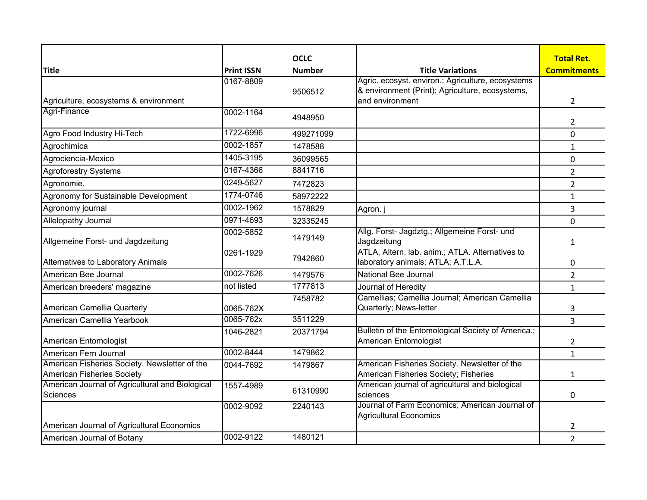|                                                       |                   | <b>OCLC</b>   |                                                                                       | <b>Total Ret.</b>  |
|-------------------------------------------------------|-------------------|---------------|---------------------------------------------------------------------------------------|--------------------|
| <b>Title</b>                                          | <b>Print ISSN</b> | <b>Number</b> | <b>Title Variations</b>                                                               | <b>Commitments</b> |
|                                                       | 0167-8809         |               | Agric. ecosyst. environ.; Agriculture, ecosystems                                     |                    |
|                                                       |                   | 9506512       | & environment (Print); Agriculture, ecosystems,<br>and environment                    |                    |
| Agriculture, ecosystems & environment<br>Agri-Finance |                   |               |                                                                                       | $\overline{2}$     |
|                                                       | 0002-1164         | 4948950       |                                                                                       | 2                  |
| Agro Food Industry Hi-Tech                            | 1722-6996         | 499271099     |                                                                                       | 0                  |
| Agrochimica                                           | 0002-1857         | 1478588       |                                                                                       | $\mathbf{1}$       |
| Agrociencia-Mexico                                    | 1405-3195         | 36099565      |                                                                                       | $\mathbf 0$        |
| <b>Agroforestry Systems</b>                           | 0167-4366         | 8841716       |                                                                                       | $\overline{2}$     |
| Agronomie.                                            | 0249-5627         | 7472823       |                                                                                       | $\overline{2}$     |
| Agronomy for Sustainable Development                  | 1774-0746         | 58972222      |                                                                                       | $\mathbf{1}$       |
| Agronomy journal                                      | 0002-1962         | 1578829       | Agron. j                                                                              | 3                  |
| Allelopathy Journal                                   | 0971-4693         | 32335245      |                                                                                       | 0                  |
| Allgemeine Forst- und Jagdzeitung                     | 0002-5852         | 1479149       | Allg. Forst- Jagdztg.; Allgemeine Forst- und<br>Jagdzeitung                           | 1                  |
| Alternatives to Laboratory Animals                    | 0261-1929         | 7942860       | ATLA, Altern. lab. anim.; ATLA. Alternatives to<br>laboratory animals; ATLA; A.T.L.A. | 0                  |
| American Bee Journal                                  | 0002-7626         | 1479576       | National Bee Journal                                                                  | $\overline{2}$     |
| American breeders' magazine                           | not listed        | 1777813       | Journal of Heredity                                                                   | $\mathbf{1}$       |
|                                                       |                   | 7458782       | Camellias; Camellia Journal; American Camellia                                        |                    |
| American Camellia Quarterly                           | 0065-762X         |               | Quarterly; News-letter                                                                | 3                  |
| American Camellia Yearbook                            | 0065-762x         | 3511229       |                                                                                       | 3                  |
| American Entomologist                                 | 1046-2821         | 20371794      | Bulletin of the Entomological Society of America.;<br>American Entomologist           | $\overline{2}$     |
| American Fern Journal                                 | 0002-8444         | 1479862       |                                                                                       | $\mathbf{1}$       |
| American Fisheries Society. Newsletter of the         | 0044-7692         | 1479867       | American Fisheries Society. Newsletter of the                                         |                    |
| American Fisheries Society                            |                   |               | American Fisheries Society; Fisheries                                                 | 1                  |
| American Journal of Agricultural and Biological       | 1557-4989         |               | American journal of agricultural and biological                                       |                    |
| Sciences                                              |                   | 61310990      | sciences                                                                              | 0                  |
|                                                       | 0002-9092         | 2240143       | Journal of Farm Economics; American Journal of                                        |                    |
| American Journal of Agricultural Economics            |                   |               | <b>Agricultural Economics</b>                                                         | 2                  |
| American Journal of Botany                            | 0002-9122         | 1480121       |                                                                                       | $\overline{2}$     |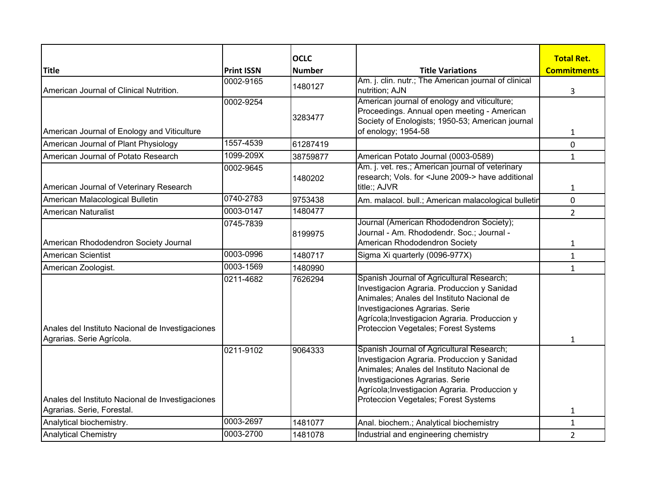|                                                                                |                   | <b>OCLC</b>   |                                                                                                                                                                                                                                                                    | <b>Total Ret.</b>  |
|--------------------------------------------------------------------------------|-------------------|---------------|--------------------------------------------------------------------------------------------------------------------------------------------------------------------------------------------------------------------------------------------------------------------|--------------------|
| <b>Title</b>                                                                   | <b>Print ISSN</b> | <b>Number</b> | <b>Title Variations</b>                                                                                                                                                                                                                                            | <b>Commitments</b> |
| American Journal of Clinical Nutrition.                                        | 0002-9165         | 1480127       | Am. j. clin. nutr.; The American journal of clinical<br>nutrition; AJN                                                                                                                                                                                             | 3                  |
| American Journal of Enology and Viticulture                                    | 0002-9254         | 3283477       | American journal of enology and viticulture;<br>Proceedings. Annual open meeting - American<br>Society of Enologists; 1950-53; American journal<br>of enology; 1954-58                                                                                             | 1                  |
| American Journal of Plant Physiology                                           | 1557-4539         | 61287419      |                                                                                                                                                                                                                                                                    | 0                  |
| American Journal of Potato Research                                            | 1099-209X         | 38759877      | American Potato Journal (0003-0589)                                                                                                                                                                                                                                | $\mathbf{1}$       |
| American Journal of Veterinary Research                                        | 0002-9645         | 1480202       | Am. j. vet. res.; American journal of veterinary<br>research; Vols. for <june 2009-=""> have additional<br/>title:; AJVR</june>                                                                                                                                    | 1                  |
| American Malacological Bulletin                                                | 0740-2783         | 9753438       | Am. malacol. bull.; American malacological bulletin                                                                                                                                                                                                                | 0                  |
| <b>American Naturalist</b>                                                     | 0003-0147         | 1480477       |                                                                                                                                                                                                                                                                    | $\overline{2}$     |
| American Rhododendron Society Journal                                          | 0745-7839         | 8199975       | Journal (American Rhododendron Society);<br>Journal - Am. Rhododendr. Soc.; Journal -<br>American Rhododendron Society                                                                                                                                             | 1                  |
| <b>American Scientist</b>                                                      | 0003-0996         | 1480717       | Sigma Xi quarterly (0096-977X)                                                                                                                                                                                                                                     | $\mathbf{1}$       |
| American Zoologist.                                                            | 0003-1569         | 1480990       |                                                                                                                                                                                                                                                                    | $\mathbf{1}$       |
| Anales del Instituto Nacional de Investigaciones<br>Agrarias. Serie Agrícola.  | 0211-4682         | 7626294       | Spanish Journal of Agricultural Research;<br>Investigacion Agraria. Produccion y Sanidad<br>Animales; Anales del Instituto Nacional de<br>Investigaciones Agrarias. Serie<br>Agrícola; Investigacion Agraria. Produccion y<br>Proteccion Vegetales; Forest Systems | $\mathbf{1}$       |
| Anales del Instituto Nacional de Investigaciones<br>Agrarias. Serie, Forestal. | 0211-9102         | 9064333       | Spanish Journal of Agricultural Research;<br>Investigacion Agraria. Produccion y Sanidad<br>Animales; Anales del Instituto Nacional de<br>Investigaciones Agrarias. Serie<br>Agrícola; Investigacion Agraria. Produccion y<br>Proteccion Vegetales; Forest Systems | $\mathbf{1}$       |
| Analytical biochemistry.                                                       | 0003-2697         | 1481077       | Anal. biochem.; Analytical biochemistry                                                                                                                                                                                                                            | $\mathbf{1}$       |
| <b>Analytical Chemistry</b>                                                    | 0003-2700         | 1481078       | Industrial and engineering chemistry                                                                                                                                                                                                                               | $\overline{2}$     |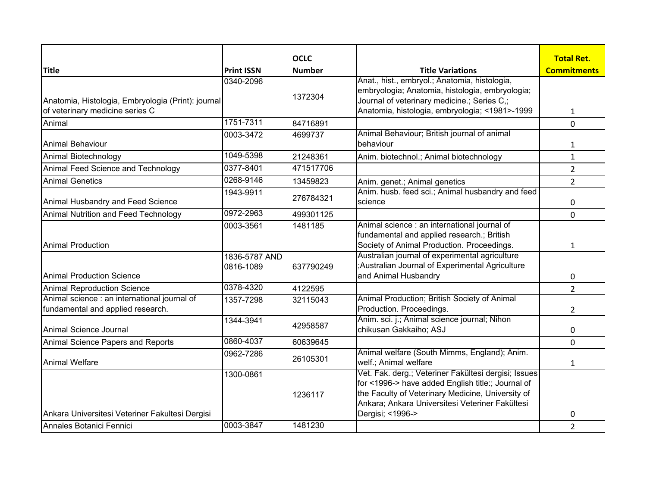|                                                                                       |                            | <b>OCLC</b>        |                                                                                                                                                                                                                                       | <b>Total Ret.</b>  |
|---------------------------------------------------------------------------------------|----------------------------|--------------------|---------------------------------------------------------------------------------------------------------------------------------------------------------------------------------------------------------------------------------------|--------------------|
| <b>Title</b>                                                                          | <b>Print ISSN</b>          | <b>Number</b>      | <b>Title Variations</b>                                                                                                                                                                                                               | <b>Commitments</b> |
| Anatomia, Histologia, Embryologia (Print): journal<br>of veterinary medicine series C | 0340-2096                  | 1372304            | Anat., hist., embryol.; Anatomia, histologia,<br>embryologia; Anatomia, histologia, embryologia;<br>Journal of veterinary medicine.; Series C,;<br>Anatomia, histologia, embryologia; <1981>-1999                                     | $\mathbf{1}$       |
| Animal                                                                                | 1751-7311                  | 84716891           |                                                                                                                                                                                                                                       | 0                  |
| Animal Behaviour                                                                      | 0003-3472                  | 4699737            | Animal Behaviour; British journal of animal<br>behaviour                                                                                                                                                                              | 1                  |
| Animal Biotechnology                                                                  | 1049-5398                  | 21248361           | Anim. biotechnol.; Animal biotechnology                                                                                                                                                                                               | $\mathbf{1}$       |
| Animal Feed Science and Technology                                                    | 0377-8401                  | 471517706          |                                                                                                                                                                                                                                       | $\overline{2}$     |
| <b>Animal Genetics</b>                                                                | 0268-9146                  | 13459823           | Anim. genet.; Animal genetics                                                                                                                                                                                                         | $\overline{2}$     |
| Animal Husbandry and Feed Science                                                     | 1943-9911                  | 276784321          | Anim. husb. feed sci.; Animal husbandry and feed<br>science                                                                                                                                                                           | 0                  |
| Animal Nutrition and Feed Technology                                                  | 0972-2963                  | 499301125          |                                                                                                                                                                                                                                       | 0                  |
| Animal Production                                                                     | 0003-3561                  | 1481185            | Animal science : an international journal of<br>fundamental and applied research.; British<br>Society of Animal Production. Proceedings.                                                                                              | $\mathbf{1}$       |
| Animal Production Science                                                             | 1836-5787 AND<br>0816-1089 | 637790249          | Australian journal of experimental agriculture<br>;Australian Journal of Experimental Agriculture<br>and Animal Husbandry                                                                                                             | 0                  |
| <b>Animal Reproduction Science</b>                                                    | 0378-4320                  | 4122595            |                                                                                                                                                                                                                                       | $\overline{2}$     |
| Animal science : an international journal of<br>fundamental and applied research.     | 1357-7298                  | 32115043           | Animal Production; British Society of Animal<br>Production. Proceedings.                                                                                                                                                              | $\overline{2}$     |
| Animal Science Journal                                                                | 1344-3941                  | 42958587           | Anim. sci. j.; Animal science journal; Nihon<br>chikusan Gakkaiho; ASJ                                                                                                                                                                | 0                  |
| Animal Science Papers and Reports                                                     | 0860-4037                  | 60639645           |                                                                                                                                                                                                                                       | 0                  |
| Animal Welfare                                                                        | 0962-7286                  | 26105301           | Animal welfare (South Mimms, England); Anim.<br>welf.; Animal welfare                                                                                                                                                                 | 1                  |
| Ankara Universitesi Veteriner Fakultesi Dergisi                                       | 1300-0861                  | 1236117<br>1481230 | Vet. Fak. derg.; Veteriner Fakültesi dergisi; Issues<br>for <1996-> have added English title:; Journal of<br>the Faculty of Veterinary Medicine, University of<br>Ankara; Ankara Universitesi Veteriner Fakültesi<br>Dergisi; <1996-> | 0                  |
| Annales Botanici Fennici                                                              | 0003-3847                  |                    |                                                                                                                                                                                                                                       | $\overline{2}$     |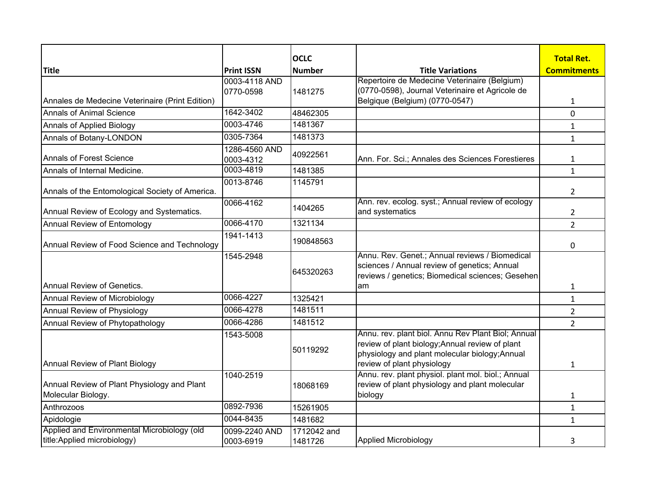|                                                                             |                            | <b>OCLC</b>            |                                                                                                                                                                                       | <b>Total Ret.</b>  |
|-----------------------------------------------------------------------------|----------------------------|------------------------|---------------------------------------------------------------------------------------------------------------------------------------------------------------------------------------|--------------------|
| <b>Title</b>                                                                | <b>Print ISSN</b>          | <b>Number</b>          | <b>Title Variations</b><br>Repertoire de Medecine Veterinaire (Belgium)                                                                                                               | <b>Commitments</b> |
|                                                                             | 0003-4118 AND<br>0770-0598 | 1481275                | (0770-0598), Journal Veterinaire et Agricole de                                                                                                                                       |                    |
| Annales de Medecine Veterinaire (Print Edition)                             |                            |                        | Belgique (Belgium) (0770-0547)                                                                                                                                                        | 1                  |
| <b>Annals of Animal Science</b>                                             | 1642-3402                  | 48462305               |                                                                                                                                                                                       | 0                  |
| Annals of Applied Biology                                                   | 0003-4746                  | 1481367                |                                                                                                                                                                                       | $\mathbf{1}$       |
| Annals of Botany-LONDON                                                     | 0305-7364                  | 1481373                |                                                                                                                                                                                       | $\mathbf{1}$       |
| Annals of Forest Science                                                    | 1286-4560 AND<br>0003-4312 | 40922561               | Ann. For. Sci.; Annales des Sciences Forestieres                                                                                                                                      | 1                  |
| Annals of Internal Medicine.                                                | 0003-4819                  | 1481385                |                                                                                                                                                                                       | $\mathbf{1}$       |
| Annals of the Entomological Society of America.                             | 0013-8746                  | 1145791                |                                                                                                                                                                                       | $\overline{2}$     |
| Annual Review of Ecology and Systematics.                                   | 0066-4162                  | 1404265                | Ann. rev. ecolog. syst.; Annual review of ecology<br>and systematics                                                                                                                  | 2                  |
| Annual Review of Entomology                                                 | 0066-4170                  | 1321134                |                                                                                                                                                                                       | $\overline{2}$     |
| Annual Review of Food Science and Technology                                | 1941-1413                  | 190848563              |                                                                                                                                                                                       | 0                  |
|                                                                             | 1545-2948                  | 645320263              | Annu. Rev. Genet.; Annual reviews / Biomedical<br>sciences / Annual review of genetics; Annual<br>reviews / genetics; Biomedical sciences; Gesehen                                    |                    |
| Annual Review of Genetics.                                                  |                            |                        | am                                                                                                                                                                                    | 1                  |
| Annual Review of Microbiology                                               | 0066-4227                  | 1325421                |                                                                                                                                                                                       | $\mathbf{1}$       |
| Annual Review of Physiology                                                 | 0066-4278                  | 1481511                |                                                                                                                                                                                       | 2                  |
| Annual Review of Phytopathology                                             | 0066-4286                  | 1481512                |                                                                                                                                                                                       | $\overline{2}$     |
| Annual Review of Plant Biology                                              | 1543-5008                  | 50119292               | Annu. rev. plant biol. Annu Rev Plant Biol; Annual<br>review of plant biology; Annual review of plant<br>physiology and plant molecular biology; Annual<br>review of plant physiology | 1                  |
| Annual Review of Plant Physiology and Plant<br>Molecular Biology.           | 1040-2519                  | 18068169               | Annu. rev. plant physiol. plant mol. biol.; Annual<br>review of plant physiology and plant molecular<br>biology                                                                       | 1                  |
| Anthrozoos                                                                  | 0892-7936                  | 15261905               |                                                                                                                                                                                       | $\mathbf{1}$       |
| Apidologie                                                                  | 0044-8435                  | 1481682                |                                                                                                                                                                                       | $\mathbf{1}$       |
| Applied and Environmental Microbiology (old<br>title: Applied microbiology) | 0099-2240 AND<br>0003-6919 | 1712042 and<br>1481726 | <b>Applied Microbiology</b>                                                                                                                                                           | 3                  |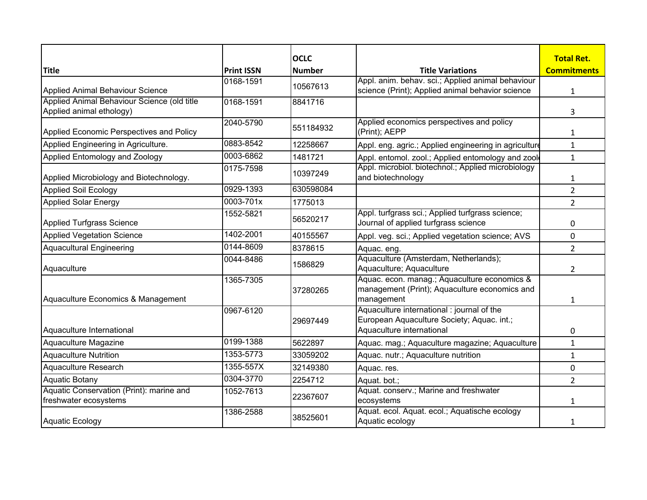|                                                                         |                   | <b>OCLC</b>   |                                                                                                                      | <b>Total Ret.</b>  |
|-------------------------------------------------------------------------|-------------------|---------------|----------------------------------------------------------------------------------------------------------------------|--------------------|
| <b>Title</b>                                                            | <b>Print ISSN</b> | <b>Number</b> | <b>Title Variations</b>                                                                                              | <b>Commitments</b> |
| Applied Animal Behaviour Science                                        | 0168-1591         | 10567613      | Appl. anim. behav. sci.; Applied animal behaviour<br>science (Print); Applied animal behavior science                | $\mathbf{1}$       |
| Applied Animal Behaviour Science (old title<br>Applied animal ethology) | 0168-1591         | 8841716       |                                                                                                                      | 3                  |
| Applied Economic Perspectives and Policy                                | 2040-5790         | 551184932     | Applied economics perspectives and policy<br>(Print); AEPP                                                           | 1                  |
| Applied Engineering in Agriculture.                                     | 0883-8542         | 12258667      | Appl. eng. agric.; Applied engineering in agriculture                                                                | $\mathbf{1}$       |
| Applied Entomology and Zoology                                          | 0003-6862         | 1481721       | Appl. entomol. zool.; Applied entomology and zool                                                                    | $\mathbf{1}$       |
| Applied Microbiology and Biotechnology.                                 | 0175-7598         | 10397249      | Appl. microbiol. biotechnol.; Applied microbiology<br>and biotechnology                                              | 1                  |
| Applied Soil Ecology                                                    | 0929-1393         | 630598084     |                                                                                                                      | $\overline{2}$     |
| <b>Applied Solar Energy</b>                                             | 0003-701x         | 1775013       |                                                                                                                      | $\overline{2}$     |
| Applied Turfgrass Science                                               | 1552-5821         | 56520217      | Appl. turfgrass sci.; Applied turfgrass science;<br>Journal of applied turfgrass science                             | 0                  |
| <b>Applied Vegetation Science</b>                                       | 1402-2001         | 40155567      | Appl. veg. sci.; Applied vegetation science; AVS                                                                     | 0                  |
| <b>Aquacultural Engineering</b>                                         | 0144-8609         | 8378615       | Aquac. eng.                                                                                                          | $\overline{2}$     |
| Aquaculture                                                             | 0044-8486         | 1586829       | Aquaculture (Amsterdam, Netherlands);<br>Aquaculture; Aquaculture                                                    | 2                  |
| Aquaculture Economics & Management                                      | 1365-7305         | 37280265      | Aquac. econ. manag.; Aquaculture economics &<br>management (Print); Aquaculture economics and<br>management          | 1                  |
| Aquaculture International                                               | 0967-6120         | 29697449      | Aquaculture international: journal of the<br>European Aquaculture Society; Aquac. int.;<br>Aquaculture international | 0                  |
| Aquaculture Magazine                                                    | 0199-1388         | 5622897       | Aquac. mag.; Aquaculture magazine; Aquaculture                                                                       | $\mathbf{1}$       |
| Aquaculture Nutrition                                                   | 1353-5773         | 33059202      | Aquac. nutr.; Aquaculture nutrition                                                                                  | $\mathbf{1}$       |
| Aquaculture Research                                                    | 1355-557X         | 32149380      | Aquac. res.                                                                                                          | 0                  |
| <b>Aquatic Botany</b>                                                   | 0304-3770         | 2254712       | Aquat. bot.;                                                                                                         | $\overline{2}$     |
| Aquatic Conservation (Print): marine and<br>freshwater ecosystems       | 1052-7613         | 22367607      | Aquat. conserv.; Marine and freshwater<br>ecosystems                                                                 | 1                  |
| Aquatic Ecology                                                         | 1386-2588         | 38525601      | Aquat. ecol. Aquat. ecol.; Aquatische ecology<br>Aquatic ecology                                                     | 1                  |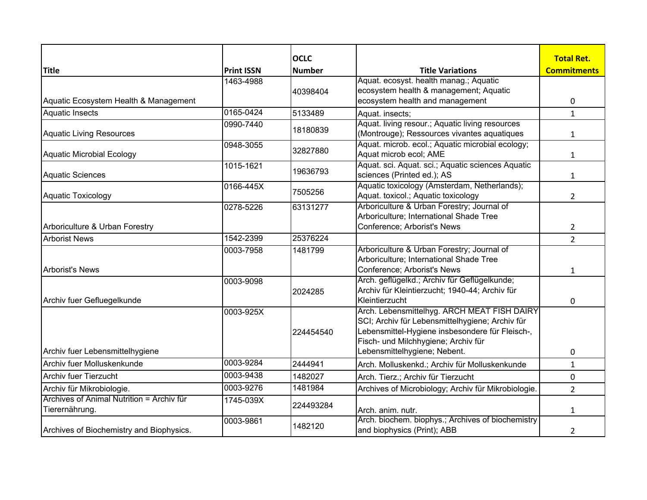|                                           |                   | <b>OCLC</b>   |                                                     | <b>Total Ret.</b>  |
|-------------------------------------------|-------------------|---------------|-----------------------------------------------------|--------------------|
| <b>Title</b>                              | <b>Print ISSN</b> | <b>Number</b> | <b>Title Variations</b>                             | <b>Commitments</b> |
|                                           | 1463-4988         |               | Aquat. ecosyst. health manag.; Aquatic              |                    |
|                                           |                   | 40398404      | ecosystem health & management; Aquatic              |                    |
| Aquatic Ecosystem Health & Management     |                   |               | ecosystem health and management                     | $\mathbf 0$        |
| <b>Aquatic Insects</b>                    | 0165-0424         | 5133489       | Aquat. insects:                                     | $\mathbf{1}$       |
|                                           | 0990-7440         | 18180839      | Aquat. living resour.; Aquatic living resources     |                    |
| Aquatic Living Resources                  |                   |               | (Montrouge); Ressources vivantes aquatiques         | $\mathbf{1}$       |
|                                           | 0948-3055         | 32827880      | Aquat. microb. ecol.; Aquatic microbial ecology;    |                    |
| Aquatic Microbial Ecology                 |                   |               | Aquat microb ecol; AME                              | 1                  |
|                                           | 1015-1621         | 19636793      | Aquat. sci. Aquat. sci.; Aquatic sciences Aquatic   |                    |
| Aquatic Sciences                          |                   |               | sciences (Printed ed.); AS                          | $\mathbf{1}$       |
|                                           | 0166-445X         | 7505256       | Aquatic toxicology (Amsterdam, Netherlands);        |                    |
| Aquatic Toxicology                        |                   |               | Aquat. toxicol.; Aquatic toxicology                 | $\overline{2}$     |
|                                           | 0278-5226         | 63131277      | Arboriculture & Urban Forestry; Journal of          |                    |
|                                           |                   |               | Arboriculture; International Shade Tree             |                    |
| Arboriculture & Urban Forestry            |                   |               | Conference; Arborist's News                         | $\overline{2}$     |
| <b>Arborist News</b>                      | 1542-2399         | 25376224      |                                                     | $\overline{2}$     |
|                                           | 0003-7958         | 1481799       | Arboriculture & Urban Forestry; Journal of          |                    |
|                                           |                   |               | Arboriculture; International Shade Tree             |                    |
| <b>Arborist's News</b>                    |                   |               | Conference; Arborist's News                         | $\mathbf{1}$       |
|                                           | 0003-9098         |               | Arch. geflügelkd.; Archiv für Geflügelkunde;        |                    |
|                                           |                   | 2024285       | Archiv für Kleintierzucht; 1940-44; Archiv für      |                    |
| Archiv fuer Gefluegelkunde                |                   |               | Kleintierzucht                                      | 0                  |
|                                           | 0003-925X         |               | Arch. Lebensmittelhyg. ARCH MEAT FISH DAIRY         |                    |
|                                           |                   |               | SCI; Archiv für Lebensmittelhygiene; Archiv für     |                    |
|                                           |                   | 224454540     | Lebensmittel-Hygiene insbesondere für Fleisch-,     |                    |
|                                           |                   |               | Fisch- und Milchhygiene; Archiv für                 |                    |
| Archiv fuer Lebensmittelhygiene           |                   |               | Lebensmittelhygiene; Nebent.                        | 0                  |
| Archiv fuer Molluskenkunde                | 0003-9284         | 2444941       | Arch. Molluskenkd.; Archiv für Molluskenkunde       | $\mathbf{1}$       |
| <b>Archiv fuer Tierzucht</b>              | 0003-9438         | 1482027       | Arch. Tierz.; Archiv für Tierzucht                  | 0                  |
| Archiv für Mikrobiologie.                 | 0003-9276         | 1481984       | Archives of Microbiology; Archiv für Mikrobiologie. | $\overline{2}$     |
| Archives of Animal Nutrition = Archiv für | 1745-039X         | 224493284     |                                                     |                    |
| Tierernährung.                            |                   |               | Arch. anim. nutr.                                   | $\mathbf{1}$       |
|                                           | 0003-9861         | 1482120       | Arch. biochem. biophys.; Archives of biochemistry   |                    |
| Archives of Biochemistry and Biophysics.  |                   |               | and biophysics (Print); ABB                         | $\overline{2}$     |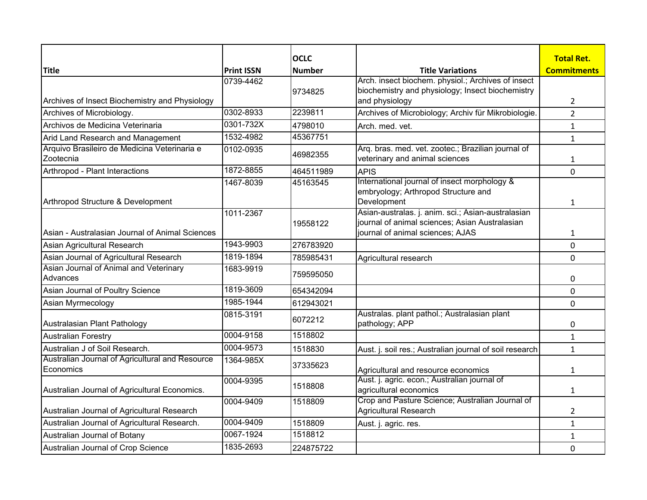|                                                              |                   | <b>OCLC</b>   |                                                                                                                                          | <b>Total Ret.</b>  |
|--------------------------------------------------------------|-------------------|---------------|------------------------------------------------------------------------------------------------------------------------------------------|--------------------|
| <b>Title</b>                                                 | <b>Print ISSN</b> | <b>Number</b> | <b>Title Variations</b>                                                                                                                  | <b>Commitments</b> |
| Archives of Insect Biochemistry and Physiology               | 0739-4462         | 9734825       | Arch. insect biochem. physiol.; Archives of insect<br>biochemistry and physiology; Insect biochemistry<br>and physiology                 | $\overline{2}$     |
| Archives of Microbiology.                                    | 0302-8933         | 2239811       | Archives of Microbiology; Archiv für Mikrobiologie.                                                                                      | $\overline{2}$     |
| Archivos de Medicina Veterinaria                             | 0301-732X         | 4798010       | Arch. med. vet.                                                                                                                          | $\mathbf{1}$       |
| Arid Land Research and Management                            | 1532-4982         | 45367751      |                                                                                                                                          | $\mathbf{1}$       |
| Arquivo Brasileiro de Medicina Veterinaria e<br>Zootecnia    | 0102-0935         | 46982355      | Arg. bras. med. vet. zootec.; Brazilian journal of<br>veterinary and animal sciences                                                     | $\mathbf{1}$       |
| Arthropod - Plant Interactions                               | 1872-8855         | 464511989     | <b>APIS</b>                                                                                                                              | 0                  |
| Arthropod Structure & Development                            | 1467-8039         | 45163545      | International journal of insect morphology &<br>embryology; Arthropod Structure and<br>Development                                       | $\mathbf{1}$       |
| Asian - Australasian Journal of Animal Sciences              | 1011-2367         | 19558122      | Asian-australas. j. anim. sci.; Asian-australasian<br>journal of animal sciences; Asian Australasian<br>journal of animal sciences; AJAS | $\mathbf{1}$       |
| Asian Agricultural Research                                  | 1943-9903         | 276783920     |                                                                                                                                          | 0                  |
| Asian Journal of Agricultural Research                       | 1819-1894         | 785985431     | Agricultural research                                                                                                                    | $\mathbf 0$        |
| Asian Journal of Animal and Veterinary<br>Advances           | 1683-9919         | 759595050     |                                                                                                                                          | 0                  |
| Asian Journal of Poultry Science                             | 1819-3609         | 654342094     |                                                                                                                                          | $\mathbf 0$        |
| Asian Myrmecology                                            | 1985-1944         | 612943021     |                                                                                                                                          | 0                  |
| Australasian Plant Pathology                                 | 0815-3191         | 6072212       | Australas. plant pathol.; Australasian plant<br>pathology; APP                                                                           | 0                  |
| <b>Australian Forestry</b>                                   | 0004-9158         | 1518802       |                                                                                                                                          | $\mathbf{1}$       |
| Australian J of Soil Research.                               | 0004-9573         | 1518830       | Aust. j. soil res.; Australian journal of soil research                                                                                  | $\mathbf{1}$       |
| Australian Journal of Agricultural and Resource<br>Economics | 1364-985X         | 37335623      | Agricultural and resource economics                                                                                                      | $\mathbf{1}$       |
| Australian Journal of Agricultural Economics.                | 0004-9395         | 1518808       | Aust. j. agric. econ.; Australian journal of<br>agricultural economics                                                                   | $\mathbf{1}$       |
| Australian Journal of Agricultural Research                  | 0004-9409         | 1518809       | Crop and Pasture Science; Australian Journal of<br><b>Agricultural Research</b>                                                          | $\overline{2}$     |
| Australian Journal of Agricultural Research.                 | 0004-9409         | 1518809       | Aust. j. agric. res.                                                                                                                     | $\mathbf{1}$       |
| Australian Journal of Botany                                 | 0067-1924         | 1518812       |                                                                                                                                          | $\mathbf{1}$       |
| Australian Journal of Crop Science                           | 1835-2693         | 224875722     |                                                                                                                                          | 0                  |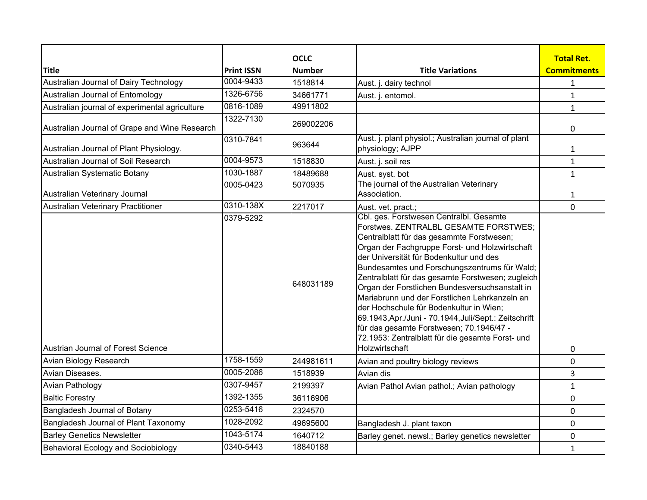| <b>Title</b>                                   |                                | <b>OCLC</b>   |                                                                                                                                                                                                                                                                                                                                                                                                                                                                                                                                                                                                                                                          | <b>Total Ret.</b><br><b>Commitments</b> |
|------------------------------------------------|--------------------------------|---------------|----------------------------------------------------------------------------------------------------------------------------------------------------------------------------------------------------------------------------------------------------------------------------------------------------------------------------------------------------------------------------------------------------------------------------------------------------------------------------------------------------------------------------------------------------------------------------------------------------------------------------------------------------------|-----------------------------------------|
|                                                | <b>Print ISSN</b><br>0004-9433 | <b>Number</b> | <b>Title Variations</b>                                                                                                                                                                                                                                                                                                                                                                                                                                                                                                                                                                                                                                  |                                         |
| Australian Journal of Dairy Technology         |                                | 1518814       | Aust. j. dairy technol                                                                                                                                                                                                                                                                                                                                                                                                                                                                                                                                                                                                                                   | $\mathbf{1}$                            |
| Australian Journal of Entomology               | 1326-6756                      | 34661771      | Aust. j. entomol.                                                                                                                                                                                                                                                                                                                                                                                                                                                                                                                                                                                                                                        | $\mathbf{1}$                            |
| Australian journal of experimental agriculture | 0816-1089                      | 49911802      |                                                                                                                                                                                                                                                                                                                                                                                                                                                                                                                                                                                                                                                          | $\mathbf{1}$                            |
| Australian Journal of Grape and Wine Research  | 1322-7130                      | 269002206     |                                                                                                                                                                                                                                                                                                                                                                                                                                                                                                                                                                                                                                                          | 0                                       |
| Australian Journal of Plant Physiology.        | 0310-7841                      | 963644        | Aust. j. plant physiol.; Australian journal of plant<br>physiology; AJPP                                                                                                                                                                                                                                                                                                                                                                                                                                                                                                                                                                                 | $\mathbf{1}$                            |
| Australian Journal of Soil Research            | 0004-9573                      | 1518830       | Aust. j. soil res                                                                                                                                                                                                                                                                                                                                                                                                                                                                                                                                                                                                                                        | $\mathbf{1}$                            |
| Australian Systematic Botany                   | 1030-1887                      | 18489688      | Aust. syst. bot                                                                                                                                                                                                                                                                                                                                                                                                                                                                                                                                                                                                                                          | $\mathbf{1}$                            |
| Australian Veterinary Journal                  | 0005-0423                      | 5070935       | The journal of the Australian Veterinary<br>Association.                                                                                                                                                                                                                                                                                                                                                                                                                                                                                                                                                                                                 | $\mathbf{1}$                            |
| Australian Veterinary Practitioner             | 0310-138X                      | 2217017       | Aust. vet. pract.;                                                                                                                                                                                                                                                                                                                                                                                                                                                                                                                                                                                                                                       | 0                                       |
| Austrian Journal of Forest Science             | 0379-5292                      | 648031189     | Cbl. ges. Forstwesen Centralbl. Gesamte<br>Forstwes. ZENTRALBL GESAMTE FORSTWES;<br>Centralblatt für das gesammte Forstwesen;<br>Organ der Fachgruppe Forst- und Holzwirtschaft<br>der Universität für Bodenkultur und des<br>Bundesamtes und Forschungszentrums für Wald;<br>Zentralblatt für das gesamte Forstwesen; zugleich<br>Organ der Forstlichen Bundesversuchsanstalt in<br>Mariabrunn und der Forstlichen Lehrkanzeln an<br>der Hochschule für Bodenkultur in Wien;<br>69.1943, Apr./Juni - 70.1944, Juli/Sept.: Zeitschrift<br>für das gesamte Forstwesen; 70.1946/47 -<br>72.1953: Zentralblatt für die gesamte Forst- und<br>Holzwirtschaft | 0                                       |
| Avian Biology Research                         | 1758-1559                      | 244981611     | Avian and poultry biology reviews                                                                                                                                                                                                                                                                                                                                                                                                                                                                                                                                                                                                                        | 0                                       |
| Avian Diseases.                                | 0005-2086                      | 1518939       | Avian dis                                                                                                                                                                                                                                                                                                                                                                                                                                                                                                                                                                                                                                                | 3                                       |
| <b>Avian Pathology</b>                         | 0307-9457                      | 2199397       | Avian Pathol Avian pathol.; Avian pathology                                                                                                                                                                                                                                                                                                                                                                                                                                                                                                                                                                                                              | $\mathbf{1}$                            |
| <b>Baltic Forestry</b>                         | 1392-1355                      | 36116906      |                                                                                                                                                                                                                                                                                                                                                                                                                                                                                                                                                                                                                                                          | 0                                       |
| Bangladesh Journal of Botany                   | 0253-5416                      | 2324570       |                                                                                                                                                                                                                                                                                                                                                                                                                                                                                                                                                                                                                                                          | 0                                       |
| Bangladesh Journal of Plant Taxonomy           | 1028-2092                      | 49695600      | Bangladesh J. plant taxon                                                                                                                                                                                                                                                                                                                                                                                                                                                                                                                                                                                                                                | 0                                       |
| <b>Barley Genetics Newsletter</b>              | 1043-5174                      | 1640712       | Barley genet. newsl.; Barley genetics newsletter                                                                                                                                                                                                                                                                                                                                                                                                                                                                                                                                                                                                         | 0                                       |
| Behavioral Ecology and Sociobiology            | 0340-5443                      | 18840188      |                                                                                                                                                                                                                                                                                                                                                                                                                                                                                                                                                                                                                                                          | $\mathbf{1}$                            |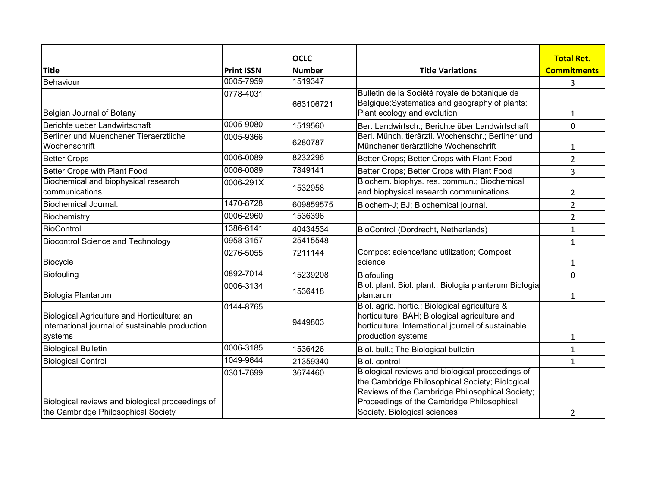|                                                         |                   | <b>OCLC</b>   |                                                                                            | <b>Total Ret.</b>  |
|---------------------------------------------------------|-------------------|---------------|--------------------------------------------------------------------------------------------|--------------------|
| <b>Title</b>                                            | <b>Print ISSN</b> | <b>Number</b> | <b>Title Variations</b>                                                                    | <b>Commitments</b> |
| Behaviour                                               | 0005-7959         | 1519347       |                                                                                            | 3                  |
|                                                         | 0778-4031         |               | Bulletin de la Société royale de botanique de                                              |                    |
|                                                         |                   | 663106721     | Belgique; Systematics and geography of plants;<br>Plant ecology and evolution              |                    |
| Belgian Journal of Botany                               | 0005-9080         |               |                                                                                            | 1                  |
| Berichte ueber Landwirtschaft                           |                   | 1519560       | Ber. Landwirtsch.; Berichte über Landwirtschaft                                            | 0                  |
| Berliner und Muenchener Tieraerztliche<br>Wochenschrift | 0005-9366         | 6280787       | Berl. Münch. tierärztl. Wochenschr.; Berliner und<br>Münchener tierärztliche Wochenschrift |                    |
|                                                         |                   |               |                                                                                            | 1                  |
| <b>Better Crops</b>                                     | 0006-0089         | 8232296       | Better Crops; Better Crops with Plant Food                                                 | $\overline{2}$     |
| Better Crops with Plant Food                            | 0006-0089         | 7849141       | Better Crops; Better Crops with Plant Food                                                 | 3                  |
| Biochemical and biophysical research                    | 0006-291X         | 1532958       | Biochem. biophys. res. commun.; Biochemical                                                |                    |
| communications.                                         |                   |               | and biophysical research communications                                                    | 2                  |
| Biochemical Journal.                                    | 1470-8728         | 609859575     | Biochem-J; BJ; Biochemical journal.                                                        | $\overline{2}$     |
| Biochemistry                                            | 0006-2960         | 1536396       |                                                                                            | $\overline{2}$     |
| BioControl                                              | 1386-6141         | 40434534      | BioControl (Dordrecht, Netherlands)                                                        | $\mathbf{1}$       |
| <b>Biocontrol Science and Technology</b>                | 0958-3157         | 25415548      |                                                                                            | $\mathbf{1}$       |
|                                                         | 0276-5055         | 7211144       | Compost science/land utilization; Compost                                                  |                    |
| Biocycle                                                |                   |               | science                                                                                    | 1                  |
| Biofouling                                              | 0892-7014         | 15239208      | <b>Biofouling</b>                                                                          | 0                  |
|                                                         | 0006-3134         | 1536418       | Biol. plant. Biol. plant.; Biologia plantarum Biologia                                     |                    |
| Biologia Plantarum                                      |                   |               | plantarum                                                                                  | $\mathbf{1}$       |
|                                                         | 0144-8765         |               | Biol. agric. hortic.; Biological agriculture &                                             |                    |
| Biological Agriculture and Horticulture: an             |                   | 9449803       | horticulture; BAH; Biological agriculture and                                              |                    |
| international journal of sustainable production         |                   |               | horticulture; International journal of sustainable                                         |                    |
| systems                                                 |                   |               | production systems                                                                         | 1                  |
| <b>Biological Bulletin</b>                              | 0006-3185         | 1536426       | Biol. bull.; The Biological bulletin                                                       | $\mathbf{1}$       |
| <b>Biological Control</b>                               | 1049-9644         | 21359340      | Biol. control                                                                              | $\mathbf{1}$       |
|                                                         | 0301-7699         | 3674460       | Biological reviews and biological proceedings of                                           |                    |
|                                                         |                   |               | the Cambridge Philosophical Society; Biological                                            |                    |
|                                                         |                   |               | Reviews of the Cambridge Philosophical Society;                                            |                    |
| Biological reviews and biological proceedings of        |                   |               | Proceedings of the Cambridge Philosophical                                                 |                    |
| the Cambridge Philosophical Society                     |                   |               | Society. Biological sciences                                                               | 2                  |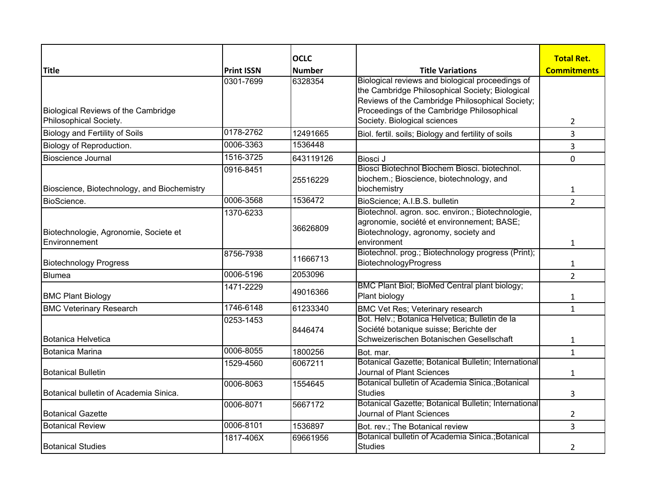|                                                               |                   | <b>OCLC</b>   |                                                                                                                                                                                                                                      | <b>Total Ret.</b>  |
|---------------------------------------------------------------|-------------------|---------------|--------------------------------------------------------------------------------------------------------------------------------------------------------------------------------------------------------------------------------------|--------------------|
| <b>Title</b>                                                  | <b>Print ISSN</b> | <b>Number</b> | <b>Title Variations</b>                                                                                                                                                                                                              | <b>Commitments</b> |
| Biological Reviews of the Cambridge<br>Philosophical Society. | 0301-7699         | 6328354       | Biological reviews and biological proceedings of<br>the Cambridge Philosophical Society; Biological<br>Reviews of the Cambridge Philosophical Society;<br>Proceedings of the Cambridge Philosophical<br>Society. Biological sciences | 2                  |
| <b>Biology and Fertility of Soils</b>                         | 0178-2762         | 12491665      | Biol. fertil. soils; Biology and fertility of soils                                                                                                                                                                                  | 3                  |
| Biology of Reproduction.                                      | 0006-3363         | 1536448       |                                                                                                                                                                                                                                      | 3                  |
| <b>Bioscience Journal</b>                                     | 1516-3725         | 643119126     | Biosci J                                                                                                                                                                                                                             | $\Omega$           |
| Bioscience, Biotechnology, and Biochemistry                   | 0916-8451         | 25516229      | Biosci Biotechnol Biochem Biosci, biotechnol.<br>biochem.; Bioscience, biotechnology, and<br>biochemistry                                                                                                                            | 1                  |
| BioScience.                                                   | 0006-3568         | 1536472       | BioScience; A.I.B.S. bulletin                                                                                                                                                                                                        | $\overline{2}$     |
| Biotechnologie, Agronomie, Societe et<br>Environnement        | 1370-6233         | 36626809      | Biotechnol. agron. soc. environ.; Biotechnologie,<br>agronomie, société et environnement; BASE;<br>Biotechnology, agronomy, society and<br>environment                                                                               | $\mathbf{1}$       |
| <b>Biotechnology Progress</b>                                 | 8756-7938         | 11666713      | Biotechnol. prog.; Biotechnology progress (Print);<br>BiotechnologyProgress                                                                                                                                                          | 1                  |
| <b>Blumea</b>                                                 | 0006-5196         | 2053096       |                                                                                                                                                                                                                                      | $\overline{2}$     |
| <b>BMC Plant Biology</b>                                      | 1471-2229         | 49016366      | BMC Plant Biol; BioMed Central plant biology;<br>Plant biology                                                                                                                                                                       | 1                  |
| <b>BMC Veterinary Research</b>                                | 1746-6148         | 61233340      | <b>BMC Vet Res; Veterinary research</b>                                                                                                                                                                                              | $\mathbf{1}$       |
| Botanica Helvetica                                            | 0253-1453         | 8446474       | Bot. Helv.; Botanica Helvetica; Bulletin de la<br>Société botanique suisse; Berichte der<br>Schweizerischen Botanischen Gesellschaft                                                                                                 | 1                  |
| <b>Botanica Marina</b>                                        | 0006-8055         | 1800256       | Bot. mar.                                                                                                                                                                                                                            | $\mathbf{1}$       |
| <b>Botanical Bulletin</b>                                     | 1529-4560         | 6067211       | Botanical Gazette; Botanical Bulletin; International<br>Journal of Plant Sciences                                                                                                                                                    | $\mathbf{1}$       |
| Botanical bulletin of Academia Sinica.                        | 0006-8063         | 1554645       | Botanical bulletin of Academia Sinica.; Botanical<br><b>Studies</b>                                                                                                                                                                  | 3                  |
| <b>Botanical Gazette</b>                                      | 0006-8071         | 5667172       | Botanical Gazette; Botanical Bulletin; International<br>Journal of Plant Sciences                                                                                                                                                    | 2                  |
| <b>Botanical Review</b>                                       | 0006-8101         | 1536897       | Bot. rev.; The Botanical review                                                                                                                                                                                                      | 3                  |
| <b>Botanical Studies</b>                                      | 1817-406X         | 69661956      | Botanical bulletin of Academia Sinica.; Botanical<br><b>Studies</b>                                                                                                                                                                  | 2                  |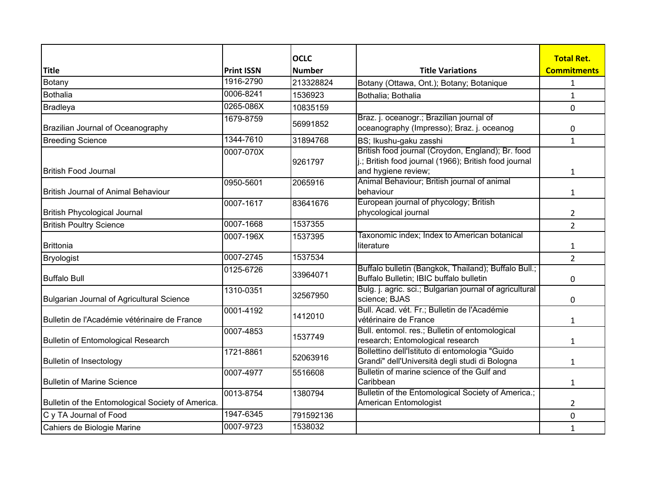|                                                   |                   | <b>OCLC</b>   |                                                                                                                                   | <b>Total Ret.</b>  |
|---------------------------------------------------|-------------------|---------------|-----------------------------------------------------------------------------------------------------------------------------------|--------------------|
| <b>Title</b>                                      | <b>Print ISSN</b> | <b>Number</b> | <b>Title Variations</b>                                                                                                           | <b>Commitments</b> |
| Botany                                            | 1916-2790         | 213328824     | Botany (Ottawa, Ont.); Botany; Botanique                                                                                          | 1                  |
| Bothalia                                          | 0006-8241         | 1536923       | Bothalia; Bothalia                                                                                                                | $\mathbf{1}$       |
| <b>Bradleya</b>                                   | 0265-086X         | 10835159      |                                                                                                                                   | 0                  |
| Brazilian Journal of Oceanography                 | 1679-8759         | 56991852      | Braz. j. oceanogr.; Brazilian journal of<br>oceanography (Impresso); Braz. j. oceanog                                             | 0                  |
| <b>Breeding Science</b>                           | 1344-7610         | 31894768      | BS; Ikushu-gaku zasshi                                                                                                            | $\mathbf{1}$       |
| British Food Journal                              | 0007-070X         | 9261797       | British food journal (Croydon, England); Br. food<br>j.; British food journal (1966); British food journal<br>and hygiene review; | $\mathbf{1}$       |
|                                                   | 0950-5601         | 2065916       | Animal Behaviour; British journal of animal                                                                                       |                    |
| <b>British Journal of Animal Behaviour</b>        |                   |               | behaviour                                                                                                                         | $\mathbf{1}$       |
|                                                   | 0007-1617         | 83641676      | European journal of phycology; British                                                                                            |                    |
| <b>British Phycological Journal</b>               |                   |               | phycological journal                                                                                                              | $\overline{2}$     |
| <b>British Poultry Science</b>                    | 0007-1668         | 1537355       |                                                                                                                                   | $\overline{2}$     |
| <b>Brittonia</b>                                  | 0007-196X         | 1537395       | Taxonomic index; Index to American botanical<br>literature                                                                        | 1                  |
| Bryologist                                        | 0007-2745         | 1537534       |                                                                                                                                   | $\overline{2}$     |
| <b>Buffalo Bull</b>                               | 0125-6726         | 33964071      | Buffalo bulletin (Bangkok, Thailand); Buffalo Bull.;<br>Buffalo Bulletin; IBIC buffalo bulletin                                   | 0                  |
| Bulgarian Journal of Agricultural Science         | 1310-0351         | 32567950      | Bulg. j. agric. sci.; Bulgarian journal of agricultural<br>science; BJAS                                                          | 0                  |
| Bulletin de l'Académie vétérinaire de France      | 0001-4192         | 1412010       | Bull. Acad. vét. Fr.; Bulletin de l'Académie<br>vétérinaire de France                                                             | $\mathbf{1}$       |
| <b>Bulletin of Entomological Research</b>         | 0007-4853         | 1537749       | Bull. entomol. res.; Bulletin of entomological<br>research; Entomological research                                                | 1                  |
| Bulletin of Insectology                           | 1721-8861         | 52063916      | Bollettino dell'Istituto di entomologia "Guido<br>Grandi" dell'Università degli studi di Bologna                                  | $\mathbf{1}$       |
| <b>Bulletin of Marine Science</b>                 | 0007-4977         | 5516608       | Bulletin of marine science of the Gulf and<br>Caribbean                                                                           | $\mathbf{1}$       |
| Bulletin of the Entomological Society of America. | 0013-8754         | 1380794       | Bulletin of the Entomological Society of America.;<br>American Entomologist                                                       | $\overline{2}$     |
| C y TA Journal of Food                            | 1947-6345         | 791592136     |                                                                                                                                   | $\mathbf 0$        |
| Cahiers de Biologie Marine                        | 0007-9723         | 1538032       |                                                                                                                                   | $\mathbf{1}$       |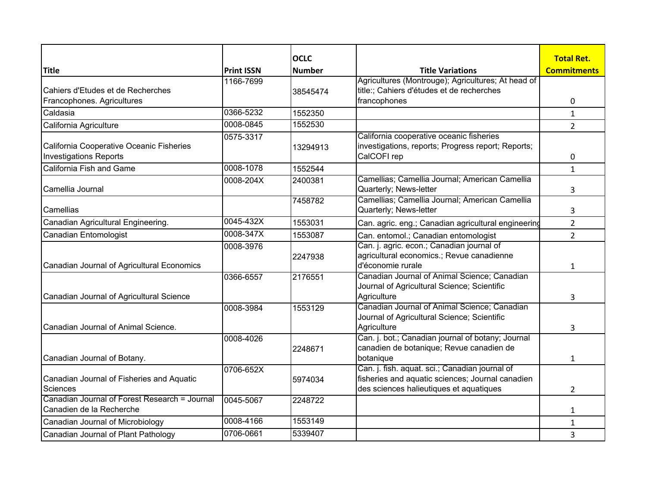| <b>Title</b>                                  | <b>Print ISSN</b> | <b>OCLC</b><br><b>Number</b> | <b>Title Variations</b>                                    | <b>Total Ret.</b><br><b>Commitments</b> |
|-----------------------------------------------|-------------------|------------------------------|------------------------------------------------------------|-----------------------------------------|
|                                               | 1166-7699         |                              | Agricultures (Montrouge); Agricultures; At head of         |                                         |
| Cahiers d'Etudes et de Recherches             |                   | 38545474                     | title:; Cahiers d'études et de recherches                  |                                         |
| Francophones. Agricultures                    |                   |                              | francophones                                               | 0                                       |
| Caldasia                                      | 0366-5232         | 1552350                      |                                                            | $\mathbf{1}$                            |
| California Agriculture                        | 0008-0845         | 1552530                      |                                                            |                                         |
|                                               |                   |                              | California cooperative oceanic fisheries                   | $\overline{2}$                          |
| California Cooperative Oceanic Fisheries      | 0575-3317         |                              | investigations, reports; Progress report; Reports;         |                                         |
| <b>Investigations Reports</b>                 |                   | 13294913                     | CalCOFI rep                                                | 0                                       |
| California Fish and Game                      | 0008-1078         | 1552544                      |                                                            | $\mathbf{1}$                            |
|                                               | 0008-204X         | 2400381                      | Camellias; Camellia Journal; American Camellia             |                                         |
| Camellia Journal                              |                   |                              | Quarterly; News-letter                                     | 3                                       |
|                                               |                   | 7458782                      | Camellias; Camellia Journal; American Camellia             |                                         |
| Camellias                                     |                   |                              | Quarterly; News-letter                                     | 3                                       |
| Canadian Agricultural Engineering.            | 0045-432X         | 1553031                      | Can. agric. eng.; Canadian agricultural engineering        | $\overline{2}$                          |
| Canadian Entomologist                         | 0008-347X         | 1553087                      | Can. entomol.; Canadian entomologist                       | $\overline{2}$                          |
|                                               | 0008-3976         |                              | Can. j. agric. econ.; Canadian journal of                  |                                         |
|                                               |                   | 2247938                      | agricultural economics.; Revue canadienne                  |                                         |
| Canadian Journal of Agricultural Economics    |                   |                              | d'économie rurale                                          | 1                                       |
|                                               | 0366-6557         | 2176551                      | Canadian Journal of Animal Science; Canadian               |                                         |
|                                               |                   |                              | Journal of Agricultural Science; Scientific                |                                         |
| Canadian Journal of Agricultural Science      |                   |                              | Agriculture                                                | 3                                       |
|                                               | 0008-3984         | 1553129                      | Canadian Journal of Animal Science; Canadian               |                                         |
| <b>I</b> Canadian Journal of Animal Science.  |                   |                              | Journal of Agricultural Science; Scientific<br>Agriculture |                                         |
|                                               | 0008-4026         |                              | Can. j. bot.; Canadian journal of botany; Journal          | 3                                       |
|                                               |                   | 2248671                      | canadien de botanique; Revue canadien de                   |                                         |
| Canadian Journal of Botany.                   |                   |                              | botanique                                                  | 1                                       |
|                                               | 0706-652X         |                              | Can. j. fish. aquat. sci.; Canadian journal of             |                                         |
| Canadian Journal of Fisheries and Aquatic     |                   | 5974034                      | fisheries and aquatic sciences; Journal canadien           |                                         |
| Sciences                                      |                   |                              | des sciences halieutiques et aquatiques                    | 2                                       |
| Canadian Journal of Forest Research = Journal | 0045-5067         | 2248722                      |                                                            |                                         |
| Canadien de la Recherche                      |                   |                              |                                                            | $\mathbf{1}$                            |
| Canadian Journal of Microbiology              | 0008-4166         | 1553149                      |                                                            | $\mathbf{1}$                            |
| Canadian Journal of Plant Pathology           | 0706-0661         | 5339407                      |                                                            | 3                                       |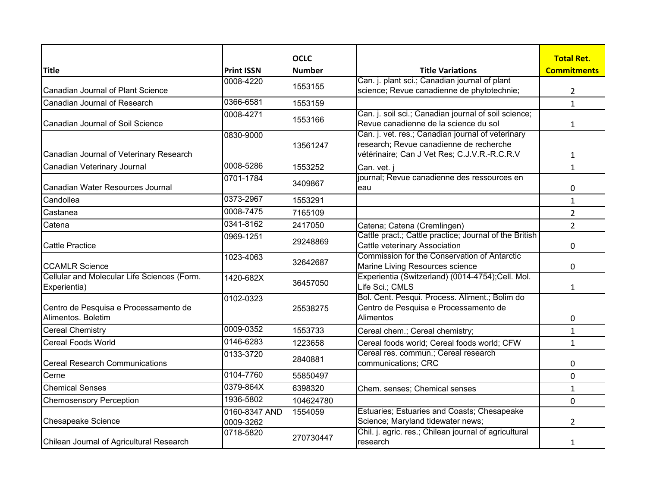|                                                                      |                   | <b>OCLC</b>   |                                                                                               | <b>Total Ret.</b>  |
|----------------------------------------------------------------------|-------------------|---------------|-----------------------------------------------------------------------------------------------|--------------------|
| <b>Title</b>                                                         | <b>Print ISSN</b> | <b>Number</b> | <b>Title Variations</b>                                                                       | <b>Commitments</b> |
|                                                                      | 0008-4220         |               | Can. j. plant sci.; Canadian journal of plant                                                 |                    |
| Canadian Journal of Plant Science                                    |                   | 1553155       | science; Revue canadienne de phytotechnie;                                                    | $\overline{2}$     |
| Canadian Journal of Research                                         | 0366-6581         | 1553159       |                                                                                               | $\mathbf{1}$       |
| Canadian Journal of Soil Science                                     | 0008-4271         | 1553166       | Can. j. soil sci.; Canadian journal of soil science;<br>Revue canadienne de la science du sol |                    |
|                                                                      |                   |               |                                                                                               | $\mathbf{1}$       |
|                                                                      | 0830-9000         |               | Can. j. vet. res.; Canadian journal of veterinary<br>research; Revue canadienne de recherche  |                    |
| Canadian Journal of Veterinary Research                              |                   | 13561247      | vétérinaire; Can J Vet Res; C.J.V.R.-R.C.R.V                                                  | $\mathbf{1}$       |
| Canadian Veterinary Journal                                          | 0008-5286         | 1553252       | Can. vet.                                                                                     | $\mathbf{1}$       |
|                                                                      | 0701-1784         |               | journal; Revue canadienne des ressources en                                                   |                    |
| Canadian Water Resources Journal                                     |                   | 3409867       | eau                                                                                           | 0                  |
| Candollea                                                            | 0373-2967         | 1553291       |                                                                                               | $\mathbf{1}$       |
| Castanea                                                             | 0008-7475         | 7165109       |                                                                                               | $\overline{2}$     |
| Catena                                                               | 0341-8162         | 2417050       | Catena; Catena (Cremlingen)                                                                   | $\overline{2}$     |
|                                                                      | 0969-1251         | 29248869      | Cattle pract.; Cattle practice; Journal of the British                                        |                    |
| <b>Cattle Practice</b>                                               |                   |               | Cattle veterinary Association                                                                 | 0                  |
|                                                                      | 1023-4063         | 32642687      | Commission for the Conservation of Antarctic                                                  |                    |
| <b>CCAMLR Science</b><br>Cellular and Molecular Life Sciences (Form. |                   |               | Marine Living Resources science<br>Experientia (Switzerland) (0014-4754);Cell. Mol.           | 0                  |
| Experientia)                                                         | 1420-682X         | 36457050      | Life Sci.; CMLS                                                                               | $\mathbf{1}$       |
|                                                                      | 0102-0323         |               | Bol. Cent. Pesqui. Process. Aliment.; Bolim do                                                |                    |
| Centro de Pesquisa e Processamento de                                |                   | 25538275      | Centro de Pesquisa e Processamento de                                                         |                    |
| Alimentos, Boletim                                                   |                   |               | Alimentos                                                                                     | 0                  |
| <b>Cereal Chemistry</b>                                              | 0009-0352         | 1553733       | Cereal chem.; Cereal chemistry;                                                               | $\mathbf{1}$       |
| <b>Cereal Foods World</b>                                            | 0146-6283         | 1223658       | Cereal foods world; Cereal foods world; CFW                                                   | $\mathbf{1}$       |
|                                                                      | 0133-3720         | 2840881       | Cereal res. commun.; Cereal research                                                          |                    |
| <b>Cereal Research Communications</b>                                |                   |               | communications; CRC                                                                           | 0                  |
| Cerne                                                                | 0104-7760         | 55850497      |                                                                                               | 0                  |
| <b>Chemical Senses</b>                                               | 0379-864X         | 6398320       | Chem. senses; Chemical senses                                                                 | $\mathbf{1}$       |
| <b>Chemosensory Perception</b>                                       | 1936-5802         | 104624780     |                                                                                               | 0                  |
|                                                                      | 0160-8347 AND     | 1554059       | Estuaries; Estuaries and Coasts; Chesapeake                                                   |                    |
| Chesapeake Science                                                   | 0009-3262         |               | Science; Maryland tidewater news;                                                             | 2                  |
| Chilean Journal of Agricultural Research                             | 0718-5820         | 270730447     | Chil. j. agric. res.; Chilean journal of agricultural<br>research                             |                    |
|                                                                      |                   |               |                                                                                               | 1                  |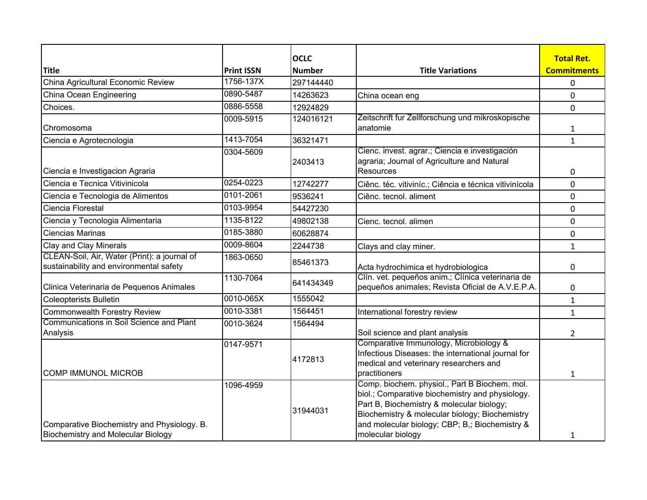|                                                                                          |                   | <b>OCLC</b>   |                                                                                                                                                                                                                                                                        | <b>Total Ret.</b>  |
|------------------------------------------------------------------------------------------|-------------------|---------------|------------------------------------------------------------------------------------------------------------------------------------------------------------------------------------------------------------------------------------------------------------------------|--------------------|
| <b>Title</b>                                                                             | <b>Print ISSN</b> | <b>Number</b> | <b>Title Variations</b>                                                                                                                                                                                                                                                | <b>Commitments</b> |
| China Agricultural Economic Review                                                       | 1756-137X         | 297144440     |                                                                                                                                                                                                                                                                        | 0                  |
| China Ocean Engineering                                                                  | 0890-5487         | 14263623      | China ocean eng                                                                                                                                                                                                                                                        | $\mathbf 0$        |
| Choices.                                                                                 | 0886-5558         | 12924829      |                                                                                                                                                                                                                                                                        | $\mathbf 0$        |
| Chromosoma                                                                               | 0009-5915         | 124016121     | Zeitschrift fur Zellforschung und mikroskopische<br>anatomie                                                                                                                                                                                                           | 1                  |
| Ciencia e Agrotecnologia                                                                 | 1413-7054         | 36321471      |                                                                                                                                                                                                                                                                        | $\mathbf{1}$       |
| Ciencia e Investigacion Agraria                                                          | 0304-5609         | 2403413       | Cienc. invest. agrar.; Ciencia e investigación<br>agraria; Journal of Agriculture and Natural<br>Resources                                                                                                                                                             | 0                  |
| Ciencia e Tecnica Vitivinicola                                                           | 0254-0223         | 12742277      | Ciênc. téc. vitiviníc.; Ciência e técnica vitivinícola                                                                                                                                                                                                                 | $\pmb{0}$          |
| Ciencia e Tecnologia de Alimentos                                                        | 0101-2061         | 9536241       | Ciênc. tecnol. aliment                                                                                                                                                                                                                                                 | $\mathbf 0$        |
| Ciencia Florestal                                                                        | 0103-9954         | 54427230      |                                                                                                                                                                                                                                                                        | $\mathbf 0$        |
| Ciencia y Tecnologia Alimentaria                                                         | 1135-8122         | 49802138      | Cienc. tecnol. alimen                                                                                                                                                                                                                                                  | 0                  |
| Ciencias Marinas                                                                         | 0185-3880         | 60628874      |                                                                                                                                                                                                                                                                        | 0                  |
| Clay and Clay Minerals                                                                   | 0009-8604         | 2244738       | Clays and clay miner.                                                                                                                                                                                                                                                  | $\mathbf{1}$       |
| CLEAN-Soil, Air, Water (Print): a journal of<br>sustainability and environmental safety  | 1863-0650         | 85461373      | Acta hydrochimica et hydrobiologica                                                                                                                                                                                                                                    | $\mathbf 0$        |
| Clinica Veterinaria de Pequenos Animales                                                 | 1130-7064         | 641434349     | Clín. vet. pequeños anim.; Clínica veterinaria de<br>pequeños animales; Revista Oficial de A.V.E.P.A.                                                                                                                                                                  | 0                  |
| <b>Coleopterists Bulletin</b>                                                            | 0010-065X         | 1555042       |                                                                                                                                                                                                                                                                        | $\mathbf 1$        |
| Commonwealth Forestry Review                                                             | 0010-3381         | 1564451       | International forestry review                                                                                                                                                                                                                                          | $\mathbf{1}$       |
| Communications in Soil Science and Plant<br>Analysis                                     | 0010-3624         | 1564494       | Soil science and plant analysis                                                                                                                                                                                                                                        | $\overline{2}$     |
| <b>COMP IMMUNOL MICROB</b>                                                               | 0147-9571         | 4172813       | Comparative Immunology, Microbiology &<br>Infectious Diseases: the international journal for<br>medical and veterinary researchers and<br>practitioners                                                                                                                | $\mathbf{1}$       |
| Comparative Biochemistry and Physiology. B.<br><b>Biochemistry and Molecular Biology</b> | 1096-4959         | 31944031      | Comp. biochem. physiol., Part B Biochem. mol.<br>biol.; Comparative biochemistry and physiology.<br>Part B, Biochemistry & molecular biology;<br>Biochemistry & molecular biology; Biochemistry<br>and molecular biology; CBP; B,; Biochemistry &<br>molecular biology | 1                  |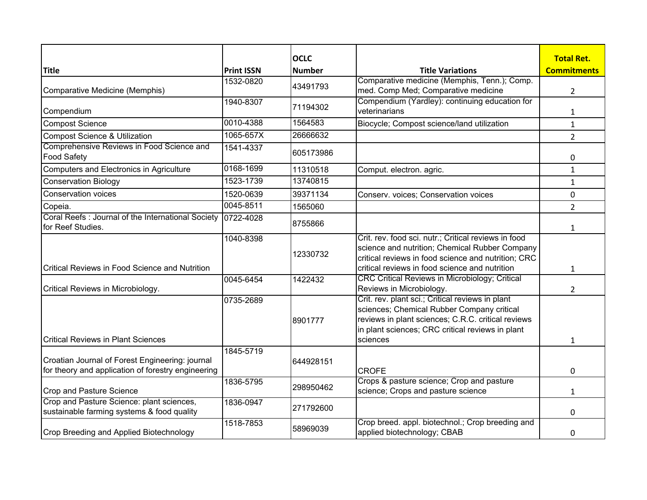|                                                                                                       |                   | <b>OCLC</b>   |                                                                                                                                                                                                                      | <b>Total Ret.</b>  |
|-------------------------------------------------------------------------------------------------------|-------------------|---------------|----------------------------------------------------------------------------------------------------------------------------------------------------------------------------------------------------------------------|--------------------|
| <b>Title</b>                                                                                          | <b>Print ISSN</b> | <b>Number</b> | <b>Title Variations</b>                                                                                                                                                                                              | <b>Commitments</b> |
|                                                                                                       | 1532-0820         |               | Comparative medicine (Memphis, Tenn.); Comp.                                                                                                                                                                         |                    |
| Comparative Medicine (Memphis)                                                                        |                   | 43491793      | med. Comp Med; Comparative medicine                                                                                                                                                                                  | $\overline{2}$     |
|                                                                                                       | 1940-8307         | 71194302      | Compendium (Yardley): continuing education for                                                                                                                                                                       |                    |
| Compendium                                                                                            |                   |               | veterinarians                                                                                                                                                                                                        | 1                  |
| <b>Compost Science</b>                                                                                | 0010-4388         | 1564583       | Biocycle; Compost science/land utilization                                                                                                                                                                           | $\mathbf{1}$       |
| <b>Compost Science &amp; Utilization</b>                                                              | 1065-657X         | 26666632      |                                                                                                                                                                                                                      | $\overline{2}$     |
| Comprehensive Reviews in Food Science and<br><b>Food Safety</b>                                       | 1541-4337         | 605173986     |                                                                                                                                                                                                                      | 0                  |
| Computers and Electronics in Agriculture                                                              | 0168-1699         | 11310518      | Comput. electron. agric.                                                                                                                                                                                             | $\mathbf{1}$       |
| <b>Conservation Biology</b>                                                                           | 1523-1739         | 13740815      |                                                                                                                                                                                                                      | $\mathbf{1}$       |
| <b>Conservation voices</b>                                                                            | 1520-0639         | 39371134      | Conserv. voices; Conservation voices                                                                                                                                                                                 | 0                  |
| Copeia.                                                                                               | 0045-8511         | 1565060       |                                                                                                                                                                                                                      | $\overline{2}$     |
| Coral Reefs : Journal of the International Society   0722-4028<br>for Reef Studies.                   |                   | 8755866       |                                                                                                                                                                                                                      | $\mathbf{1}$       |
| <b>Critical Reviews in Food Science and Nutrition</b>                                                 | 1040-8398         | 12330732      | Crit. rev. food sci. nutr.; Critical reviews in food<br>science and nutrition; Chemical Rubber Company<br>critical reviews in food science and nutrition; CRC<br>critical reviews in food science and nutrition      |                    |
|                                                                                                       | 0045-6454         | 1422432       | <b>CRC Critical Reviews in Microbiology; Critical</b>                                                                                                                                                                | 1                  |
| Critical Reviews in Microbiology.                                                                     |                   |               | Reviews in Microbiology.                                                                                                                                                                                             | 2                  |
| <b>Critical Reviews in Plant Sciences</b>                                                             | 0735-2689         | 8901777       | Crit. rev. plant sci.; Critical reviews in plant<br>sciences; Chemical Rubber Company critical<br>reviews in plant sciences; C.R.C. critical reviews<br>in plant sciences; CRC critical reviews in plant<br>sciences | $\mathbf{1}$       |
| Croatian Journal of Forest Engineering: journal<br>for theory and application of forestry engineering | 1845-5719         | 644928151     | <b>CROFE</b>                                                                                                                                                                                                         | 0                  |
| <b>Crop and Pasture Science</b>                                                                       | 1836-5795         | 298950462     | Crops & pasture science; Crop and pasture<br>science; Crops and pasture science                                                                                                                                      | $\mathbf{1}$       |
| Crop and Pasture Science: plant sciences,<br>sustainable farming systems & food quality               | 1836-0947         | 271792600     |                                                                                                                                                                                                                      | 0                  |
| Crop Breeding and Applied Biotechnology                                                               | 1518-7853         | 58969039      | Crop breed. appl. biotechnol.; Crop breeding and<br>applied biotechnology; CBAB                                                                                                                                      | 0                  |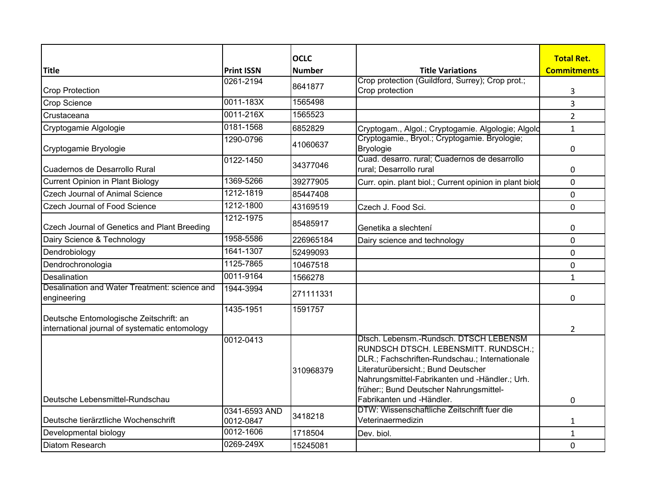|                                                                                           | <b>Print ISSN</b>          | <b>OCLC</b>   | <b>Title Variations</b>                                                                                                                                                                                                                                              | <b>Total Ret.</b><br><b>Commitments</b> |
|-------------------------------------------------------------------------------------------|----------------------------|---------------|----------------------------------------------------------------------------------------------------------------------------------------------------------------------------------------------------------------------------------------------------------------------|-----------------------------------------|
| <b>Title</b>                                                                              |                            | <b>Number</b> | Crop protection (Guildford, Surrey); Crop prot.;                                                                                                                                                                                                                     |                                         |
| <b>Crop Protection</b>                                                                    | 0261-2194                  | 8641877       | Crop protection                                                                                                                                                                                                                                                      | 3                                       |
| <b>Crop Science</b>                                                                       | 0011-183X                  | 1565498       |                                                                                                                                                                                                                                                                      | 3                                       |
| Crustaceana                                                                               | 0011-216X                  | 1565523       |                                                                                                                                                                                                                                                                      | $\overline{2}$                          |
| Cryptogamie Algologie                                                                     | 0181-1568                  | 6852829       | Cryptogam., Algol.; Cryptogamie. Algologie; Algold                                                                                                                                                                                                                   | $\mathbf{1}$                            |
| Cryptogamie Bryologie                                                                     | 1290-0796                  | 41060637      | Cryptogamie., Bryol.; Cryptogamie. Bryologie;<br>Bryologie                                                                                                                                                                                                           | 0                                       |
| Cuadernos de Desarrollo Rural                                                             | 0122-1450                  | 34377046      | Cuad. desarro. rural; Cuadernos de desarrollo<br>rural; Desarrollo rural                                                                                                                                                                                             | 0                                       |
| <b>Current Opinion in Plant Biology</b>                                                   | 1369-5266                  | 39277905      | Curr. opin. plant biol.; Current opinion in plant biold                                                                                                                                                                                                              | $\mathbf 0$                             |
| <b>Czech Journal of Animal Science</b>                                                    | 1212-1819                  | 85447408      |                                                                                                                                                                                                                                                                      | 0                                       |
| Czech Journal of Food Science                                                             | 1212-1800                  | 43169519      | Czech J. Food Sci.                                                                                                                                                                                                                                                   | $\mathbf 0$                             |
| Czech Journal of Genetics and Plant Breeding                                              | 1212-1975                  | 85485917      | Genetika a slechtení                                                                                                                                                                                                                                                 | 0                                       |
| Dairy Science & Technology                                                                | 1958-5586                  | 226965184     | Dairy science and technology                                                                                                                                                                                                                                         | 0                                       |
| Dendrobiology                                                                             | 1641-1307                  | 52499093      |                                                                                                                                                                                                                                                                      | $\mathbf 0$                             |
| Dendrochronologia                                                                         | 1125-7865                  | 10467518      |                                                                                                                                                                                                                                                                      | $\mathbf 0$                             |
| Desalination                                                                              | 0011-9164                  | 1566278       |                                                                                                                                                                                                                                                                      | $\mathbf{1}$                            |
| Desalination and Water Treatment: science and<br>engineering                              | 1944-3994                  | 271111331     |                                                                                                                                                                                                                                                                      | 0                                       |
| Deutsche Entomologische Zeitschrift: an<br>international journal of systematic entomology | 1435-1951                  | 1591757       |                                                                                                                                                                                                                                                                      | $\overline{2}$                          |
|                                                                                           | 0012-0413                  | 310968379     | Dtsch. Lebensm.-Rundsch. DTSCH LEBENSM<br>RUNDSCH DTSCH. LEBENSMITT. RUNDSCH.;<br>DLR.; Fachschriften-Rundschau.; Internationale<br>Literaturübersicht.; Bund Deutscher<br>Nahrungsmittel-Fabrikanten und -Händler.; Urh.<br>früher:; Bund Deutscher Nahrungsmittel- |                                         |
| Deutsche Lebensmittel-Rundschau                                                           |                            |               | Fabrikanten und -Händler.                                                                                                                                                                                                                                            | 0                                       |
| Deutsche tierärztliche Wochenschrift                                                      | 0341-6593 AND<br>0012-0847 | 3418218       | DTW: Wissenschaftliche Zeitschrift fuer die<br>Veterinaermedizin                                                                                                                                                                                                     | 1                                       |
| Developmental biology                                                                     | 0012-1606                  | 1718504       | Dev. biol.                                                                                                                                                                                                                                                           | $\mathbf{1}$                            |
| <b>Diatom Research</b>                                                                    | 0269-249X                  | 15245081      |                                                                                                                                                                                                                                                                      | 0                                       |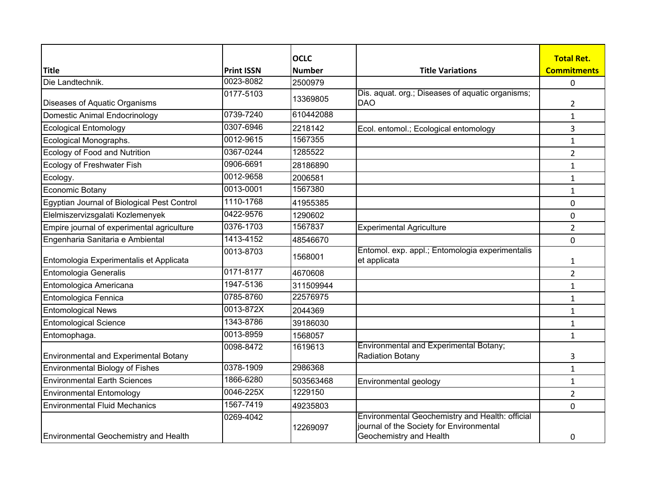|                                              |                   | <b>OCLC</b>   |                                                                                                                        | <b>Total Ret.</b>  |
|----------------------------------------------|-------------------|---------------|------------------------------------------------------------------------------------------------------------------------|--------------------|
| <b>Title</b>                                 | <b>Print ISSN</b> | <b>Number</b> | <b>Title Variations</b>                                                                                                | <b>Commitments</b> |
| Die Landtechnik.                             | 0023-8082         | 2500979       |                                                                                                                        | 0                  |
|                                              | 0177-5103         |               | Dis. aquat. org.; Diseases of aquatic organisms;                                                                       |                    |
| Diseases of Aquatic Organisms                |                   | 13369805      | <b>DAO</b>                                                                                                             | 2                  |
| <b>Domestic Animal Endocrinology</b>         | 0739-7240         | 610442088     |                                                                                                                        | 1                  |
| <b>Ecological Entomology</b>                 | 0307-6946         | 2218142       | Ecol. entomol.; Ecological entomology                                                                                  | 3                  |
| Ecological Monographs.                       | 0012-9615         | 1567355       |                                                                                                                        | $\mathbf{1}$       |
| Ecology of Food and Nutrition                | 0367-0244         | 1285522       |                                                                                                                        | $\overline{2}$     |
| Ecology of Freshwater Fish                   | 0906-6691         | 28186890      |                                                                                                                        | 1                  |
| Ecology.                                     | 0012-9658         | 2006581       |                                                                                                                        | 1                  |
| Economic Botany                              | 0013-0001         | 1567380       |                                                                                                                        | 1                  |
| Egyptian Journal of Biological Pest Control  | 1110-1768         | 41955385      |                                                                                                                        | 0                  |
| Elelmiszervizsgalati Kozlemenyek             | 0422-9576         | 1290602       |                                                                                                                        | 0                  |
| Empire journal of experimental agriculture   | 0376-1703         | 1567837       | <b>Experimental Agriculture</b>                                                                                        | $\overline{2}$     |
| Engenharia Sanitaria e Ambiental             | 1413-4152         | 48546670      |                                                                                                                        | 0                  |
| Entomologia Experimentalis et Applicata      | 0013-8703         | 1568001       | Entomol. exp. appl.; Entomologia experimentalis<br>et applicata                                                        | 1                  |
| Entomologia Generalis                        | 0171-8177         | 4670608       |                                                                                                                        | $\overline{2}$     |
| Entomologica Americana                       | 1947-5136         | 311509944     |                                                                                                                        | 1                  |
| Entomologica Fennica                         | 0785-8760         | 22576975      |                                                                                                                        | $\mathbf{1}$       |
| <b>Entomological News</b>                    | 0013-872X         | 2044369       |                                                                                                                        | $\mathbf{1}$       |
| <b>Entomological Science</b>                 | 1343-8786         | 39186030      |                                                                                                                        | 1                  |
| Entomophaga.                                 | 0013-8959         | 1568057       |                                                                                                                        | 1                  |
| <b>Environmental and Experimental Botany</b> | 0098-8472         | 1619613       | <b>Environmental and Experimental Botany;</b><br><b>Radiation Botany</b>                                               | 3                  |
| <b>Environmental Biology of Fishes</b>       | 0378-1909         | 2986368       |                                                                                                                        | $\mathbf{1}$       |
| <b>Environmental Earth Sciences</b>          | 1866-6280         | 503563468     | Environmental geology                                                                                                  | $\mathbf{1}$       |
| <b>Environmental Entomology</b>              | 0046-225X         | 1229150       |                                                                                                                        | $\overline{2}$     |
| <b>Environmental Fluid Mechanics</b>         | 1567-7419         | 49235803      |                                                                                                                        | 0                  |
| <b>Environmental Geochemistry and Health</b> | 0269-4042         | 12269097      | Environmental Geochemistry and Health: official<br>journal of the Society for Environmental<br>Geochemistry and Health | 0                  |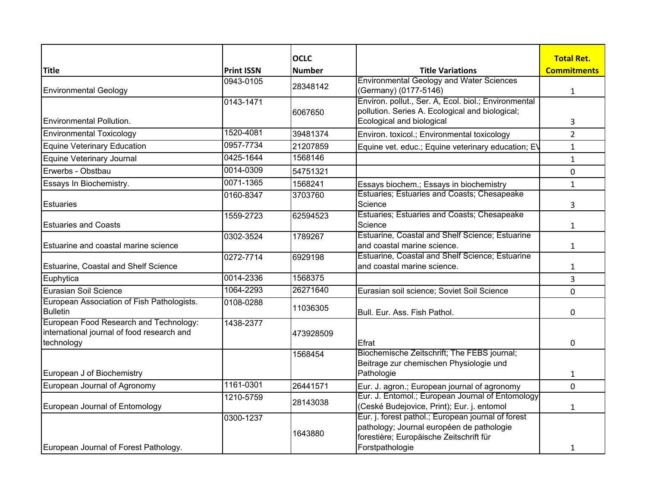|                                                               |                   | <b>OCLC</b>   |                                                                                                 | <b>Total Ret.</b>  |
|---------------------------------------------------------------|-------------------|---------------|-------------------------------------------------------------------------------------------------|--------------------|
| <b>Title</b>                                                  | <b>Print ISSN</b> | <b>Number</b> | <b>Title Variations</b>                                                                         | <b>Commitments</b> |
|                                                               | 0943-0105         |               | <b>Environmental Geology and Water Sciences</b>                                                 |                    |
| <b>Environmental Geology</b>                                  |                   | 28348142      | (Germany) (0177-5146)                                                                           | $\mathbf{1}$       |
|                                                               | 0143-1471         |               | Environ. pollut., Ser. A, Ecol. biol.; Environmental                                            |                    |
| Environmental Pollution.                                      |                   | 6067650       | pollution. Series A. Ecological and biological;<br>Ecological and biological                    | 3                  |
| <b>Environmental Toxicology</b>                               | 1520-4081         | 39481374      | Environ. toxicol.; Environmental toxicology                                                     | $\overline{2}$     |
| <b>Equine Veterinary Education</b>                            | 0957-7734         | 21207859      | Equine vet. educ.; Equine veterinary education; EV                                              | $\mathbf{1}$       |
| Equine Veterinary Journal                                     | 0425-1644         | 1568146       |                                                                                                 | $\mathbf{1}$       |
| Erwerbs - Obstbau                                             | 0014-0309         | 54751321      |                                                                                                 | $\mathbf 0$        |
| Essays In Biochemistry.                                       | 0071-1365         | 1568241       | Essays biochem.; Essays in biochemistry                                                         | $\mathbf{1}$       |
|                                                               | 0160-8347         | 3703760       | Estuaries; Estuaries and Coasts; Chesapeake                                                     |                    |
| <b>Estuaries</b>                                              |                   |               | Science                                                                                         | 3                  |
|                                                               | 1559-2723         | 62594523      | Estuaries; Estuaries and Coasts; Chesapeake                                                     |                    |
| <b>Estuaries and Coasts</b>                                   |                   |               | Science<br>Estuarine, Coastal and Shelf Science; Estuarine                                      | $\mathbf{1}$       |
| Estuarine and coastal marine science                          | 0302-3524         | 1789267       | and coastal marine science.                                                                     | $\mathbf{1}$       |
|                                                               | 0272-7714         | 6929198       | Estuarine, Coastal and Shelf Science; Estuarine                                                 |                    |
| Estuarine, Coastal and Shelf Science                          |                   |               | and coastal marine science.                                                                     | 1                  |
| Euphytica                                                     | 0014-2336         | 1568375       |                                                                                                 | 3                  |
| Eurasian Soil Science                                         | 1064-2293         | 26271640      | Eurasian soil science; Soviet Soil Science                                                      | 0                  |
| European Association of Fish Pathologists.<br><b>Bulletin</b> | 0108-0288         | 11036305      | Bull. Eur. Ass. Fish Pathol.                                                                    | 0                  |
| European Food Research and Technology:                        | 1438-2377         |               |                                                                                                 |                    |
| international journal of food research and                    |                   | 473928509     |                                                                                                 |                    |
| technology                                                    |                   | 1568454       | Efrat<br>Biochemische Zeitschrift; The FEBS journal;                                            | 0                  |
|                                                               |                   |               | Beitrage zur chemischen Physiologie und                                                         |                    |
| European J of Biochemistry                                    |                   |               | Pathologie                                                                                      | $\mathbf{1}$       |
| European Journal of Agronomy                                  | 1161-0301         | 26441571      | Eur. J. agron.; European journal of agronomy                                                    | 0                  |
|                                                               | 1210-5759         | 28143038      | Eur. J. Entomol.; European Journal of Entomology                                                |                    |
| European Journal of Entomology                                |                   |               | (Ceské Budejovice, Print); Eur. j. entomol                                                      | 1                  |
|                                                               | 0300-1237         |               | Eur. j. forest pathol.; European journal of forest<br>pathology; Journal européen de pathologie |                    |
|                                                               |                   | 1643880       | forestière; Europäische Zeitschrift für                                                         |                    |
| European Journal of Forest Pathology.                         |                   |               | Forstpathologie                                                                                 | 1                  |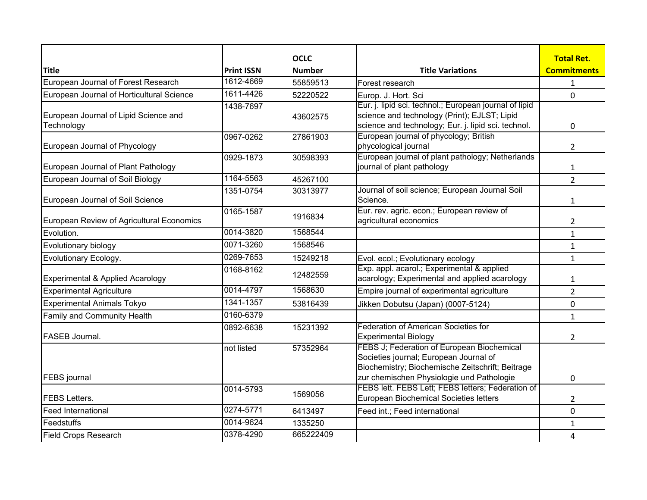|                                           |                   | <b>OCLC</b>   |                                                                                                                                                                                       | <b>Total Ret.</b>  |
|-------------------------------------------|-------------------|---------------|---------------------------------------------------------------------------------------------------------------------------------------------------------------------------------------|--------------------|
| <b>Title</b>                              | <b>Print ISSN</b> | <b>Number</b> | <b>Title Variations</b>                                                                                                                                                               | <b>Commitments</b> |
| European Journal of Forest Research       | 1612-4669         | 55859513      | Forest research                                                                                                                                                                       | 1                  |
| European Journal of Horticultural Science | 1611-4426         | 52220522      | Europ. J. Hort. Sci                                                                                                                                                                   | 0                  |
| European Journal of Lipid Science and     | 1438-7697         | 43602575      | Eur. j. lipid sci. technol.; European journal of lipid<br>science and technology (Print); EJLST; Lipid                                                                                |                    |
| Technology                                |                   |               | science and technology; Eur. j. lipid sci. technol.                                                                                                                                   | 0                  |
| European Journal of Phycology             | 0967-0262         | 27861903      | European journal of phycology; British<br>phycological journal                                                                                                                        | $\overline{2}$     |
| European Journal of Plant Pathology       | 0929-1873         | 30598393      | European journal of plant pathology; Netherlands<br>journal of plant pathology                                                                                                        | 1                  |
| European Journal of Soil Biology          | 1164-5563         | 45267100      |                                                                                                                                                                                       | $\overline{2}$     |
| European Journal of Soil Science          | 1351-0754         | 30313977      | Journal of soil science; European Journal Soil<br>Science.                                                                                                                            | 1                  |
| European Review of Agricultural Economics | 0165-1587         | 1916834       | Eur. rev. agric. econ.; European review of<br>agricultural economics                                                                                                                  | $\overline{2}$     |
| Evolution.                                | 0014-3820         | 1568544       |                                                                                                                                                                                       | $\mathbf{1}$       |
| Evolutionary biology                      | 0071-3260         | 1568546       |                                                                                                                                                                                       | $\mathbf{1}$       |
| Evolutionary Ecology.                     | 0269-7653         | 15249218      | Evol. ecol.; Evolutionary ecology                                                                                                                                                     | $\mathbf{1}$       |
| Experimental & Applied Acarology          | 0168-8162         | 12482559      | Exp. appl. acarol.; Experimental & applied<br>acarology; Experimental and applied acarology                                                                                           | 1                  |
| <b>Experimental Agriculture</b>           | 0014-4797         | 1568630       | Empire journal of experimental agriculture                                                                                                                                            | $\overline{2}$     |
| Experimental Animals Tokyo                | 1341-1357         | 53816439      | Jikken Dobutsu (Japan) (0007-5124)                                                                                                                                                    | 0                  |
| Family and Community Health               | 0160-6379         |               |                                                                                                                                                                                       | $\mathbf{1}$       |
| FASEB Journal.                            | 0892-6638         | 15231392      | <b>Federation of American Societies for</b><br><b>Experimental Biology</b>                                                                                                            | $\overline{2}$     |
| <b>FEBS</b> journal                       | not listed        | 57352964      | FEBS J; Federation of European Biochemical<br>Societies journal; European Journal of<br>Biochemistry; Biochemische Zeitschrift; Beitrage<br>zur chemischen Physiologie und Pathologie | 0                  |
|                                           | 0014-5793         |               | FEBS lett. FEBS Lett; FEBS letters; Federation of                                                                                                                                     |                    |
| <b>FEBS Letters.</b>                      |                   | 1569056       | European Biochemical Societies letters                                                                                                                                                | $\overline{2}$     |
| <b>Feed International</b>                 | 0274-5771         | 6413497       | Feed int.; Feed international                                                                                                                                                         | 0                  |
| Feedstuffs                                | 0014-9624         | 1335250       |                                                                                                                                                                                       | 1                  |
| <b>Field Crops Research</b>               | 0378-4290         | 665222409     |                                                                                                                                                                                       | 4                  |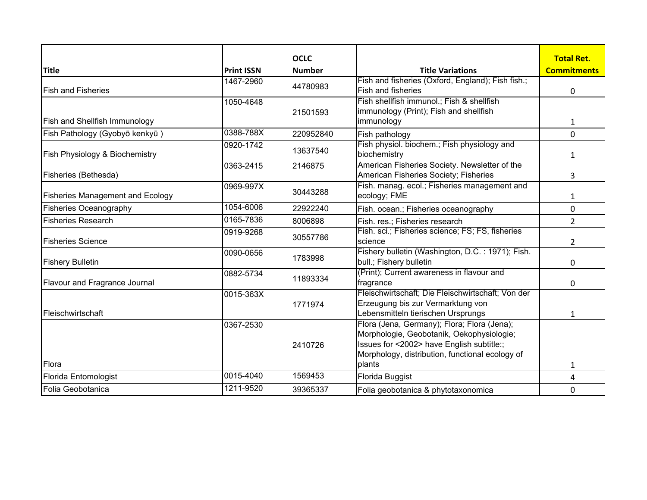|                                         |                   | <b>OCLC</b>   |                                                                                                                                                                                                    | <b>Total Ret.</b>  |
|-----------------------------------------|-------------------|---------------|----------------------------------------------------------------------------------------------------------------------------------------------------------------------------------------------------|--------------------|
| <b>Title</b>                            | <b>Print ISSN</b> | <b>Number</b> | <b>Title Variations</b>                                                                                                                                                                            | <b>Commitments</b> |
| <b>Fish and Fisheries</b>               | 1467-2960         | 44780983      | Fish and fisheries (Oxford, England); Fish fish.;<br><b>Fish and fisheries</b>                                                                                                                     | 0                  |
| <b>Fish and Shellfish Immunology</b>    | 1050-4648         | 21501593      | Fish shellfish immunol.; Fish & shellfish<br>immunology (Print); Fish and shellfish<br>immunology                                                                                                  | 1                  |
| Fish Pathology (Gyobyō kenkyū)          | 0388-788X         | 220952840     | Fish pathology                                                                                                                                                                                     | 0                  |
| Fish Physiology & Biochemistry          | 0920-1742         | 13637540      | Fish physiol. biochem.; Fish physiology and<br>biochemistry                                                                                                                                        | 1                  |
| Fisheries (Bethesda)                    | 0363-2415         | 2146875       | American Fisheries Society. Newsletter of the<br>American Fisheries Society; Fisheries                                                                                                             | 3                  |
| <b>Fisheries Management and Ecology</b> | 0969-997X         | 30443288      | Fish. manag. ecol.; Fisheries management and<br>ecology; FME                                                                                                                                       | 1                  |
| <b>Fisheries Oceanography</b>           | 1054-6006         | 22922240      | Fish. ocean.; Fisheries oceanography                                                                                                                                                               | 0                  |
| <b>Fisheries Research</b>               | 0165-7836         | 8006898       | Fish. res.; Fisheries research                                                                                                                                                                     | $\overline{2}$     |
| <b>Fisheries Science</b>                | 0919-9268         | 30557786      | Fish. sci.; Fisheries science; FS; FS, fisheries<br>science                                                                                                                                        | 2                  |
| <b>Fishery Bulletin</b>                 | 0090-0656         | 1783998       | Fishery bulletin (Washington, D.C.: 1971); Fish.<br>bull.; Fishery bulletin                                                                                                                        | $\mathbf{0}$       |
| <b>Flavour and Fragrance Journal</b>    | 0882-5734         | 11893334      | (Print); Current awareness in flavour and<br>fragrance                                                                                                                                             | 0                  |
| Fleischwirtschaft                       | 0015-363X         | 1771974       | Fleischwirtschaft; Die Fleischwirtschaft; Von der<br>Erzeugung bis zur Vermarktung von<br>Lebensmitteln tierischen Ursprungs                                                                       | 1                  |
| Flora                                   | 0367-2530         | 2410726       | Flora (Jena, Germany); Flora; Flora (Jena);<br>Morphologie, Geobotanik, Oekophysiologie;<br>Issues for <2002> have English subtitle:;<br>Morphology, distribution, functional ecology of<br>plants | 1                  |
| Florida Entomologist                    | 0015-4040         | 1569453       | Florida Buggist                                                                                                                                                                                    | 4                  |
| Folia Geobotanica                       | 1211-9520         | 39365337      | Folia geobotanica & phytotaxonomica                                                                                                                                                                | 0                  |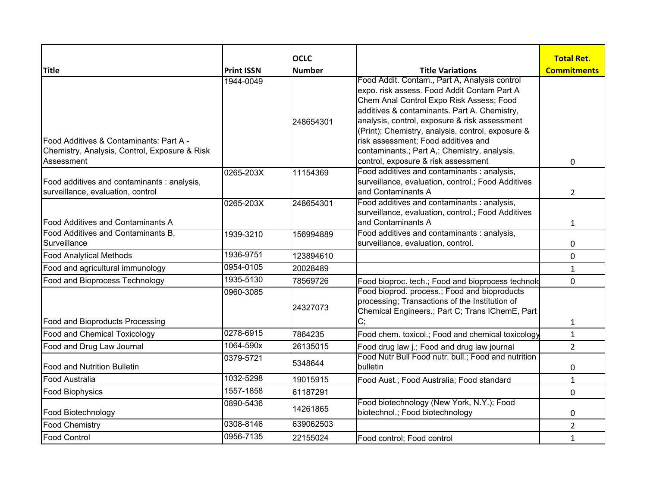|                                                                                                        |                   | <b>OCLC</b>   |                                                                                                                                                                                                                                                                                                                                                                                                                              | <b>Total Ret.</b>  |
|--------------------------------------------------------------------------------------------------------|-------------------|---------------|------------------------------------------------------------------------------------------------------------------------------------------------------------------------------------------------------------------------------------------------------------------------------------------------------------------------------------------------------------------------------------------------------------------------------|--------------------|
| <b>Title</b>                                                                                           | <b>Print ISSN</b> | <b>Number</b> | <b>Title Variations</b>                                                                                                                                                                                                                                                                                                                                                                                                      | <b>Commitments</b> |
| Food Additives & Contaminants: Part A -<br>Chemistry, Analysis, Control, Exposure & Risk<br>Assessment | 1944-0049         | 248654301     | Food Addit. Contam., Part A, Analysis control<br>expo. risk assess. Food Addit Contam Part A<br>Chem Anal Control Expo Risk Assess; Food<br>additives & contaminants. Part A. Chemistry,<br>analysis, control, exposure & risk assessment<br>(Print); Chemistry, analysis, control, exposure &<br>risk assessment; Food additives and<br>contaminants.; Part A,; Chemistry, analysis,<br>control, exposure & risk assessment | 0                  |
| Food additives and contaminants : analysis,<br>surveillance, evaluation, control                       | 0265-203X         | 11154369      | Food additives and contaminants : analysis,<br>surveillance, evaluation, control.; Food Additives<br>and Contaminants A                                                                                                                                                                                                                                                                                                      | $\overline{2}$     |
| Food Additives and Contaminants A                                                                      | 0265-203X         | 248654301     | Food additives and contaminants : analysis,<br>surveillance, evaluation, control.; Food Additives<br>and Contaminants A                                                                                                                                                                                                                                                                                                      | 1                  |
| Food Additives and Contaminants B,<br>Surveillance                                                     | 1939-3210         | 156994889     | Food additives and contaminants : analysis,<br>surveillance, evaluation, control.                                                                                                                                                                                                                                                                                                                                            | 0                  |
| <b>Food Analytical Methods</b>                                                                         | 1936-9751         | 123894610     |                                                                                                                                                                                                                                                                                                                                                                                                                              | 0                  |
| Food and agricultural immunology                                                                       | 0954-0105         | 20028489      |                                                                                                                                                                                                                                                                                                                                                                                                                              | $\mathbf{1}$       |
| Food and Bioprocess Technology                                                                         | 1935-5130         | 78569726      | Food bioproc. tech.; Food and bioprocess technold                                                                                                                                                                                                                                                                                                                                                                            | 0                  |
| Food and Bioproducts Processing                                                                        | 0960-3085         | 24327073      | Food bioprod. process.; Food and bioproducts<br>processing; Transactions of the Institution of<br>Chemical Engineers.; Part C; Trans IChemE, Part<br>C;                                                                                                                                                                                                                                                                      | $\mathbf{1}$       |
| <b>Food and Chemical Toxicology</b>                                                                    | $0278 - 6915$     | 7864235       | Food chem. toxicol.; Food and chemical toxicology                                                                                                                                                                                                                                                                                                                                                                            | $\mathbf{1}$       |
| Food and Drug Law Journal                                                                              | 1064-590x         | 26135015      | Food drug law j.; Food and drug law journal                                                                                                                                                                                                                                                                                                                                                                                  | $\overline{2}$     |
| Food and Nutrition Bulletin                                                                            | 0379-5721         | 5348644       | Food Nutr Bull Food nutr. bull.; Food and nutrition<br>bulletin                                                                                                                                                                                                                                                                                                                                                              | 0                  |
| <b>Food Australia</b>                                                                                  | 1032-5298         | 19015915      | Food Aust.; Food Australia; Food standard                                                                                                                                                                                                                                                                                                                                                                                    | $\mathbf{1}$       |
| <b>Food Biophysics</b>                                                                                 | 1557-1858         | 61187291      |                                                                                                                                                                                                                                                                                                                                                                                                                              | $\mathbf 0$        |
| Food Biotechnology                                                                                     | 0890-5436         | 14261865      | Food biotechnology (New York, N.Y.); Food<br>biotechnol.; Food biotechnology                                                                                                                                                                                                                                                                                                                                                 | 0                  |
| <b>Food Chemistry</b>                                                                                  | 0308-8146         | 639062503     |                                                                                                                                                                                                                                                                                                                                                                                                                              | $\overline{2}$     |
| <b>Food Control</b>                                                                                    | 0956-7135         | 22155024      | Food control; Food control                                                                                                                                                                                                                                                                                                                                                                                                   | $\mathbf{1}$       |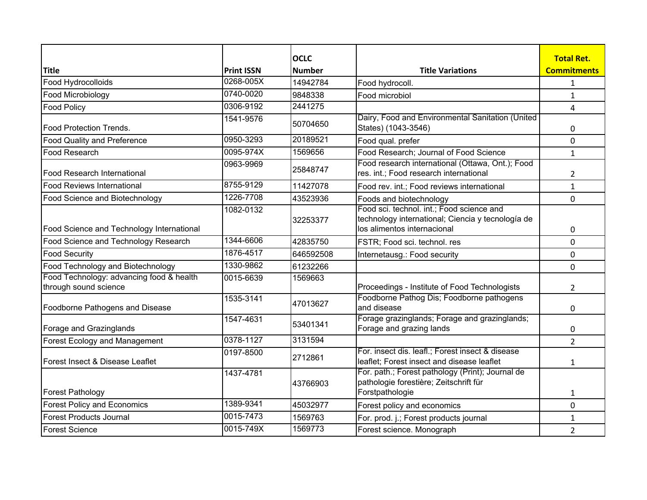|                                                                   |                   | <b>OCLC</b>   |                                                                                                                               | <b>Total Ret.</b>  |
|-------------------------------------------------------------------|-------------------|---------------|-------------------------------------------------------------------------------------------------------------------------------|--------------------|
| <b>Title</b>                                                      | <b>Print ISSN</b> | <b>Number</b> | <b>Title Variations</b>                                                                                                       | <b>Commitments</b> |
| Food Hydrocolloids                                                | 0268-005X         | 14942784      | Food hydrocoll.                                                                                                               | 1                  |
| Food Microbiology                                                 | 0740-0020         | 9848338       | Food microbiol                                                                                                                | $\mathbf{1}$       |
| <b>Food Policy</b>                                                | 0306-9192         | 2441275       |                                                                                                                               | 4                  |
| <b>Food Protection Trends.</b>                                    | 1541-9576         | 50704650      | Dairy, Food and Environmental Sanitation (United<br>States) (1043-3546)                                                       | 0                  |
| <b>Food Quality and Preference</b>                                | 0950-3293         | 20189521      | Food qual. prefer                                                                                                             | $\mathbf 0$        |
| Food Research                                                     | 0095-974X         | 1569656       | Food Research; Journal of Food Science                                                                                        | $\mathbf{1}$       |
| Food Research International                                       | 0963-9969         | 25848747      | Food research international (Ottawa, Ont.); Food<br>res. int.; Food research international                                    | $\overline{2}$     |
| <b>Food Reviews International</b>                                 | 8755-9129         | 11427078      | Food rev. int.; Food reviews international                                                                                    | $\mathbf{1}$       |
| Food Science and Biotechnology                                    | 1226-7708         | 43523936      | Foods and biotechnology                                                                                                       | 0                  |
| Food Science and Technology International                         | 1082-0132         | 32253377      | Food sci. technol. int.; Food science and<br>technology international; Ciencia y tecnología de<br>los alimentos internacional | 0                  |
| Food Science and Technology Research                              | 1344-6606         | 42835750      | FSTR; Food sci. technol. res                                                                                                  | 0                  |
| <b>Food Security</b>                                              | 1876-4517         | 646592508     | Internetausg.: Food security                                                                                                  | $\pmb{0}$          |
| Food Technology and Biotechnology                                 | 1330-9862         | 61232266      |                                                                                                                               | 0                  |
| Food Technology: advancing food & health<br>through sound science | 0015-6639         | 1569663       | Proceedings - Institute of Food Technologists                                                                                 | $\overline{2}$     |
| Foodborne Pathogens and Disease                                   | 1535-3141         | 47013627      | Foodborne Pathog Dis; Foodborne pathogens<br>and disease                                                                      | 0                  |
| Forage and Grazinglands                                           | 1547-4631         | 53401341      | Forage grazinglands; Forage and grazinglands;<br>Forage and grazing lands                                                     | 0                  |
| Forest Ecology and Management                                     | 0378-1127         | 3131594       |                                                                                                                               | $\overline{2}$     |
| Forest Insect & Disease Leaflet                                   | 0197-8500         | 2712861       | For. insect dis. leafl.; Forest insect & disease<br>leaflet; Forest insect and disease leaflet                                | $\mathbf{1}$       |
| Forest Pathology                                                  | 1437-4781         | 43766903      | For. path.; Forest pathology (Print); Journal de<br>pathologie forestière; Zeitschrift für<br>Forstpathologie                 | 1                  |
| <b>Forest Policy and Economics</b>                                | 1389-9341         | 45032977      | Forest policy and economics                                                                                                   | $\Omega$           |
| Forest Products Journal                                           | 0015-7473         | 1569763       | For. prod. j.; Forest products journal                                                                                        | 1                  |
| Forest Science                                                    | 0015-749X         | 1569773       | Forest science. Monograph                                                                                                     | $\overline{2}$     |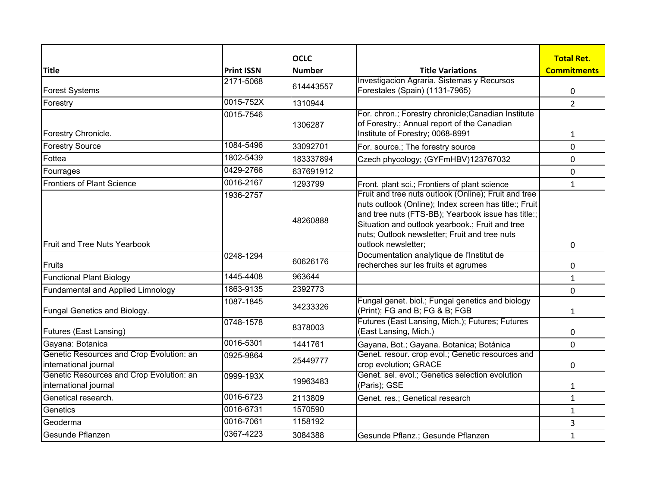|                                                                   |                   | <b>OCLC</b>   |                                                                                                                                                                                                                                                                                                | <b>Total Ret.</b>  |
|-------------------------------------------------------------------|-------------------|---------------|------------------------------------------------------------------------------------------------------------------------------------------------------------------------------------------------------------------------------------------------------------------------------------------------|--------------------|
| <b>Title</b>                                                      | <b>Print ISSN</b> | <b>Number</b> | <b>Title Variations</b>                                                                                                                                                                                                                                                                        | <b>Commitments</b> |
| <b>Forest Systems</b>                                             | 2171-5068         | 614443557     | Investigacion Agraria. Sistemas y Recursos<br>Forestales (Spain) (1131-7965)                                                                                                                                                                                                                   | 0                  |
| Forestry                                                          | 0015-752X         | 1310944       |                                                                                                                                                                                                                                                                                                | $\overline{2}$     |
| Forestry Chronicle.                                               | 0015-7546         | 1306287       | For. chron.; Forestry chronicle; Canadian Institute<br>of Forestry.; Annual report of the Canadian<br>Institute of Forestry; 0068-8991                                                                                                                                                         | $\mathbf{1}$       |
| <b>Forestry Source</b>                                            | 1084-5496         | 33092701      | For. source.; The forestry source                                                                                                                                                                                                                                                              | 0                  |
| Fottea                                                            | 1802-5439         | 183337894     | Czech phycology; (GYFmHBV)123767032                                                                                                                                                                                                                                                            | $\mathbf{0}$       |
| Fourrages                                                         | 0429-2766         | 637691912     |                                                                                                                                                                                                                                                                                                | 0                  |
| <b>Frontiers of Plant Science</b>                                 | 0016-2167         | 1293799       | Front. plant sci.; Frontiers of plant science                                                                                                                                                                                                                                                  | $\mathbf{1}$       |
| <b>Fruit and Tree Nuts Yearbook</b>                               | 1936-2757         | 48260888      | Fruit and tree nuts outlook (Online); Fruit and tree<br>nuts outlook (Online); Index screen has title:; Fruit<br>and tree nuts (FTS-BB); Yearbook issue has title:;<br>Situation and outlook yearbook.; Fruit and tree<br>nuts; Outlook newsletter; Fruit and tree nuts<br>outlook newsletter; | 0                  |
|                                                                   | 0248-1294         |               | Documentation analytique de l'Institut de                                                                                                                                                                                                                                                      |                    |
| Fruits                                                            |                   | 60626176      | recherches sur les fruits et agrumes                                                                                                                                                                                                                                                           | 0                  |
| <b>Functional Plant Biology</b>                                   | 1445-4408         | 963644        |                                                                                                                                                                                                                                                                                                | $\mathbf 1$        |
| Fundamental and Applied Limnology                                 | 1863-9135         | 2392773       |                                                                                                                                                                                                                                                                                                | 0                  |
| <b>Fungal Genetics and Biology.</b>                               | 1087-1845         | 34233326      | Fungal genet. biol.; Fungal genetics and biology<br>(Print); FG and B; FG & B; FGB                                                                                                                                                                                                             | $\mathbf{1}$       |
| <b>Futures (East Lansing)</b>                                     | 0748-1578         | 8378003       | Futures (East Lansing, Mich.); Futures; Futures<br>(East Lansing, Mich.)                                                                                                                                                                                                                       | 0                  |
| Gayana: Botanica                                                  | 0016-5301         | 1441761       | Gayana, Bot.; Gayana. Botanica; Botánica                                                                                                                                                                                                                                                       | 0                  |
| Genetic Resources and Crop Evolution: an<br>international journal | 0925-9864         | 25449777      | Genet. resour. crop evol.; Genetic resources and<br>crop evolution; GRACE                                                                                                                                                                                                                      | 0                  |
| Genetic Resources and Crop Evolution: an<br>international journal | 0999-193X         | 19963483      | Genet. sel. evol.; Genetics selection evolution<br>(Paris); GSE                                                                                                                                                                                                                                | 1                  |
| Genetical research.                                               | 0016-6723         | 2113809       | Genet. res.; Genetical research                                                                                                                                                                                                                                                                | $\mathbf{1}$       |
| Genetics                                                          | 0016-6731         | 1570590       |                                                                                                                                                                                                                                                                                                | $\mathbf 1$        |
| Geoderma                                                          | 0016-7061         | 1158192       |                                                                                                                                                                                                                                                                                                | 3                  |
| Gesunde Pflanzen                                                  | 0367-4223         | 3084388       | Gesunde Pflanz.; Gesunde Pflanzen                                                                                                                                                                                                                                                              | $\mathbf 1$        |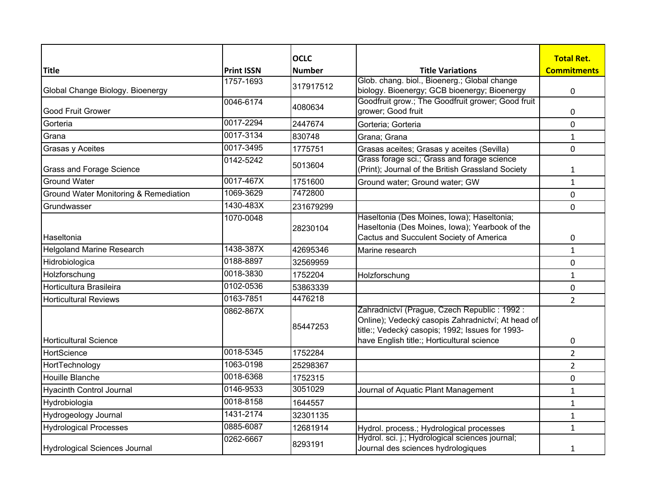|                                       |                   | <b>OCLC</b>   |                                                                                                                                         | <b>Total Ret.</b>  |
|---------------------------------------|-------------------|---------------|-----------------------------------------------------------------------------------------------------------------------------------------|--------------------|
| <b>Title</b>                          | <b>Print ISSN</b> | <b>Number</b> | <b>Title Variations</b>                                                                                                                 | <b>Commitments</b> |
|                                       | 1757-1693         | 317917512     | Glob. chang. biol., Bioenerg.; Global change                                                                                            |                    |
| Global Change Biology. Bioenergy      |                   |               | biology. Bioenergy; GCB bioenergy; Bioenergy                                                                                            | $\pmb{0}$          |
| <b>Good Fruit Grower</b>              | 0046-6174         | 4080634       | Goodfruit grow.; The Goodfruit grower; Good fruit<br>grower; Good fruit                                                                 | 0                  |
| Gorteria                              | 0017-2294         | 2447674       | Gorteria; Gorteria                                                                                                                      | 0                  |
| Grana                                 | 0017-3134         | 830748        | Grana; Grana                                                                                                                            | $\mathbf{1}$       |
| Grasas y Aceites                      | 0017-3495         | 1775751       | Grasas aceites; Grasas y aceites (Sevilla)                                                                                              | $\mathbf 0$        |
| <b>Grass and Forage Science</b>       | 0142-5242         | 5013604       | Grass forage sci.; Grass and forage science<br>(Print); Journal of the British Grassland Society                                        | $\mathbf{1}$       |
| <b>Ground Water</b>                   | 0017-467X         | 1751600       | Ground water; Ground water; GW                                                                                                          | $\mathbf{1}$       |
| Ground Water Monitoring & Remediation | 1069-3629         | 7472800       |                                                                                                                                         | 0                  |
| Grundwasser                           | 1430-483X         | 231679299     |                                                                                                                                         | 0                  |
| Haseltonia                            | 1070-0048         | 28230104      | Haseltonia (Des Moines, Iowa); Haseltonia;<br>Haseltonia (Des Moines, Iowa); Yearbook of the<br>Cactus and Succulent Society of America |                    |
| <b>Helgoland Marine Research</b>      | 1438-387X         | 42695346      |                                                                                                                                         | 0                  |
| Hidrobiologica                        | 0188-8897         | 32569959      | Marine research                                                                                                                         | $\mathbf{1}$       |
| Holzforschung                         | 0018-3830         | 1752204       |                                                                                                                                         | 0                  |
| Horticultura Brasileira               | 0102-0536         | 53863339      | Holzforschung                                                                                                                           | $\mathbf{1}$       |
|                                       | 0163-7851         | 4476218       |                                                                                                                                         | $\pmb{0}$          |
| <b>Horticultural Reviews</b>          | 0862-867X         |               | Zahradnictví (Prague, Czech Republic: 1992:                                                                                             | $\overline{2}$     |
|                                       |                   | 85447253      | Online); Vedecký casopis Zahradnictví; At head of<br>title:; Vedecký casopis; 1992; Issues for 1993-                                    |                    |
| Horticultural Science                 |                   |               | have English title:; Horticultural science                                                                                              | 0                  |
| HortScience                           | 0018-5345         | 1752284       |                                                                                                                                         | $\overline{2}$     |
| HortTechnology                        | 1063-0198         | 25298367      |                                                                                                                                         | $\overline{2}$     |
| Houille Blanche                       | 0018-6368         | 1752315       |                                                                                                                                         | 0                  |
| <b>Hyacinth Control Journal</b>       | 0146-9533         | 3051029       | Journal of Aquatic Plant Management                                                                                                     | $\mathbf{1}$       |
| Hydrobiologia                         | 0018-8158         | 1644557       |                                                                                                                                         | $\mathbf{1}$       |
| Hydrogeology Journal                  | 1431-2174         | 32301135      |                                                                                                                                         | $\mathbf{1}$       |
| <b>Hydrological Processes</b>         | 0885-6087         | 12681914      | Hydrol. process.; Hydrological processes                                                                                                | $\mathbf{1}$       |
| Hydrological Sciences Journal         | 0262-6667         | 8293191       | Hydrol. sci. j.; Hydrological sciences journal;<br>Journal des sciences hydrologiques                                                   | 1                  |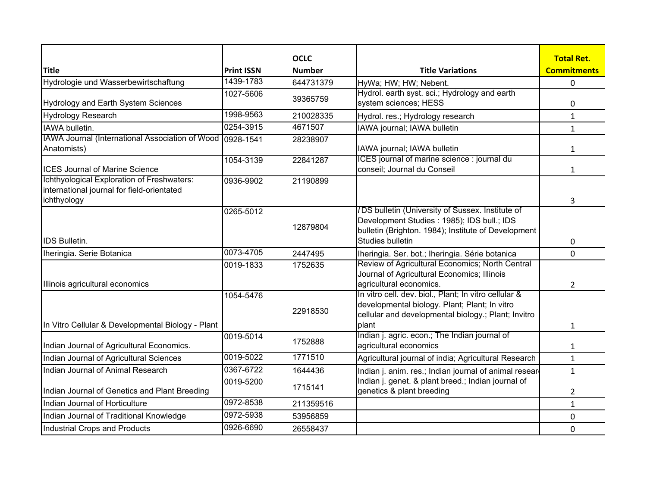| <b>Title</b>                                                                                            | <b>Print ISSN</b> | <b>OCLC</b><br><b>Number</b> | <b>Title Variations</b>                                                                                                                                                    | <b>Total Ret.</b><br><b>Commitments</b> |
|---------------------------------------------------------------------------------------------------------|-------------------|------------------------------|----------------------------------------------------------------------------------------------------------------------------------------------------------------------------|-----------------------------------------|
| Hydrologie und Wasserbewirtschaftung                                                                    | 1439-1783         | 644731379                    |                                                                                                                                                                            |                                         |
|                                                                                                         | 1027-5606         |                              | HyWa; HW; HW; Nebent.<br>Hydrol. earth syst. sci.; Hydrology and earth                                                                                                     | 0                                       |
| Hydrology and Earth System Sciences                                                                     |                   | 39365759                     | system sciences; HESS                                                                                                                                                      | 0                                       |
| Hydrology Research                                                                                      | 1998-9563         | 210028335                    | Hydrol. res.; Hydrology research                                                                                                                                           | $\mathbf{1}$                            |
| IAWA bulletin.                                                                                          | 0254-3915         | 4671507                      | IAWA journal; IAWA bulletin                                                                                                                                                | $\mathbf{1}$                            |
| IAWA Journal (International Association of Wood 0928-1541<br>Anatomists)                                |                   | 28238907                     | IAWA journal; IAWA bulletin                                                                                                                                                | $\mathbf{1}$                            |
| <b>ICES Journal of Marine Science</b>                                                                   | 1054-3139         | 22841287                     | ICES journal of marine science : journal du<br>conseil; Journal du Conseil                                                                                                 | $\mathbf{1}$                            |
| Ichthyological Exploration of Freshwaters:<br>international journal for field-orientated<br>ichthyology | 0936-9902         | 21190899                     |                                                                                                                                                                            | 3                                       |
| <b>IDS Bulletin.</b>                                                                                    | 0265-5012         | 12879804                     | /DS bulletin (University of Sussex. Institute of<br>Development Studies : 1985); IDS bull.; IDS<br>bulletin (Brighton. 1984); Institute of Development<br>Studies bulletin | 0                                       |
| Iheringia. Serie Botanica                                                                               | 0073-4705         | 2447495                      | Iheringia. Ser. bot.; Iheringia. Série botanica                                                                                                                            | 0                                       |
| Illinois agricultural economics                                                                         | 0019-1833         | 1752635                      | Review of Agricultural Economics; North Central<br>Journal of Agricultural Economics; Illinois<br>agricultural economics.                                                  | $\overline{2}$                          |
| In Vitro Cellular & Developmental Biology - Plant                                                       | 1054-5476         | 22918530                     | In vitro cell. dev. biol., Plant; In vitro cellular &<br>developmental biology. Plant; Plant; In vitro<br>cellular and developmental biology.; Plant; Invitro<br>plant     | $\mathbf{1}$                            |
| Indian Journal of Agricultural Economics.                                                               | 0019-5014         | 1752888                      | Indian j. agric. econ.; The Indian journal of<br>agricultural economics                                                                                                    | $\mathbf{1}$                            |
| Indian Journal of Agricultural Sciences                                                                 | 0019-5022         | 1771510                      | Agricultural journal of india; Agricultural Research                                                                                                                       | $\mathbf{1}$                            |
| Indian Journal of Animal Research                                                                       | 0367-6722         | 1644436                      | Indian j. anim. res.; Indian journal of animal resear                                                                                                                      | $\mathbf{1}$                            |
| Indian Journal of Genetics and Plant Breeding                                                           | 0019-5200         | 1715141                      | Indian j. genet. & plant breed.; Indian journal of<br>genetics & plant breeding                                                                                            | $\overline{2}$                          |
| Indian Journal of Horticulture                                                                          | 0972-8538         | 211359516                    |                                                                                                                                                                            | $\mathbf{1}$                            |
| Indian Journal of Traditional Knowledge                                                                 | 0972-5938         | 53956859                     |                                                                                                                                                                            | 0                                       |
| Industrial Crops and Products                                                                           | 0926-6690         | 26558437                     |                                                                                                                                                                            | $\mathbf 0$                             |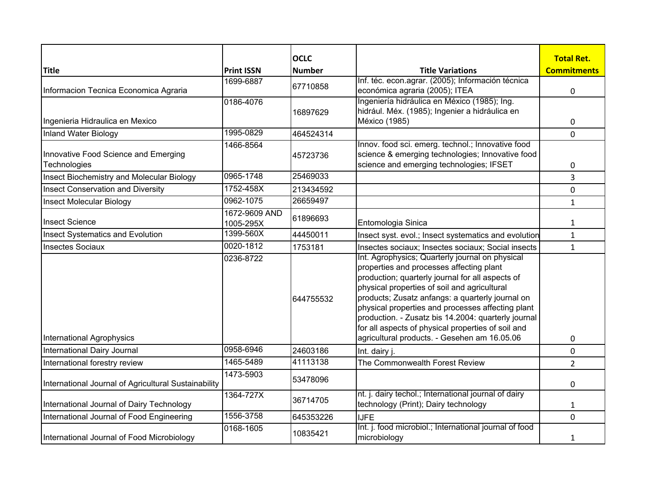|                                                      |                            | <b>OCLC</b>   |                                                                                                                                                                                                                                                                                                                                                                                                                       | <b>Total Ret.</b>  |
|------------------------------------------------------|----------------------------|---------------|-----------------------------------------------------------------------------------------------------------------------------------------------------------------------------------------------------------------------------------------------------------------------------------------------------------------------------------------------------------------------------------------------------------------------|--------------------|
| <b>Title</b>                                         | <b>Print ISSN</b>          | <b>Number</b> | <b>Title Variations</b>                                                                                                                                                                                                                                                                                                                                                                                               | <b>Commitments</b> |
| Informacion Tecnica Economica Agraria                | 1699-6887                  | 67710858      | Inf. téc. econ.agrar. (2005); Información técnica<br>económica agraria (2005); ITEA                                                                                                                                                                                                                                                                                                                                   | $\mathbf 0$        |
| Ingenieria Hidraulica en Mexico                      | 0186-4076                  | 16897629      | Ingeniería hidráulica en México (1985); Ing.<br>hidrául. Méx. (1985); Ingenier a hidráulica en<br>México (1985)                                                                                                                                                                                                                                                                                                       | 0                  |
| <b>Inland Water Biology</b>                          | 1995-0829                  | 464524314     |                                                                                                                                                                                                                                                                                                                                                                                                                       | $\mathbf 0$        |
| Innovative Food Science and Emerging<br>Technologies | 1466-8564                  | 45723736      | Innov. food sci. emerg. technol.; Innovative food<br>science & emerging technologies; Innovative food<br>science and emerging technologies; IFSET                                                                                                                                                                                                                                                                     | 0                  |
| Insect Biochemistry and Molecular Biology            | 0965-1748                  | 25469033      |                                                                                                                                                                                                                                                                                                                                                                                                                       | 3                  |
| <b>Insect Conservation and Diversity</b>             | 1752-458X                  | 213434592     |                                                                                                                                                                                                                                                                                                                                                                                                                       | 0                  |
| <b>Insect Molecular Biology</b>                      | 0962-1075                  | 26659497      |                                                                                                                                                                                                                                                                                                                                                                                                                       | $\mathbf{1}$       |
| <b>Insect Science</b>                                | 1672-9609 AND<br>1005-295X | 61896693      | Entomologia Sinica                                                                                                                                                                                                                                                                                                                                                                                                    | 1                  |
| <b>Insect Systematics and Evolution</b>              | 1399-560X                  | 44450011      | Insect syst. evol.; Insect systematics and evolution                                                                                                                                                                                                                                                                                                                                                                  | $\mathbf{1}$       |
| <b>Insectes Sociaux</b>                              | 0020-1812                  | 1753181       | Insectes sociaux; Insectes sociaux; Social insects                                                                                                                                                                                                                                                                                                                                                                    | $\mathbf{1}$       |
|                                                      | 0236-8722                  | 644755532     | Int. Agrophysics; Quarterly journal on physical<br>properties and processes affecting plant<br>production; quarterly journal for all aspects of<br>physical properties of soil and agricultural<br>products; Zusatz anfangs: a quarterly journal on<br>physical properties and processes affecting plant<br>production. - Zusatz bis 14.2004: quarterly journal<br>for all aspects of physical properties of soil and |                    |
| International Agrophysics                            |                            |               | agricultural products. - Gesehen am 16.05.06                                                                                                                                                                                                                                                                                                                                                                          | 0                  |
| International Dairy Journal                          | 0958-6946                  | 24603186      | Int. dairy j.                                                                                                                                                                                                                                                                                                                                                                                                         | 0                  |
| International forestry review                        | 1465-5489                  | 41113138      | The Commonwealth Forest Review                                                                                                                                                                                                                                                                                                                                                                                        | $\overline{2}$     |
| International Journal of Agricultural Sustainability | 1473-5903                  | 53478096      |                                                                                                                                                                                                                                                                                                                                                                                                                       | 0                  |
| International Journal of Dairy Technology            | 1364-727X                  | 36714705      | nt. j. dairy techol.; International journal of dairy<br>technology (Print); Dairy technology                                                                                                                                                                                                                                                                                                                          | 1                  |
| International Journal of Food Engineering            | 1556-3758                  | 645353226     | <b>IJFE</b>                                                                                                                                                                                                                                                                                                                                                                                                           | 0                  |
| International Journal of Food Microbiology           | 0168-1605                  | 10835421      | Int. j. food microbiol.; International journal of food<br>microbiology                                                                                                                                                                                                                                                                                                                                                | $\mathbf{1}$       |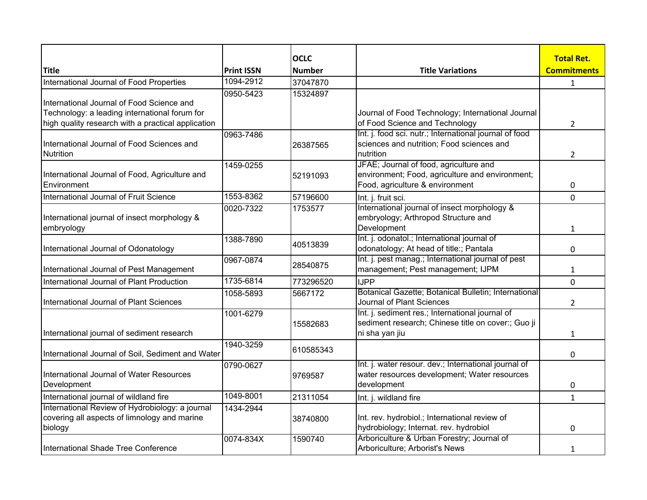|                                                                                                            |                   | <b>OCLC</b>   |                                                                                                                              | <b>Total Ret.</b>  |
|------------------------------------------------------------------------------------------------------------|-------------------|---------------|------------------------------------------------------------------------------------------------------------------------------|--------------------|
| <b>Title</b>                                                                                               | <b>Print ISSN</b> | <b>Number</b> | <b>Title Variations</b>                                                                                                      | <b>Commitments</b> |
| International Journal of Food Properties                                                                   | 1094-2912         | 37047870      |                                                                                                                              | $\mathbf{1}$       |
| International Journal of Food Science and<br>Technology: a leading international forum for                 | 0950-5423         | 15324897      | Journal of Food Technology; International Journal                                                                            |                    |
| high quality research with a practical application                                                         |                   |               | of Food Science and Technology                                                                                               | $\overline{2}$     |
| International Journal of Food Sciences and<br><b>Nutrition</b>                                             | 0963-7486         | 26387565      | Int. j. food sci. nutr.; International journal of food<br>sciences and nutrition; Food sciences and<br>nutrition             | 2                  |
| International Journal of Food, Agriculture and<br>Environment                                              | 1459-0255         | 52191093      | JFAE; Journal of food, agriculture and<br>environment; Food, agriculture and environment;<br>Food, agriculture & environment | 0                  |
| International Journal of Fruit Science                                                                     | 1553-8362         | 57196600      | Int. j. fruit sci.                                                                                                           | $\Omega$           |
| International journal of insect morphology &<br>embryology                                                 | 0020-7322         | 1753577       | International journal of insect morphology &<br>embryology; Arthropod Structure and<br>Development                           | 1                  |
| International Journal of Odonatology                                                                       | 1388-7890         | 40513839      | Int. j. odonatol.; International journal of<br>odonatology; At head of title:; Pantala                                       | 0                  |
| International Journal of Pest Management                                                                   | 0967-0874         | 28540875      | Int. j. pest manag.; International journal of pest<br>management; Pest management; IJPM                                      | $\mathbf{1}$       |
| International Journal of Plant Production                                                                  | 1735-6814         | 773296520     | <b>IJPP</b>                                                                                                                  | 0                  |
| International Journal of Plant Sciences                                                                    | 1058-5893         | 5667172       | Botanical Gazette; Botanical Bulletin; International<br>Journal of Plant Sciences                                            | $\overline{2}$     |
| International journal of sediment research                                                                 | 1001-6279         | 15582683      | Int. j. sediment res.; International journal of<br>sediment research; Chinese title on cover:; Guo ji<br>ni sha yan jiu      | $\mathbf{1}$       |
| International Journal of Soil, Sediment and Water                                                          | 1940-3259         | 610585343     |                                                                                                                              | 0                  |
| International Journal of Water Resources<br>Development                                                    | 0790-0627         | 9769587       | Int. j. water resour. dev.; International journal of<br>water resources development; Water resources<br>development          | 0                  |
| International journal of wildland fire                                                                     | 1049-8001         | 21311054      | Int. j. wildland fire                                                                                                        | $\mathbf{1}$       |
| International Review of Hydrobiology: a journal<br>covering all aspects of limnology and marine<br>biology | 1434-2944         | 38740800      | Int. rev. hydrobiol.; International review of<br>hydrobiology; Internat. rev. hydrobiol                                      | 0                  |
| International Shade Tree Conference                                                                        | 0074-834X         | 1590740       | Arboriculture & Urban Forestry; Journal of<br>Arboriculture; Arborist's News                                                 | 1                  |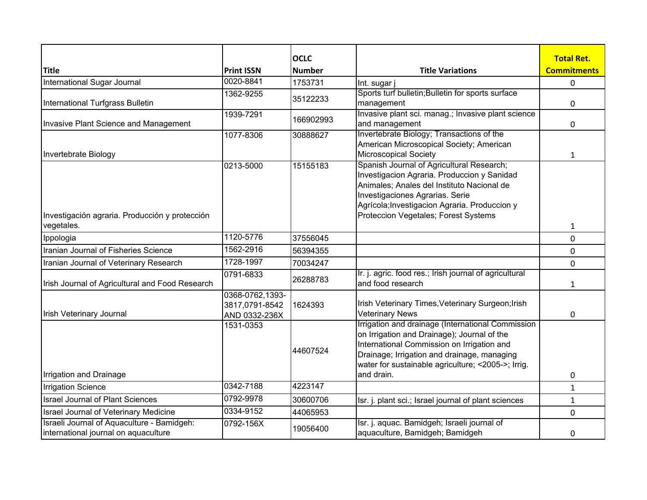|                                                 |                   | <b>OCLC</b>   |                                                                                       | <b>Total Ret.</b>  |
|-------------------------------------------------|-------------------|---------------|---------------------------------------------------------------------------------------|--------------------|
| <b>Title</b>                                    | <b>Print ISSN</b> | <b>Number</b> | <b>Title Variations</b>                                                               | <b>Commitments</b> |
| International Sugar Journal                     | 0020-8841         | 1753731       | Int. sugar j                                                                          | 0                  |
|                                                 | 1362-9255         | 35122233      | Sports turf bulletin; Bulletin for sports surface                                     |                    |
| International Turfgrass Bulletin                |                   |               | management                                                                            | 0                  |
|                                                 | 1939-7291         | 166902993     | Invasive plant sci. manag.; Invasive plant science                                    |                    |
| Invasive Plant Science and Management           |                   |               | and management                                                                        | 0                  |
|                                                 | 1077-8306         | 30888627      | Invertebrate Biology; Transactions of the<br>American Microscopical Society; American |                    |
| Invertebrate Biology                            |                   |               | <b>Microscopical Society</b>                                                          | $\mathbf{1}$       |
|                                                 | 0213-5000         | 15155183      | Spanish Journal of Agricultural Research;                                             |                    |
|                                                 |                   |               | Investigacion Agraria. Produccion y Sanidad                                           |                    |
|                                                 |                   |               | Animales; Anales del Instituto Nacional de                                            |                    |
|                                                 |                   |               | Investigaciones Agrarias. Serie                                                       |                    |
|                                                 |                   |               | Agrícola; Investigacion Agraria. Produccion y                                         |                    |
| Investigación agraria. Producción y protección  |                   |               | Proteccion Vegetales; Forest Systems                                                  |                    |
| vegetales.                                      |                   |               |                                                                                       | $\mathbf{1}$       |
| Ippologia                                       | 1120-5776         | 37556045      |                                                                                       | 0                  |
| Iranian Journal of Fisheries Science            | 1562-2916         | 56394355      |                                                                                       | 0                  |
| Iranian Journal of Veterinary Research          | 1728-1997         | 70034247      |                                                                                       | 0                  |
|                                                 | 0791-6833         | 26288783      | Ir. j. agric. food res.; Irish journal of agricultural                                |                    |
| Irish Journal of Agricultural and Food Research |                   |               | and food research                                                                     | 1                  |
|                                                 | 0368-0762,1393-   |               |                                                                                       |                    |
|                                                 | 3817,0791-8542    | 1624393       | Irish Veterinary Times, Veterinary Surgeon; Irish                                     |                    |
| <b>Irish Veterinary Journal</b>                 | AND 0332-236X     |               | <b>Veterinary News</b><br>Irrigation and drainage (International Commission           | 0                  |
|                                                 | 1531-0353         |               | on Irrigation and Drainage); Journal of the                                           |                    |
|                                                 |                   |               | International Commission on Irrigation and                                            |                    |
|                                                 |                   | 44607524      | Drainage; Irrigation and drainage, managing                                           |                    |
|                                                 |                   |               | water for sustainable agriculture; <2005->; Irrig.                                    |                    |
| Irrigation and Drainage                         |                   |               | and drain.                                                                            | 0                  |
| <b>Irrigation Science</b>                       | 0342-7188         | 4223147       |                                                                                       | $\mathbf{1}$       |
| <b>Israel Journal of Plant Sciences</b>         | 0792-9978         | 30600706      | Isr. j. plant sci.; Israel journal of plant sciences                                  | $\mathbf{1}$       |
| Israel Journal of Veterinary Medicine           | 0334-9152         | 44065953      |                                                                                       | 0                  |
| Israeli Journal of Aquaculture - Bamidgeh:      | 0792-156X         | 19056400      | Isr. j. aquac. Bamidgeh; Israeli journal of                                           |                    |
| international journal on aquaculture            |                   |               | aquaculture, Bamidgeh; Bamidgeh                                                       | 0                  |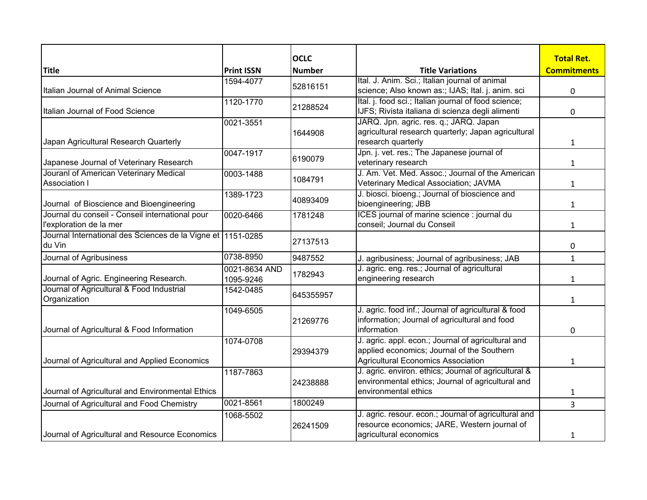|                                                                            |                            | <b>OCLC</b>   |                                                                                                                                        | <b>Total Ret.</b>  |
|----------------------------------------------------------------------------|----------------------------|---------------|----------------------------------------------------------------------------------------------------------------------------------------|--------------------|
| <b>Title</b>                                                               | <b>Print ISSN</b>          | <b>Number</b> | <b>Title Variations</b>                                                                                                                | <b>Commitments</b> |
| Italian Journal of Animal Science                                          | 1594-4077                  | 52816151      | Ital. J. Anim. Sci.; Italian journal of animal<br>science; Also known as:; IJAS; Ital. j. anim. sci                                    | $\pmb{0}$          |
| Italian Journal of Food Science                                            | 1120-1770                  | 21288524      | Ital. j. food sci.; Italian journal of food science;<br>IJFS; Rivista italiana di scienza degli alimenti                               | 0                  |
| Japan Agricultural Research Quarterly                                      | 0021-3551                  | 1644908       | JARQ. Jpn. agric. res. q.; JARQ. Japan<br>agricultural research quarterly; Japan agricultural<br>research quarterly                    | $\mathbf{1}$       |
| Japanese Journal of Veterinary Research                                    | 0047-1917                  | 6190079       | Jpn. j. vet. res.; The Japanese journal of<br>veterinary research                                                                      | $\mathbf{1}$       |
| Jouranl of American Veterinary Medical<br><b>Association I</b>             | 0003-1488                  | 1084791       | J. Am. Vet. Med. Assoc.; Journal of the American<br>Veterinary Medical Association; JAVMA                                              | $\mathbf{1}$       |
| Journal of Bioscience and Bioengineering                                   | 1389-1723                  | 40893409      | J. biosci. bioeng.; Journal of bioscience and<br>bioengineering; JBB                                                                   | $\mathbf{1}$       |
| Journal du conseil - Conseil international pour<br>l'exploration de la mer | 0020-6466                  | 1781248       | ICES journal of marine science : journal du<br>conseil; Journal du Conseil                                                             | $\mathbf{1}$       |
| Journal International des Sciences de la Vigne et 1151-0285<br>du Vin      |                            | 27137513      |                                                                                                                                        | 0                  |
| Journal of Agribusiness                                                    | 0738-8950                  | 9487552       | J. agribusiness; Journal of agribusiness; JAB                                                                                          | $\mathbf{1}$       |
| Journal of Agric. Engineering Research.                                    | 0021-8634 AND<br>1095-9246 | 1782943       | J. agric. eng. res.; Journal of agricultural<br>engineering research                                                                   | $\mathbf{1}$       |
| Journal of Agricultural & Food Industrial<br>Organization                  | 1542-0485                  | 645355957     |                                                                                                                                        | $\mathbf{1}$       |
| Journal of Agricultural & Food Information                                 | 1049-6505                  | 21269776      | J. agric. food inf.; Journal of agricultural & food<br>information; Journal of agricultural and food<br>information                    | 0                  |
| Journal of Agricultural and Applied Economics                              | 1074-0708                  | 29394379      | J. agric. appl. econ.; Journal of agricultural and<br>applied economics; Journal of the Southern<br>Agricultural Economics Association | $\mathbf{1}$       |
| Journal of Agricultural and Environmental Ethics                           | 1187-7863                  | 24238888      | J. agric. environ. ethics; Journal of agricultural &<br>environmental ethics; Journal of agricultural and<br>environmental ethics      | 1                  |
| Journal of Agricultural and Food Chemistry                                 | 0021-8561                  | 1800249       |                                                                                                                                        | $\overline{3}$     |
| Journal of Agricultural and Resource Economics                             | 1068-5502                  | 26241509      | J. agric. resour. econ.; Journal of agricultural and<br>resource economics; JARE, Western journal of<br>agricultural economics         | $\mathbf{1}$       |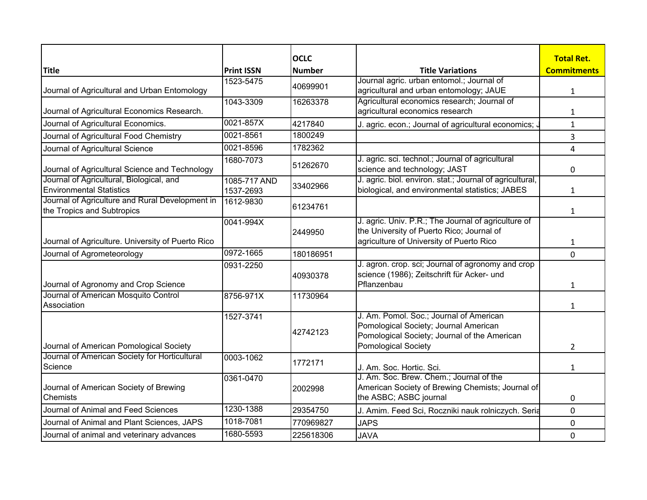|                                                                               |                           | <b>OCLC</b>   |                                                                                                                                                         | <b>Total Ret.</b>  |
|-------------------------------------------------------------------------------|---------------------------|---------------|---------------------------------------------------------------------------------------------------------------------------------------------------------|--------------------|
| <b>Title</b>                                                                  | <b>Print ISSN</b>         | <b>Number</b> | <b>Title Variations</b>                                                                                                                                 | <b>Commitments</b> |
|                                                                               | 1523-5475                 |               | Journal agric. urban entomol.; Journal of                                                                                                               |                    |
| Journal of Agricultural and Urban Entomology                                  |                           | 40699901      | agricultural and urban entomology; JAUE                                                                                                                 | $\mathbf{1}$       |
|                                                                               | 1043-3309                 | 16263378      | Agricultural economics research; Journal of                                                                                                             |                    |
| Journal of Agricultural Economics Research.                                   |                           |               | agricultural economics research                                                                                                                         | $\mathbf{1}$       |
| Journal of Agricultural Economics.                                            | 0021-857X                 | 4217840       | J. agric. econ.; Journal of agricultural economics; .                                                                                                   | $\mathbf{1}$       |
| Journal of Agricultural Food Chemistry                                        | 0021-8561                 | 1800249       |                                                                                                                                                         | 3                  |
| Journal of Agricultural Science                                               | 0021-8596                 | 1782362       |                                                                                                                                                         | 4                  |
| Journal of Agricultural Science and Technology                                | 1680-7073                 | 51262670      | J. agric. sci. technol.; Journal of agricultural<br>science and technology; JAST                                                                        | 0                  |
| Journal of Agricultural, Biological, and<br><b>Environmental Statistics</b>   | 1085-717 AND<br>1537-2693 | 33402966      | J. agric. biol. environ. stat.; Journal of agricultural,<br>biological, and environmental statistics; JABES                                             | 1                  |
| Journal of Agriculture and Rural Development in<br>the Tropics and Subtropics | 1612-9830                 | 61234761      |                                                                                                                                                         | $\mathbf{1}$       |
| Journal of Agriculture. University of Puerto Rico                             | 0041-994X                 | 2449950       | J. agric. Univ. P.R.; The Journal of agriculture of<br>the University of Puerto Rico; Journal of<br>agriculture of University of Puerto Rico            | $\mathbf{1}$       |
| Journal of Agrometeorology                                                    | 0972-1665                 | 180186951     |                                                                                                                                                         | $\mathbf 0$        |
| Journal of Agronomy and Crop Science                                          | 0931-2250                 | 40930378      | J. agron. crop. sci; Journal of agronomy and crop<br>science (1986); Zeitschrift für Acker- und<br>Pflanzenbau                                          | $\mathbf{1}$       |
| Journal of American Mosquito Control<br>Association                           | 8756-971X                 | 11730964      |                                                                                                                                                         | $\mathbf{1}$       |
| Journal of American Pomological Society                                       | 1527-3741                 | 42742123      | J. Am. Pomol. Soc.; Journal of American<br>Pomological Society; Journal American<br>Pomological Society; Journal of the American<br>Pomological Society | $\overline{2}$     |
| Journal of American Society for Horticultural<br>Science                      | 0003-1062                 | 1772171       | J. Am. Soc. Hortic. Sci.                                                                                                                                | $\mathbf{1}$       |
| Journal of American Society of Brewing<br><b>Chemists</b>                     | 0361-0470                 | 2002998       | J. Am. Soc. Brew. Chem.; Journal of the<br>American Society of Brewing Chemists; Journal of<br>the ASBC; ASBC journal                                   | 0                  |
| Journal of Animal and Feed Sciences                                           | 1230-1388                 | 29354750      | J. Amim. Feed Sci, Roczniki nauk rolniczych. Seria                                                                                                      | 0                  |
| Journal of Animal and Plant Sciences, JAPS                                    | 1018-7081                 | 770969827     | <b>JAPS</b>                                                                                                                                             | 0                  |
| Journal of animal and veterinary advances                                     | 1680-5593                 | 225618306     | <b>JAVA</b>                                                                                                                                             | $\mathbf{0}$       |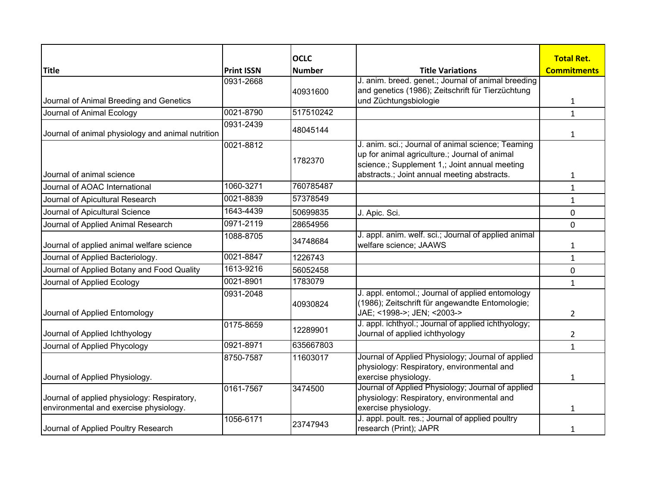|                                                                                       |                   | <b>OCLC</b>   |                                                                            | <b>Total Ret.</b>  |
|---------------------------------------------------------------------------------------|-------------------|---------------|----------------------------------------------------------------------------|--------------------|
| <b>Title</b>                                                                          | <b>Print ISSN</b> | <b>Number</b> | <b>Title Variations</b>                                                    | <b>Commitments</b> |
|                                                                                       | 0931-2668         |               | J. anim. breed. genet.; Journal of animal breeding                         |                    |
| Journal of Animal Breeding and Genetics                                               |                   | 40931600      | and genetics (1986); Zeitschrift für Tierzüchtung<br>und Züchtungsbiologie |                    |
|                                                                                       | 0021-8790         | 517510242     |                                                                            | $\mathbf{1}$       |
| Journal of Animal Ecology                                                             |                   |               |                                                                            | $\mathbf{1}$       |
| Journal of animal physiology and animal nutrition                                     | 0931-2439         | 48045144      |                                                                            | 1                  |
|                                                                                       | 0021-8812         |               | J. anim. sci.; Journal of animal science; Teaming                          |                    |
|                                                                                       |                   | 1782370       | up for animal agriculture.; Journal of animal                              |                    |
|                                                                                       |                   |               | science.; Supplement 1,; Joint annual meeting                              |                    |
| Journal of animal science                                                             |                   |               | abstracts.; Joint annual meeting abstracts.                                | 1                  |
| Journal of AOAC International                                                         | 1060-3271         | 760785487     |                                                                            | $\mathbf{1}$       |
| Journal of Apicultural Research                                                       | 0021-8839         | 57378549      |                                                                            | $\mathbf{1}$       |
| Journal of Apicultural Science                                                        | 1643-4439         | 50699835      | J. Apic. Sci.                                                              | 0                  |
| Journal of Applied Animal Research                                                    | 0971-2119         | 28654956      |                                                                            | 0                  |
|                                                                                       | 1088-8705         | 34748684      | J. appl. anim. welf. sci.; Journal of applied animal                       |                    |
| Journal of applied animal welfare science                                             |                   |               | welfare science; JAAWS                                                     | 1                  |
| Journal of Applied Bacteriology.                                                      | 0021-8847         | 1226743       |                                                                            | $\mathbf{1}$       |
| Journal of Applied Botany and Food Quality                                            | $1613 - 9216$     | 56052458      |                                                                            | 0                  |
| Journal of Applied Ecology                                                            | 0021-8901         | 1783079       |                                                                            | $\mathbf{1}$       |
|                                                                                       | 0931-2048         |               | J. appl. entomol.; Journal of applied entomology                           |                    |
|                                                                                       |                   | 40930824      | (1986); Zeitschrift für angewandte Entomologie;                            |                    |
| Journal of Applied Entomology                                                         |                   |               | JAE; <1998->; JEN; <2003->                                                 | $\overline{2}$     |
|                                                                                       | 0175-8659         | 12289901      | J. appl. ichthyol.; Journal of applied ichthyology;                        |                    |
| Journal of Applied Ichthyology                                                        |                   |               | Journal of applied ichthyology                                             | 2                  |
| Journal of Applied Phycology                                                          | 0921-8971         | 635667803     |                                                                            | $\mathbf{1}$       |
|                                                                                       | 8750-7587         | 11603017      | Journal of Applied Physiology; Journal of applied                          |                    |
|                                                                                       |                   |               | physiology: Respiratory, environmental and                                 |                    |
| Journal of Applied Physiology.                                                        |                   |               | exercise physiology.                                                       | $\mathbf{1}$       |
|                                                                                       | 0161-7567         | 3474500       | Journal of Applied Physiology; Journal of applied                          |                    |
| Journal of applied physiology: Respiratory,<br>environmental and exercise physiology. |                   |               | physiology: Respiratory, environmental and<br>exercise physiology.         |                    |
|                                                                                       |                   |               | J. appl. poult. res.; Journal of applied poultry                           | 1                  |
| Journal of Applied Poultry Research                                                   | 1056-6171         | 23747943      | research (Print); JAPR                                                     |                    |
|                                                                                       |                   |               |                                                                            | 1                  |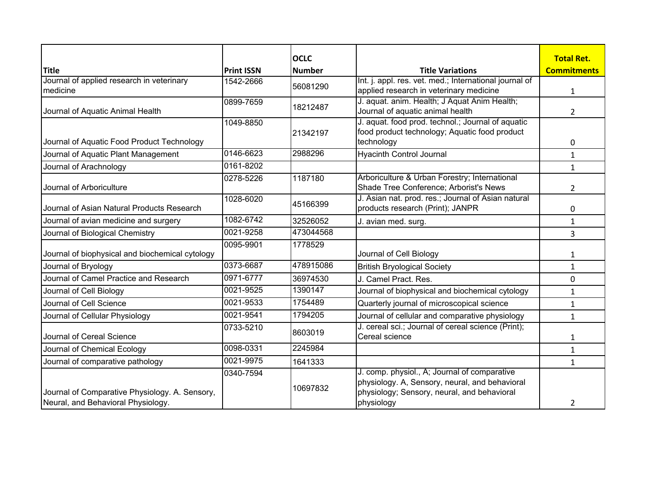|                                                                                      |                   | <b>OCLC</b>   |                                                                                                                                                             | <b>Total Ret.</b>  |
|--------------------------------------------------------------------------------------|-------------------|---------------|-------------------------------------------------------------------------------------------------------------------------------------------------------------|--------------------|
| <b>Title</b>                                                                         | <b>Print ISSN</b> | <b>Number</b> | <b>Title Variations</b>                                                                                                                                     | <b>Commitments</b> |
| Journal of applied research in veterinary<br>medicine                                | 1542-2666         | 56081290      | Int. j. appl. res. vet. med.; International journal of<br>applied research in veterinary medicine                                                           | 1                  |
| Journal of Aquatic Animal Health                                                     | 0899-7659         | 18212487      | J. aquat. anim. Health; J Aquat Anim Health;<br>Journal of aquatic animal health                                                                            | 2                  |
| Journal of Aquatic Food Product Technology                                           | 1049-8850         | 21342197      | J. aquat. food prod. technol.; Journal of aquatic<br>food product technology; Aquatic food product<br>technology                                            | 0                  |
| Journal of Aquatic Plant Management                                                  | 0146-6623         | 2988296       | <b>Hyacinth Control Journal</b>                                                                                                                             | $\mathbf{1}$       |
| Journal of Arachnology                                                               | 0161-8202         |               |                                                                                                                                                             | $\mathbf{1}$       |
| Journal of Arboriculture                                                             | 0278-5226         | 1187180       | Arboriculture & Urban Forestry; International<br>Shade Tree Conference; Arborist's News                                                                     | 2                  |
| Journal of Asian Natural Products Research                                           | 1028-6020         | 45166399      | J. Asian nat. prod. res.; Journal of Asian natural<br>products research (Print); JANPR                                                                      | 0                  |
| Journal of avian medicine and surgery                                                | 1082-6742         | 32526052      | J. avian med. surg.                                                                                                                                         | $\mathbf{1}$       |
| Journal of Biological Chemistry                                                      | 0021-9258         | 473044568     |                                                                                                                                                             | 3                  |
| Journal of biophysical and biochemical cytology                                      | 0095-9901         | 1778529       | Journal of Cell Biology                                                                                                                                     | 1                  |
| Journal of Bryology                                                                  | 0373-6687         | 478915086     | <b>British Bryological Society</b>                                                                                                                          | $\mathbf{1}$       |
| Journal of Camel Practice and Research                                               | 0971-6777         | 36974530      | J. Camel Pract. Res.                                                                                                                                        | $\mathbf 0$        |
| Journal of Cell Biology                                                              | 0021-9525         | 1390147       | Journal of biophysical and biochemical cytology                                                                                                             | $\mathbf{1}$       |
| Journal of Cell Science                                                              | 0021-9533         | 1754489       | Quarterly journal of microscopical science                                                                                                                  | $\mathbf{1}$       |
| Journal of Cellular Physiology                                                       | 0021-9541         | 1794205       | Journal of cellular and comparative physiology                                                                                                              | $\mathbf{1}$       |
| Journal of Cereal Science                                                            | 0733-5210         | 8603019       | J. cereal sci.; Journal of cereal science (Print);<br>Cereal science                                                                                        | 1                  |
| Journal of Chemical Ecology                                                          | 0098-0331         | 2245984       |                                                                                                                                                             | $\mathbf{1}$       |
| Journal of comparative pathology                                                     | 0021-9975         | 1641333       |                                                                                                                                                             | $\mathbf{1}$       |
| Journal of Comparative Physiology. A. Sensory,<br>Neural, and Behavioral Physiology. | 0340-7594         | 10697832      | J. comp. physiol., A; Journal of comparative<br>physiology. A, Sensory, neural, and behavioral<br>physiology; Sensory, neural, and behavioral<br>physiology | 2                  |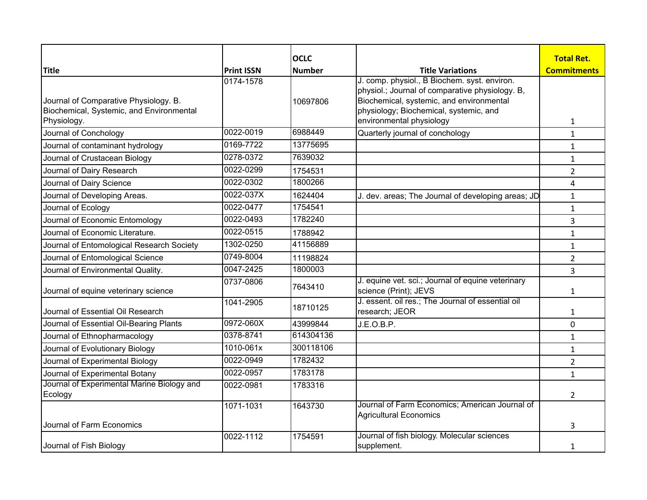|                                                                                                  |                   | <b>OCLC</b>   |                                                                                                                                                                                                                   | <b>Total Ret.</b>  |
|--------------------------------------------------------------------------------------------------|-------------------|---------------|-------------------------------------------------------------------------------------------------------------------------------------------------------------------------------------------------------------------|--------------------|
| <b>Title</b>                                                                                     | <b>Print ISSN</b> | <b>Number</b> | <b>Title Variations</b>                                                                                                                                                                                           | <b>Commitments</b> |
| Journal of Comparative Physiology. B.<br>Biochemical, Systemic, and Environmental<br>Physiology. | 0174-1578         | 10697806      | J. comp. physiol., B Biochem. syst. environ.<br>physiol.; Journal of comparative physiology. B,<br>Biochemical, systemic, and environmental<br>physiology; Biochemical, systemic, and<br>environmental physiology | 1                  |
| Journal of Conchology                                                                            | 0022-0019         | 6988449       | Quarterly journal of conchology                                                                                                                                                                                   | $\mathbf{1}$       |
| Journal of contaminant hydrology                                                                 | 0169-7722         | 13775695      |                                                                                                                                                                                                                   | $\mathbf{1}$       |
| Journal of Crustacean Biology                                                                    | 0278-0372         | 7639032       |                                                                                                                                                                                                                   | $\mathbf{1}$       |
| Journal of Dairy Research                                                                        | 0022-0299         | 1754531       |                                                                                                                                                                                                                   | $\overline{2}$     |
| Journal of Dairy Science                                                                         | 0022-0302         | 1800266       |                                                                                                                                                                                                                   | 4                  |
| Journal of Developing Areas.                                                                     | 0022-037X         | 1624404       | J. dev. areas; The Journal of developing areas; JD                                                                                                                                                                | $\mathbf{1}$       |
| Journal of Ecology                                                                               | 0022-0477         | 1754541       |                                                                                                                                                                                                                   | $\mathbf{1}$       |
| Journal of Economic Entomology                                                                   | 0022-0493         | 1782240       |                                                                                                                                                                                                                   | 3                  |
| Journal of Economic Literature.                                                                  | 0022-0515         | 1788942       |                                                                                                                                                                                                                   | $\mathbf{1}$       |
| Journal of Entomological Research Society                                                        | 1302-0250         | 41156889      |                                                                                                                                                                                                                   | $\mathbf{1}$       |
| Journal of Entomological Science                                                                 | 0749-8004         | 11198824      |                                                                                                                                                                                                                   | $\overline{2}$     |
| Journal of Environmental Quality.                                                                | 0047-2425         | 1800003       |                                                                                                                                                                                                                   | 3                  |
| Journal of equine veterinary science                                                             | 0737-0806         | 7643410       | J. equine vet. sci.; Journal of equine veterinary<br>science (Print); JEVS                                                                                                                                        | 1                  |
| Journal of Essential Oil Research                                                                | 1041-2905         | 18710125      | J. essent. oil res.; The Journal of essential oil<br>research; JEOR                                                                                                                                               | 1                  |
| Journal of Essential Oil-Bearing Plants                                                          | 0972-060X         | 43999844      | J.E.O.B.P.                                                                                                                                                                                                        | 0                  |
| Journal of Ethnopharmacology                                                                     | 0378-8741         | 614304136     |                                                                                                                                                                                                                   | $\mathbf{1}$       |
| Journal of Evolutionary Biology                                                                  | $1010 - 061x$     | 300118106     |                                                                                                                                                                                                                   | $\mathbf{1}$       |
| Journal of Experimental Biology                                                                  | 0022-0949         | 1782432       |                                                                                                                                                                                                                   | $\overline{2}$     |
| Journal of Experimental Botany                                                                   | 0022-0957         | 1783178       |                                                                                                                                                                                                                   | $\mathbf{1}$       |
| Journal of Experimental Marine Biology and<br>Ecology                                            | 0022-0981         | 1783316       |                                                                                                                                                                                                                   | 2                  |
| Journal of Farm Economics                                                                        | 1071-1031         | 1643730       | Journal of Farm Economics; American Journal of<br><b>Agricultural Economics</b>                                                                                                                                   |                    |
|                                                                                                  | 0022-1112         | 1754591       | Journal of fish biology. Molecular sciences                                                                                                                                                                       | 3                  |
| Journal of Fish Biology                                                                          |                   |               | supplement.                                                                                                                                                                                                       | 1                  |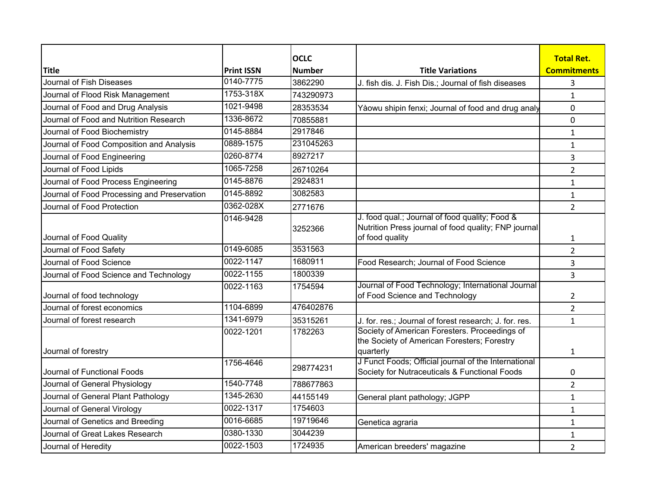|                                             |                   | <b>OCLC</b>   |                                                                                                                           | <b>Total Ret.</b>  |
|---------------------------------------------|-------------------|---------------|---------------------------------------------------------------------------------------------------------------------------|--------------------|
| <b>Title</b>                                | <b>Print ISSN</b> | <b>Number</b> | <b>Title Variations</b>                                                                                                   | <b>Commitments</b> |
| Journal of Fish Diseases                    | 0140-7775         | 3862290       | J. fish dis. J. Fish Dis.; Journal of fish diseases                                                                       | 3                  |
| Journal of Flood Risk Management            | 1753-318X         | 743290973     |                                                                                                                           | 1                  |
| Journal of Food and Drug Analysis           | 1021-9498         | 28353534      | Yàowu shipin fenxi; Journal of food and drug analy                                                                        | 0                  |
| Journal of Food and Nutrition Research      | 1336-8672         | 70855881      |                                                                                                                           | 0                  |
| Journal of Food Biochemistry                | 0145-8884         | 2917846       |                                                                                                                           | $\mathbf{1}$       |
| Journal of Food Composition and Analysis    | 0889-1575         | 231045263     |                                                                                                                           | $\mathbf{1}$       |
| Journal of Food Engineering                 | 0260-8774         | 8927217       |                                                                                                                           | 3                  |
| Journal of Food Lipids                      | 1065-7258         | 26710264      |                                                                                                                           | $\overline{2}$     |
| Journal of Food Process Engineering         | 0145-8876         | 2924831       |                                                                                                                           | $\mathbf{1}$       |
| Journal of Food Processing and Preservation | 0145-8892         | 3082583       |                                                                                                                           | 1                  |
| Journal of Food Protection                  | 0362-028X         | 2771676       |                                                                                                                           | $\overline{2}$     |
| Journal of Food Quality                     | 0146-9428         | 3252366       | J. food qual.; Journal of food quality; Food &<br>Nutrition Press journal of food quality; FNP journal<br>of food quality | 1                  |
| Journal of Food Safety                      | 0149-6085         | 3531563       |                                                                                                                           | $\overline{2}$     |
| Journal of Food Science                     | 0022-1147         | 1680911       | Food Research; Journal of Food Science                                                                                    | 3                  |
| Journal of Food Science and Technology      | 0022-1155         | 1800339       |                                                                                                                           | 3                  |
| Journal of food technology                  | 0022-1163         | 1754594       | Journal of Food Technology; International Journal<br>of Food Science and Technology                                       | 2                  |
| Journal of forest economics                 | 1104-6899         | 476402876     |                                                                                                                           | $\overline{2}$     |
| Journal of forest research                  | 1341-6979         | 35315261      | J. for. res.; Journal of forest research; J. for. res.                                                                    | $\mathbf{1}$       |
| Journal of forestry                         | 0022-1201         | 1782263       | Society of American Foresters. Proceedings of<br>the Society of American Foresters; Forestry<br>quarterly                 | 1                  |
| Journal of Functional Foods                 | 1756-4646         | 298774231     | J Funct Foods; Official journal of the International<br>Society for Nutraceuticals & Functional Foods                     | 0                  |
| Journal of General Physiology               | 1540-7748         | 788677863     |                                                                                                                           | $\overline{2}$     |
| Journal of General Plant Pathology          | 1345-2630         | 44155149      | General plant pathology; JGPP                                                                                             | 1                  |
| Journal of General Virology                 | 0022-1317         | 1754603       |                                                                                                                           | 1                  |
| Journal of Genetics and Breeding            | 0016-6685         | 19719646      | Genetica agraria                                                                                                          | $\mathbf{1}$       |
| Journal of Great Lakes Research             | 0380-1330         | 3044239       |                                                                                                                           | 1                  |
| Journal of Heredity                         | 0022-1503         | 1724935       | American breeders' magazine                                                                                               | 2                  |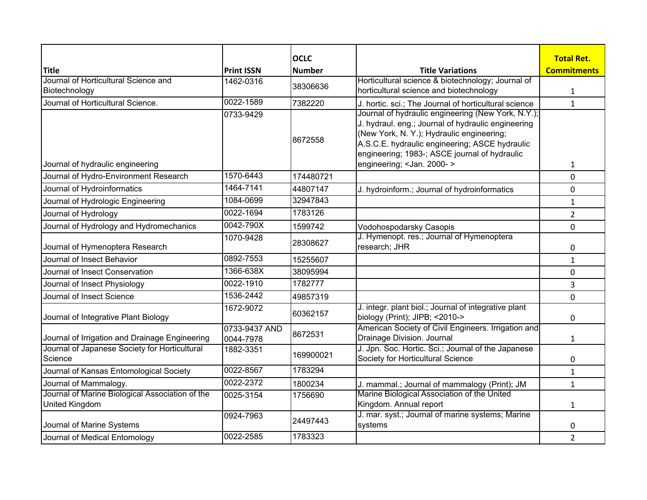| <b>Title</b>                                                      | <b>Print ISSN</b>          | <b>OCLC</b><br><b>Number</b> | <b>Title Variations</b>                                                                                                                                                                                                                                                                         | <b>Total Ret.</b><br><b>Commitments</b> |
|-------------------------------------------------------------------|----------------------------|------------------------------|-------------------------------------------------------------------------------------------------------------------------------------------------------------------------------------------------------------------------------------------------------------------------------------------------|-----------------------------------------|
| Journal of Horticultural Science and                              | 1462-0316                  |                              | Horticultural science & biotechnology; Journal of                                                                                                                                                                                                                                               |                                         |
| Biotechnology                                                     |                            | 38306636                     | horticultural science and biotechnology                                                                                                                                                                                                                                                         | $\mathbf{1}$                            |
| Journal of Horticultural Science.                                 | 0022-1589                  | 7382220                      | J. hortic. sci.; The Journal of horticultural science                                                                                                                                                                                                                                           | $\mathbf{1}$                            |
| Journal of hydraulic engineering                                  | 0733-9429                  | 8672558                      | Journal of hydraulic engineering (New York, N.Y.);<br>J. hydraul. eng.; Journal of hydraulic engineering<br>(New York, N. Y.); Hydraulic engineering;<br>A.S.C.E. hydraulic engineering; ASCE hydraulic<br>engineering; 1983-; ASCE journal of hydraulic<br>engineering; <jan. 2000-=""></jan.> | 1                                       |
| Journal of Hydro-Environment Research                             | 1570-6443                  | 174480721                    |                                                                                                                                                                                                                                                                                                 | 0                                       |
| Journal of Hydroinformatics                                       | 1464-7141                  | 44807147                     | J. hydroinform.; Journal of hydroinformatics                                                                                                                                                                                                                                                    | 0                                       |
| Journal of Hydrologic Engineering                                 | 1084-0699                  | 32947843                     |                                                                                                                                                                                                                                                                                                 | $\mathbf{1}$                            |
| Journal of Hydrology                                              | 0022-1694                  | 1783126                      |                                                                                                                                                                                                                                                                                                 | $\overline{2}$                          |
| Journal of Hydrology and Hydromechanics                           | 0042-790X                  | 1599742                      | Vodohospodarsky Casopis                                                                                                                                                                                                                                                                         | 0                                       |
| Journal of Hymenoptera Research                                   | 1070-9428                  | 28308627                     | J. Hymenopt. res.; Journal of Hymenoptera<br>research; JHR                                                                                                                                                                                                                                      | 0                                       |
| Journal of Insect Behavior                                        | 0892-7553                  | 15255607                     |                                                                                                                                                                                                                                                                                                 | $\mathbf{1}$                            |
| Journal of Insect Conservation                                    | 1366-638X                  | 38095994                     |                                                                                                                                                                                                                                                                                                 | 0                                       |
| Journal of Insect Physiology                                      | 0022-1910                  | 1782777                      |                                                                                                                                                                                                                                                                                                 | 3                                       |
| Journal of Insect Science                                         | 1536-2442                  | 49857319                     |                                                                                                                                                                                                                                                                                                 | 0                                       |
| Journal of Integrative Plant Biology                              | 1672-9072                  | 60362157                     | J. integr. plant biol.; Journal of integrative plant<br>biology (Print); JIPB; <2010->                                                                                                                                                                                                          | 0                                       |
| Journal of Irrigation and Drainage Engineering                    | 0733-9437 AND<br>0044-7978 | 8672531                      | American Society of Civil Engineers. Irrigation and<br>Drainage Division. Journal                                                                                                                                                                                                               | 1                                       |
| Journal of Japanese Society for Horticultural<br>Science          | 1882-3351                  | 169900021                    | J. Jpn. Soc. Hortic. Sci.; Journal of the Japanese<br>Society for Horticultural Science                                                                                                                                                                                                         | 0                                       |
| Journal of Kansas Entomological Society                           | 0022-8567                  | 1783294                      |                                                                                                                                                                                                                                                                                                 | $\mathbf{1}$                            |
| Journal of Mammalogy.                                             | 0022-2372                  | 1800234                      | J. mammal.; Journal of mammalogy (Print); JM                                                                                                                                                                                                                                                    | $\mathbf{1}$                            |
| Journal of Marine Biological Association of the<br>United Kingdom | 0025-3154                  | 1756690                      | Marine Biological Association of the United<br>Kingdom. Annual report                                                                                                                                                                                                                           | 1                                       |
| Journal of Marine Systems                                         | 0924-7963                  | 24497443                     | J. mar. syst.; Journal of marine systems; Marine<br>systems                                                                                                                                                                                                                                     | 0                                       |
| Journal of Medical Entomology                                     | 0022-2585                  | 1783323                      |                                                                                                                                                                                                                                                                                                 | $\overline{2}$                          |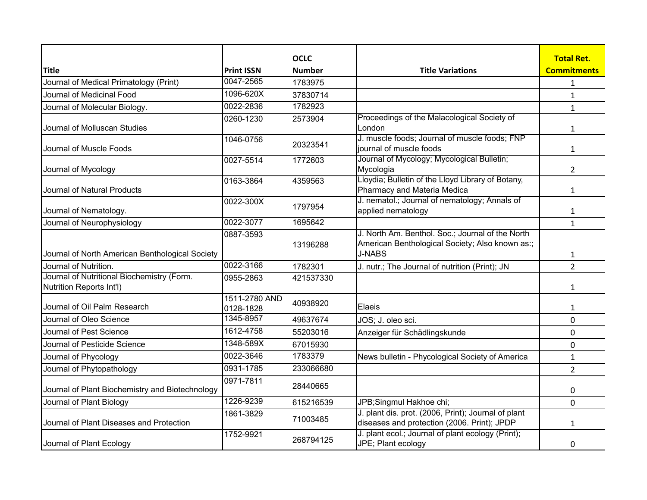|                                                                               |                            | <b>OCLC</b>   |                                                                                                                      | <b>Total Ret.</b>  |
|-------------------------------------------------------------------------------|----------------------------|---------------|----------------------------------------------------------------------------------------------------------------------|--------------------|
| <b>Title</b>                                                                  | <b>Print ISSN</b>          | <b>Number</b> | <b>Title Variations</b>                                                                                              | <b>Commitments</b> |
| Journal of Medical Primatology (Print)                                        | $0047 - 2565$              | 1783975       |                                                                                                                      | 1                  |
| Journal of Medicinal Food                                                     | 1096-620X                  | 37830714      |                                                                                                                      | $\mathbf{1}$       |
| Journal of Molecular Biology.                                                 | 0022-2836                  | 1782923       |                                                                                                                      | $\mathbf{1}$       |
| Journal of Molluscan Studies                                                  | 0260-1230                  | 2573904       | Proceedings of the Malacological Society of<br>London                                                                | 1                  |
| Journal of Muscle Foods                                                       | 1046-0756                  | 20323541      | J. muscle foods; Journal of muscle foods; FNP<br>journal of muscle foods                                             | 1                  |
| Journal of Mycology                                                           | 0027-5514                  | 1772603       | Journal of Mycology; Mycological Bulletin;<br>Mycologia                                                              | $\overline{2}$     |
| Journal of Natural Products                                                   | 0163-3864                  | 4359563       | Lloydia; Bulletin of the Lloyd Library of Botany,<br>Pharmacy and Materia Medica                                     | 1                  |
| Journal of Nematology.                                                        | 0022-300X                  | 1797954       | J. nematol.; Journal of nematology; Annals of<br>applied nematology                                                  | 1                  |
| Journal of Neurophysiology                                                    | 0022-3077                  | 1695642       |                                                                                                                      | $\mathbf{1}$       |
| Journal of North American Benthological Society                               | 0887-3593                  | 13196288      | J. North Am. Benthol. Soc.; Journal of the North<br>American Benthological Society; Also known as:;<br><b>J-NABS</b> | 1                  |
| Journal of Nutrition.                                                         | 0022-3166                  | 1782301       | J. nutr.; The Journal of nutrition (Print); JN                                                                       | $\overline{2}$     |
| Journal of Nutritional Biochemistry (Form.<br><b>Nutrition Reports Int'l)</b> | 0955-2863                  | 421537330     |                                                                                                                      | $\mathbf{1}$       |
| Journal of Oil Palm Research                                                  | 1511-2780 AND<br>0128-1828 | 40938920      | Elaeis                                                                                                               | 1                  |
| Journal of Oleo Science                                                       | 1345-8957                  | 49637674      | JOS; J. oleo sci.                                                                                                    | 0                  |
| Journal of Pest Science                                                       | 1612-4758                  | 55203016      | Anzeiger für Schädlingskunde                                                                                         | 0                  |
| Journal of Pesticide Science                                                  | 1348-589X                  | 67015930      |                                                                                                                      | 0                  |
| Journal of Phycology                                                          | 0022-3646                  | 1783379       | News bulletin - Phycological Society of America                                                                      | $\mathbf{1}$       |
| Journal of Phytopathology                                                     | 0931-1785                  | 233066680     |                                                                                                                      | $\overline{2}$     |
| Journal of Plant Biochemistry and Biotechnology                               | 0971-7811                  | 28440665      |                                                                                                                      | 0                  |
| Journal of Plant Biology                                                      | 1226-9239                  | 615216539     | JPB;Singmul Hakhoe chi;                                                                                              | 0                  |
| Journal of Plant Diseases and Protection                                      | 1861-3829                  | 71003485      | J. plant dis. prot. (2006, Print); Journal of plant<br>diseases and protection (2006. Print); JPDP                   | 1                  |
| Journal of Plant Ecology                                                      | 1752-9921                  | 268794125     | J. plant ecol.; Journal of plant ecology (Print);<br>JPE; Plant ecology                                              | 0                  |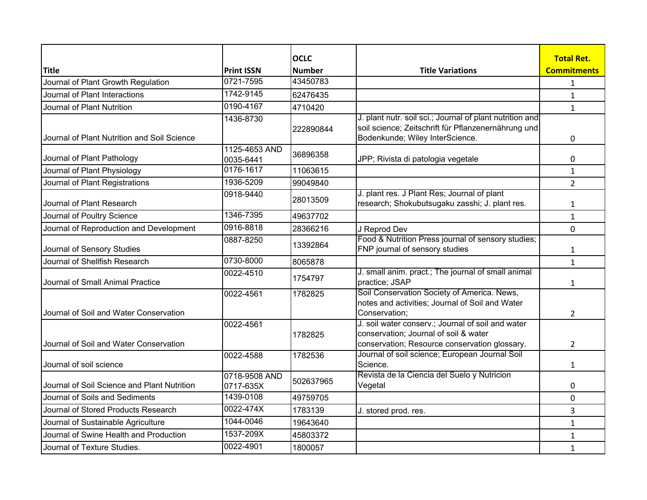|                                             |                            | <b>OCLC</b>   |                                                                                                                                                    | <b>Total Ret.</b>  |
|---------------------------------------------|----------------------------|---------------|----------------------------------------------------------------------------------------------------------------------------------------------------|--------------------|
| <b>Title</b>                                | <b>Print ISSN</b>          | <b>Number</b> | <b>Title Variations</b>                                                                                                                            | <b>Commitments</b> |
| Journal of Plant Growth Regulation          | 0721-7595                  | 43450783      |                                                                                                                                                    | $\mathbf{1}$       |
| Journal of Plant Interactions               | 1742-9145                  | 62476435      |                                                                                                                                                    | 1                  |
| Journal of Plant Nutrition                  | 0190-4167                  | 4710420       |                                                                                                                                                    | $\mathbf{1}$       |
| Journal of Plant Nutrition and Soil Science | 1436-8730                  | 222890844     | J. plant nutr. soil sci.; Journal of plant nutrition and<br>soil science; Zeitschrift für Pflanzenernährung und<br>Bodenkunde; Wiley InterScience. | 0                  |
| Journal of Plant Pathology                  | 1125-4653 AND<br>0035-6441 | 36896358      | JPP; Rivista di patologia vegetale                                                                                                                 | 0                  |
| Journal of Plant Physiology                 | 0176-1617                  | 11063615      |                                                                                                                                                    | $\mathbf{1}$       |
| Journal of Plant Registrations              | 1936-5209                  | 99049840      |                                                                                                                                                    | $\overline{2}$     |
| Journal of Plant Research                   | 0918-9440                  | 28013509      | J. plant res. J Plant Res; Journal of plant<br>research; Shokubutsugaku zasshi; J. plant res.                                                      | 1                  |
| Journal of Poultry Science                  | 1346-7395                  | 49637702      |                                                                                                                                                    | $\mathbf{1}$       |
| Journal of Reproduction and Development     | 0916-8818                  | 28366216      | J Reprod Dev                                                                                                                                       | 0                  |
| Journal of Sensory Studies                  | 0887-8250                  | 13392864      | Food & Nutrition Press journal of sensory studies;<br>FNP journal of sensory studies                                                               | 1                  |
| Journal of Shellfish Research               | 0730-8000                  | 8065878       |                                                                                                                                                    | $\mathbf{1}$       |
| Journal of Small Animal Practice            | 0022-4510                  | 1754797       | J. small anim. pract.; The journal of small animal<br>practice; JSAP                                                                               | 1                  |
| Journal of Soil and Water Conservation      | 0022-4561                  | 1782825       | Soil Conservation Society of America. News,<br>notes and activities; Journal of Soil and Water<br>Conservation;                                    | $\overline{2}$     |
| Journal of Soil and Water Conservation      | 0022-4561                  | 1782825       | J. soil water conserv.; Journal of soil and water<br>conservation; Journal of soil & water<br>conservation; Resource conservation glossary.        | $\overline{2}$     |
| Journal of soil science                     | 0022-4588                  | 1782536       | Journal of soil science; European Journal Soil<br>Science.                                                                                         | 1                  |
| Journal of Soil Science and Plant Nutrition | 0718-9508 AND<br>0717-635X | 502637965     | Revista de la Ciencia del Suelo y Nutricion<br>Vegetal                                                                                             | 0                  |
| Journal of Soils and Sediments              | 1439-0108                  | 49759705      |                                                                                                                                                    | 0                  |
| Journal of Stored Products Research         | 0022-474X                  | 1783139       | J. stored prod. res.                                                                                                                               | 3                  |
| Journal of Sustainable Agriculture          | 1044-0046                  | 19643640      |                                                                                                                                                    | $\mathbf{1}$       |
| Journal of Swine Health and Production      | 1537-209X                  | 45803372      |                                                                                                                                                    | $\mathbf{1}$       |
| Journal of Texture Studies.                 | 0022-4901                  | 1800057       |                                                                                                                                                    | $\mathbf{1}$       |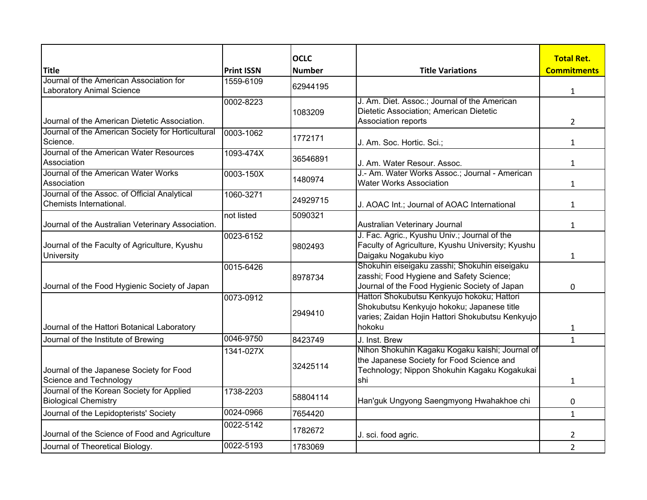|                                                                             |                   | <b>OCLC</b>   |                                                                        | <b>Total Ret.</b>  |
|-----------------------------------------------------------------------------|-------------------|---------------|------------------------------------------------------------------------|--------------------|
| <b>Title</b>                                                                | <b>Print ISSN</b> | <b>Number</b> | <b>Title Variations</b>                                                | <b>Commitments</b> |
| Journal of the American Association for<br><b>Laboratory Animal Science</b> | 1559-6109         | 62944195      |                                                                        | $\mathbf{1}$       |
|                                                                             | 0002-8223         |               | J. Am. Diet. Assoc.; Journal of the American                           |                    |
|                                                                             |                   | 1083209       | Dietetic Association; American Dietetic                                |                    |
| Journal of the American Dietetic Association.                               |                   |               | Association reports                                                    | $\overline{2}$     |
| Journal of the American Society for Horticultural                           | 0003-1062         |               |                                                                        |                    |
| Science.                                                                    |                   | 1772171       | J. Am. Soc. Hortic. Sci.;                                              | $\mathbf{1}$       |
| Journal of the American Water Resources                                     | 1093-474X         | 36546891      |                                                                        |                    |
| Association                                                                 |                   |               | J. Am. Water Resour. Assoc.                                            | $\mathbf{1}$       |
| Journal of the American Water Works                                         | 0003-150X         | 1480974       | J.- Am. Water Works Assoc.; Journal - American                         |                    |
| Association                                                                 |                   |               | <b>Water Works Association</b>                                         | $\mathbf{1}$       |
| Journal of the Assoc. of Official Analytical                                | 1060-3271         | 24929715      |                                                                        |                    |
| Chemists International.                                                     |                   |               | J. AOAC Int.; Journal of AOAC International                            | $\mathbf{1}$       |
|                                                                             | not listed        | 5090321       |                                                                        |                    |
| Journal of the Australian Veterinary Association.                           |                   |               | Australian Veterinary Journal                                          | $\mathbf{1}$       |
|                                                                             | 0023-6152         |               | J. Fac. Agric., Kyushu Univ.; Journal of the                           |                    |
| Journal of the Faculty of Agriculture, Kyushu                               |                   | 9802493       | Faculty of Agriculture, Kyushu University; Kyushu                      |                    |
| University                                                                  |                   |               | Daigaku Nogakubu kiyo<br>Shokuhin eiseigaku zasshi; Shokuhin eiseigaku | $\mathbf{1}$       |
|                                                                             | 0015-6426         |               | zasshi; Food Hygiene and Safety Science;                               |                    |
| Journal of the Food Hygienic Society of Japan                               |                   | 8978734       | Journal of the Food Hygienic Society of Japan                          | 0                  |
|                                                                             | 0073-0912         |               | Hattori Shokubutsu Kenkyujo hokoku; Hattori                            |                    |
|                                                                             |                   |               | Shokubutsu Kenkyujo hokoku; Japanese title                             |                    |
|                                                                             |                   | 2949410       | varies; Zaidan Hojin Hattori Shokubutsu Kenkyujo                       |                    |
| Journal of the Hattori Botanical Laboratory                                 |                   |               | hokoku                                                                 | $\mathbf{1}$       |
| Journal of the Institute of Brewing                                         | 0046-9750         | 8423749       | J. Inst. Brew                                                          | $\mathbf{1}$       |
|                                                                             | 1341-027X         |               | Nihon Shokuhin Kagaku Kogaku kaishi; Journal of                        |                    |
|                                                                             |                   |               | the Japanese Society for Food Science and                              |                    |
| Journal of the Japanese Society for Food                                    |                   | 32425114      | Technology; Nippon Shokuhin Kagaku Kogakukai                           |                    |
| Science and Technology                                                      |                   |               | shi                                                                    | $\mathbf{1}$       |
| Journal of the Korean Society for Applied                                   | 1738-2203         | 58804114      |                                                                        |                    |
| <b>Biological Chemistry</b>                                                 |                   |               | Han'guk Ungyong Saengmyong Hwahakhoe chi                               | 0                  |
| Journal of the Lepidopterists' Society                                      | 0024-0966         | 7654420       |                                                                        | $\mathbf{1}$       |
|                                                                             | 0022-5142         | 1782672       |                                                                        |                    |
| Journal of the Science of Food and Agriculture                              |                   |               | J. sci. food agric.                                                    | 2                  |
| Journal of Theoretical Biology.                                             | 0022-5193         | 1783069       |                                                                        | $\overline{2}$     |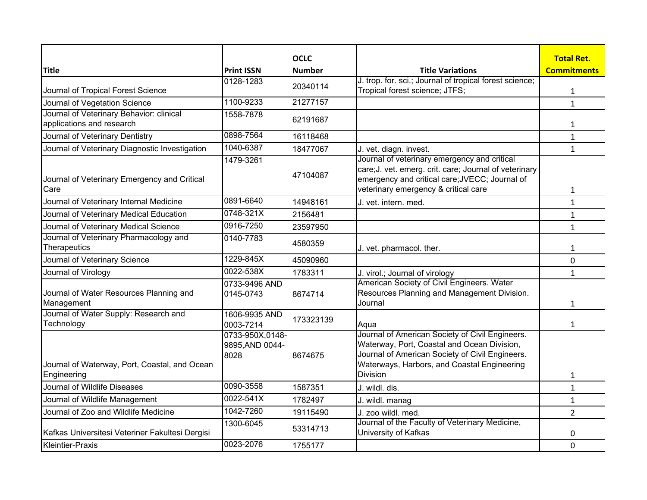|                                                                       |                                            | <b>OCLC</b>   |                                                                                                                                                                                                                     | <b>Total Ret.</b>  |
|-----------------------------------------------------------------------|--------------------------------------------|---------------|---------------------------------------------------------------------------------------------------------------------------------------------------------------------------------------------------------------------|--------------------|
| <b>Title</b>                                                          | <b>Print ISSN</b>                          | <b>Number</b> | <b>Title Variations</b>                                                                                                                                                                                             | <b>Commitments</b> |
|                                                                       | 0128-1283                                  |               | J. trop. for. sci.; Journal of tropical forest science;                                                                                                                                                             |                    |
| Journal of Tropical Forest Science                                    |                                            | 20340114      | Tropical forest science; JTFS;                                                                                                                                                                                      | $\mathbf{1}$       |
| Journal of Vegetation Science                                         | 1100-9233                                  | 21277157      |                                                                                                                                                                                                                     | $\mathbf{1}$       |
| Journal of Veterinary Behavior: clinical<br>applications and research | 1558-7878                                  | 62191687      |                                                                                                                                                                                                                     | 1                  |
| Journal of Veterinary Dentistry                                       | 0898-7564                                  | 16118468      |                                                                                                                                                                                                                     | $\mathbf{1}$       |
| Journal of Veterinary Diagnostic Investigation                        | 1040-6387                                  | 18477067      | J. vet. diagn. invest.                                                                                                                                                                                              | $\mathbf{1}$       |
| Journal of Veterinary Emergency and Critical<br>Care                  | 1479-3261                                  | 47104087      | Journal of veterinary emergency and critical<br>care; J. vet. emerg. crit. care; Journal of veterinary<br>emergency and critical care; JVECC; Journal of<br>veterinary emergency & critical care                    | $\mathbf{1}$       |
| Journal of Veterinary Internal Medicine                               | 0891-6640                                  | 14948161      | J. vet. intern. med.                                                                                                                                                                                                | $\mathbf{1}$       |
| Journal of Veterinary Medical Education                               | 0748-321X                                  | 2156481       |                                                                                                                                                                                                                     | $\mathbf{1}$       |
| Journal of Veterinary Medical Science                                 | 0916-7250                                  | 23597950      |                                                                                                                                                                                                                     | $\mathbf{1}$       |
| Journal of Veterinary Pharmacology and<br>Therapeutics                | 0140-7783                                  | 4580359       | J. vet. pharmacol. ther.                                                                                                                                                                                            | 1                  |
| Journal of Veterinary Science                                         | 1229-845X                                  | 45090960      |                                                                                                                                                                                                                     | 0                  |
| Journal of Virology                                                   | 0022-538X                                  | 1783311       | J. virol.; Journal of virology                                                                                                                                                                                      | $\mathbf{1}$       |
| Journal of Water Resources Planning and<br>Management                 | 0733-9496 AND<br>0145-0743                 | 8674714       | American Society of Civil Engineers. Water<br>Resources Planning and Management Division.<br>Journal                                                                                                                | 1                  |
| Journal of Water Supply: Research and<br>Technology                   | 1606-9935 AND<br>0003-7214                 | 173323139     | Aqua                                                                                                                                                                                                                | 1                  |
| Journal of Waterway, Port, Coastal, and Ocean<br>Engineering          | 0733-950X,0148-<br>9895, AND 0044-<br>8028 | 8674675       | Journal of American Society of Civil Engineers.<br>Waterway, Port, Coastal and Ocean Division,<br>Journal of American Society of Civil Engineers.<br>Waterways, Harbors, and Coastal Engineering<br><b>Division</b> | $\mathbf{1}$       |
| Journal of Wildlife Diseases                                          | 0090-3558                                  | 1587351       | J. wildl. dis.                                                                                                                                                                                                      | $\mathbf{1}$       |
| Journal of Wildlife Management                                        | 0022-541X                                  | 1782497       | J. wildl. manag                                                                                                                                                                                                     | $\mathbf{1}$       |
| Journal of Zoo and Wildlife Medicine                                  | 1042-7260                                  | 19115490      | J. zoo wildl. med.                                                                                                                                                                                                  | $\overline{2}$     |
| Kafkas Universitesi Veteriner Fakultesi Dergisi                       | 1300-6045                                  | 53314713      | Journal of the Faculty of Veterinary Medicine,<br>University of Kafkas                                                                                                                                              | 0                  |
| <b>Kleintier-Praxis</b>                                               | 0023-2076                                  | 1755177       |                                                                                                                                                                                                                     | 0                  |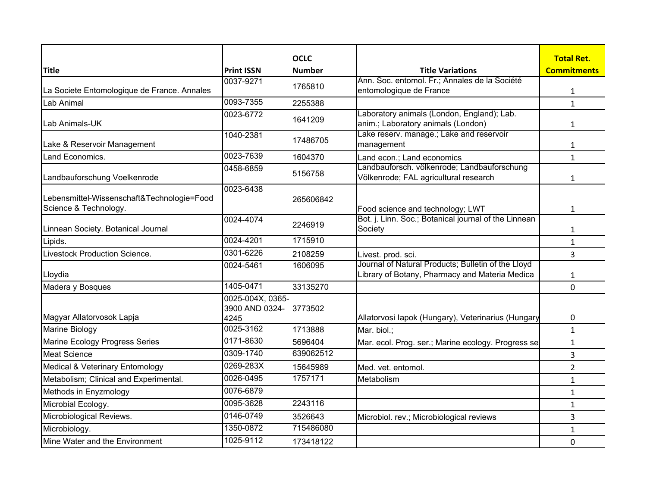| <b>Title</b>                                                        | <b>Print ISSN</b>                          | <b>OCLC</b><br><b>Number</b> | <b>Title Variations</b>                                                                              | <b>Total Ret.</b><br><b>Commitments</b> |
|---------------------------------------------------------------------|--------------------------------------------|------------------------------|------------------------------------------------------------------------------------------------------|-----------------------------------------|
|                                                                     | 0037-9271                                  |                              | Ann. Soc. entomol. Fr.; Annales de la Société                                                        |                                         |
| La Societe Entomologique de France. Annales                         |                                            | 1765810                      | entomologique de France                                                                              | $\mathbf{1}$                            |
| Lab Animal                                                          | 0093-7355                                  | 2255388                      |                                                                                                      | $\mathbf{1}$                            |
| Lab Animals-UK                                                      | 0023-6772                                  | 1641209                      | Laboratory animals (London, England); Lab.<br>anim.; Laboratory animals (London)                     | $\mathbf{1}$                            |
| Lake & Reservoir Management                                         | 1040-2381                                  | 17486705                     | Lake reserv. manage.; Lake and reservoir<br>management                                               | $\mathbf{1}$                            |
| Land Economics.                                                     | 0023-7639                                  | 1604370                      | Land econ.; Land economics                                                                           | $\mathbf{1}$                            |
| Landbauforschung Voelkenrode                                        | 0458-6859                                  | 5156758                      | Landbauforsch. völkenrode; Landbauforschung<br>Völkenrode; FAL agricultural research                 | $\mathbf{1}$                            |
| Lebensmittel-Wissenschaft&Technologie=Food<br>Science & Technology. | 0023-6438                                  | 265606842                    | Food science and technology; LWT                                                                     | $\mathbf{1}$                            |
| Linnean Society. Botanical Journal                                  | 0024-4074                                  | 2246919                      | Bot. j. Linn. Soc.; Botanical journal of the Linnean<br>Society                                      | 1                                       |
| Lipids.                                                             | 0024-4201                                  | 1715910                      |                                                                                                      | $\mathbf{1}$                            |
| Livestock Production Science.                                       | 0301-6226                                  | 2108259                      | Livest. prod. sci.                                                                                   | 3                                       |
| Lloydia                                                             | 0024-5461                                  | 1606095                      | Journal of Natural Products; Bulletin of the Lloyd<br>Library of Botany, Pharmacy and Materia Medica | $\mathbf{1}$                            |
| Madera y Bosques                                                    | 1405-0471                                  | 33135270                     |                                                                                                      | 0                                       |
| Magyar Allatorvosok Lapja                                           | 0025-004X, 0365-<br>3900 AND 0324-<br>4245 | 3773502                      | Allatorvosi lapok (Hungary), Veterinarius (Hungary                                                   | 0                                       |
| Marine Biology                                                      | 0025-3162                                  | 1713888                      | Mar. biol.;                                                                                          | $\mathbf{1}$                            |
| Marine Ecology Progress Series                                      | 0171-8630                                  | 5696404                      | Mar. ecol. Prog. ser.; Marine ecology. Progress se                                                   | $\mathbf{1}$                            |
| <b>Meat Science</b>                                                 | 0309-1740                                  | 639062512                    |                                                                                                      | 3                                       |
| Medical & Veterinary Entomology                                     | 0269-283X                                  | 15645989                     | Med. vet. entomol.                                                                                   | $\overline{2}$                          |
| Metabolism; Clinical and Experimental.                              | 0026-0495                                  | 1757171                      | Metabolism                                                                                           | $\mathbf{1}$                            |
| Methods in Enyzmology                                               | 0076-6879                                  |                              |                                                                                                      | $\mathbf{1}$                            |
| Microbial Ecology.                                                  | 0095-3628                                  | 2243116                      |                                                                                                      | $\mathbf{1}$                            |
| Microbiological Reviews.                                            | 0146-0749                                  | 3526643                      | Microbiol. rev.; Microbiological reviews                                                             | 3                                       |
| Microbiology.                                                       | 1350-0872                                  | 715486080                    |                                                                                                      | $\mathbf{1}$                            |
| Mine Water and the Environment                                      | 1025-9112                                  | 173418122                    |                                                                                                      | 0                                       |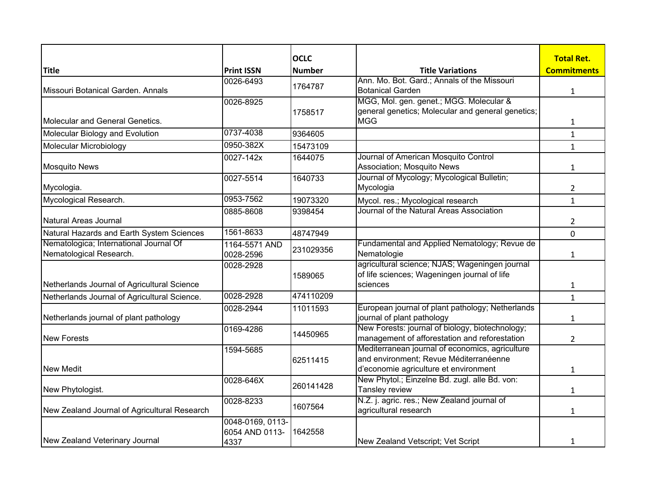|                                              |                   | <b>OCLC</b>   |                                                                                                  | <b>Total Ret.</b>  |
|----------------------------------------------|-------------------|---------------|--------------------------------------------------------------------------------------------------|--------------------|
| <b>Title</b>                                 | <b>Print ISSN</b> | <b>Number</b> | <b>Title Variations</b>                                                                          | <b>Commitments</b> |
|                                              | 0026-6493         | 1764787       | Ann. Mo. Bot. Gard.; Annals of the Missouri                                                      |                    |
| Missouri Botanical Garden. Annals            |                   |               | <b>Botanical Garden</b>                                                                          | $\mathbf{1}$       |
|                                              | 0026-8925         |               | MGG, Mol. gen. genet.; MGG. Molecular &                                                          |                    |
|                                              |                   | 1758517       | general genetics; Molecular and general genetics;                                                |                    |
| Molecular and General Genetics.              |                   |               | <b>MGG</b>                                                                                       | $\mathbf{1}$       |
| Molecular Biology and Evolution              | 0737-4038         | 9364605       |                                                                                                  | $\mathbf{1}$       |
| Molecular Microbiology                       | 0950-382X         | 15473109      |                                                                                                  | $\mathbf{1}$       |
|                                              | 0027-142x         | 1644075       | Journal of American Mosquito Control                                                             |                    |
| <b>Mosquito News</b>                         |                   |               | Association; Mosquito News                                                                       | $\mathbf{1}$       |
|                                              | 0027-5514         | 1640733       | Journal of Mycology; Mycological Bulletin;                                                       |                    |
| Mycologia.                                   |                   |               | Mycologia                                                                                        | $\overline{2}$     |
| Mycological Research.                        | 0953-7562         | 19073320      | Mycol. res.; Mycological research                                                                | $\mathbf{1}$       |
|                                              | 0885-8608         | 9398454       | Journal of the Natural Areas Association                                                         |                    |
| Natural Areas Journal                        |                   |               |                                                                                                  | 2                  |
| Natural Hazards and Earth System Sciences    | 1561-8633         | 48747949      |                                                                                                  | 0                  |
| Nematologica; International Journal Of       | 1164-5571 AND     | 231029356     | Fundamental and Applied Nematology; Revue de                                                     |                    |
| Nematological Research.                      | 0028-2596         |               | Nematologie                                                                                      | $\mathbf{1}$       |
|                                              | 0028-2928         |               | agricultural science; NJAS; Wageningen journal                                                   |                    |
|                                              |                   | 1589065       | of life sciences; Wageningen journal of life                                                     |                    |
| Netherlands Journal of Agricultural Science  |                   |               | sciences                                                                                         | $\mathbf{1}$       |
| Netherlands Journal of Agricultural Science. | 0028-2928         | 474110209     |                                                                                                  | $\mathbf{1}$       |
|                                              | 0028-2944         | 11011593      | European journal of plant pathology; Netherlands                                                 |                    |
| Netherlands journal of plant pathology       |                   |               | journal of plant pathology                                                                       | $\mathbf{1}$       |
|                                              | 0169-4286         | 14450965      | New Forests: journal of biology, biotechnology;                                                  |                    |
| <b>New Forests</b>                           |                   |               | management of afforestation and reforestation<br>Mediterranean journal of economics, agriculture | $\overline{2}$     |
|                                              | 1594-5685         |               | and environment; Revue Méditerranéenne                                                           |                    |
| <b>New Medit</b>                             |                   | 62511415      | d'economie agriculture et environment                                                            | $\mathbf{1}$       |
|                                              | 0028-646X         |               | New Phytol.; Einzelne Bd. zugl. alle Bd. von:                                                    |                    |
| New Phytologist.                             |                   | 260141428     | Tansley review                                                                                   | $\mathbf{1}$       |
|                                              | 0028-8233         |               | N.Z. j. agric. res.; New Zealand journal of                                                      |                    |
| New Zealand Journal of Agricultural Research |                   | 1607564       | agricultural research                                                                            | $\mathbf{1}$       |
|                                              | 0048-0169, 0113-  |               |                                                                                                  |                    |
|                                              | 6054 AND 0113-    | 1642558       |                                                                                                  |                    |
| New Zealand Veterinary Journal               | 4337              |               | New Zealand Vetscript; Vet Script                                                                | 1                  |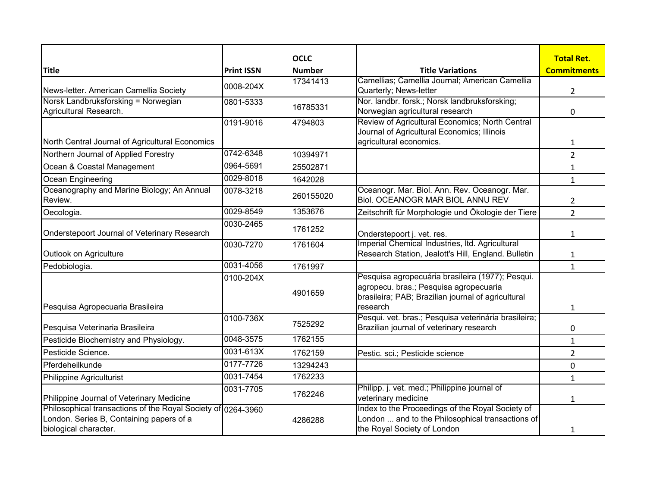|                                                                                                                                   |                   | <b>OCLC</b>   |                                                                                                                                                              | <b>Total Ret.</b>  |
|-----------------------------------------------------------------------------------------------------------------------------------|-------------------|---------------|--------------------------------------------------------------------------------------------------------------------------------------------------------------|--------------------|
| <b>Title</b>                                                                                                                      | <b>Print ISSN</b> | <b>Number</b> | <b>Title Variations</b>                                                                                                                                      | <b>Commitments</b> |
|                                                                                                                                   | 0008-204X         | 17341413      | Camellias; Camellia Journal; American Camellia                                                                                                               |                    |
| News-letter. American Camellia Society                                                                                            |                   |               | Quarterly; News-letter                                                                                                                                       | 2                  |
| Norsk Landbruksforsking = Norwegian                                                                                               | 0801-5333         | 16785331      | Nor. landbr. forsk.; Norsk landbruksforsking;                                                                                                                |                    |
| Agricultural Research.                                                                                                            |                   |               | Norwegian agricultural research                                                                                                                              | 0                  |
|                                                                                                                                   | 0191-9016         | 4794803       | Review of Agricultural Economics; North Central<br>Journal of Agricultural Economics; Illinois                                                               |                    |
| North Central Journal of Agricultural Economics                                                                                   |                   |               | agricultural economics.                                                                                                                                      | $\mathbf{1}$       |
| Northern Journal of Applied Forestry                                                                                              | 0742-6348         | 10394971      |                                                                                                                                                              | $\overline{2}$     |
| Ocean & Coastal Management                                                                                                        | 0964-5691         | 25502871      |                                                                                                                                                              | $\mathbf{1}$       |
| Ocean Engineering                                                                                                                 | 0029-8018         | 1642028       |                                                                                                                                                              | $\mathbf{1}$       |
| Oceanography and Marine Biology; An Annual                                                                                        | 0078-3218         | 260155020     | Oceanogr. Mar. Biol. Ann. Rev. Oceanogr. Mar.                                                                                                                |                    |
| Review.                                                                                                                           |                   |               | <b>Biol. OCEANOGR MAR BIOL ANNU REV</b>                                                                                                                      | 2                  |
| Oecologia.                                                                                                                        | 0029-8549         | 1353676       | Zeitschrift für Morphologie und Ökologie der Tiere                                                                                                           | $\overline{2}$     |
| Onderstepoort Journal of Veterinary Research                                                                                      | 0030-2465         | 1761252       | Onderstepoort j. vet. res.                                                                                                                                   | 1                  |
| Outlook on Agriculture                                                                                                            | 0030-7270         | 1761604       | Imperial Chemical Industries, Itd. Agricultural<br>Research Station, Jealott's Hill, England. Bulletin                                                       | 1                  |
| Pedobiologia.                                                                                                                     | 0031-4056         | 1761997       |                                                                                                                                                              | $\mathbf{1}$       |
| Pesquisa Agropecuaria Brasileira                                                                                                  | 0100-204X         | 4901659       | Pesquisa agropecuária brasileira (1977); Pesqui.<br>agropecu. bras.; Pesquisa agropecuaria<br>brasileira; PAB; Brazilian journal of agricultural<br>research | $\mathbf{1}$       |
|                                                                                                                                   | 0100-736X         | 7525292       | Pesqui. vet. bras.; Pesquisa veterinária brasileira;                                                                                                         |                    |
| Pesquisa Veterinaria Brasileira                                                                                                   |                   |               | Brazilian journal of veterinary research                                                                                                                     | 0                  |
| Pesticide Biochemistry and Physiology.                                                                                            | 0048-3575         | 1762155       |                                                                                                                                                              | $\mathbf{1}$       |
| Pesticide Science.                                                                                                                | 0031-613X         | 1762159       | Pestic. sci.; Pesticide science                                                                                                                              | $\overline{2}$     |
| Pferdeheilkunde                                                                                                                   | 0177-7726         | 13294243      |                                                                                                                                                              | 0                  |
| <b>Philippine Agriculturist</b>                                                                                                   | 0031-7454         | 1762233       |                                                                                                                                                              | $\mathbf{1}$       |
| Philippine Journal of Veterinary Medicine                                                                                         | 0031-7705         | 1762246       | Philipp. j. vet. med.; Philippine journal of<br>veterinary medicine                                                                                          | $\mathbf{1}$       |
| Philosophical transactions of the Royal Society of 0264-3960<br>London. Series B, Containing papers of a<br>biological character. |                   | 4286288       | Index to the Proceedings of the Royal Society of<br>London  and to the Philosophical transactions of<br>the Royal Society of London                          |                    |
|                                                                                                                                   |                   |               |                                                                                                                                                              | 1                  |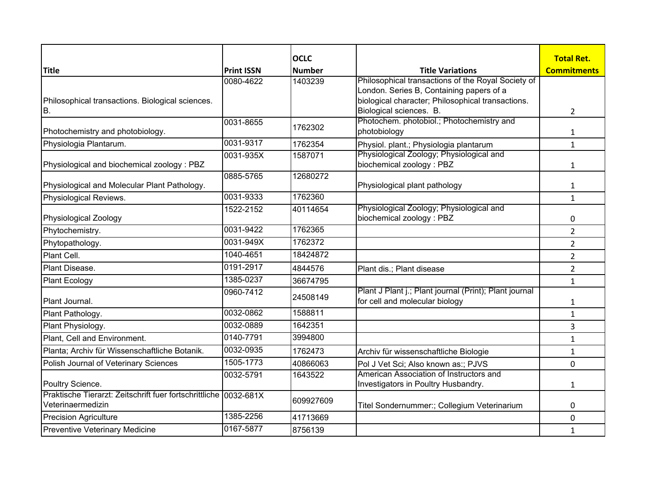|                                                                                       |                                | <b>OCLC</b>              | <b>Title Variations</b>                                | <b>Total Ret.</b>  |
|---------------------------------------------------------------------------------------|--------------------------------|--------------------------|--------------------------------------------------------|--------------------|
| <b>Title</b>                                                                          | <b>Print ISSN</b><br>0080-4622 | <b>Number</b><br>1403239 | Philosophical transactions of the Royal Society of     | <b>Commitments</b> |
|                                                                                       |                                |                          | London. Series B, Containing papers of a               |                    |
| Philosophical transactions. Biological sciences.                                      |                                |                          | biological character; Philosophical transactions.      |                    |
| B.                                                                                    |                                |                          | Biological sciences. B.                                | 2                  |
|                                                                                       | 0031-8655                      | 1762302                  | Photochem. photobiol.; Photochemistry and              |                    |
| Photochemistry and photobiology.                                                      |                                |                          | photobiology                                           | $\mathbf{1}$       |
| Physiologia Plantarum.                                                                | 0031-9317                      | 1762354                  | Physiol. plant.; Physiologia plantarum                 | $\mathbf{1}$       |
|                                                                                       | 0031-935X                      | 1587071                  | Physiological Zoology; Physiological and               |                    |
| Physiological and biochemical zoology: PBZ                                            | 0885-5765                      | 12680272                 | biochemical zoology: PBZ                               | $\mathbf{1}$       |
| Physiological and Molecular Plant Pathology.                                          |                                |                          | Physiological plant pathology                          | 1                  |
| Physiological Reviews.                                                                | 0031-9333                      | 1762360                  |                                                        | $\mathbf{1}$       |
|                                                                                       | 1522-2152                      | 40114654                 | Physiological Zoology; Physiological and               |                    |
| Physiological Zoology                                                                 |                                |                          | biochemical zoology: PBZ                               | 0                  |
| Phytochemistry.                                                                       | 0031-9422                      | 1762365                  |                                                        | $\overline{2}$     |
| Phytopathology.                                                                       | 0031-949X                      | 1762372                  |                                                        | $\overline{2}$     |
| Plant Cell.                                                                           | 1040-4651                      | 18424872                 |                                                        | $\overline{2}$     |
| Plant Disease.                                                                        | 0191-2917                      | 4844576                  | Plant dis.; Plant disease                              | $\overline{2}$     |
| <b>Plant Ecology</b>                                                                  | 1385-0237                      | 36674795                 |                                                        | $\mathbf{1}$       |
|                                                                                       | 0960-7412                      | 24508149                 | Plant J Plant j.; Plant journal (Print); Plant journal |                    |
| Plant Journal.                                                                        |                                |                          | for cell and molecular biology                         | 1                  |
| Plant Pathology.                                                                      | 0032-0862                      | 1588811                  |                                                        | $\mathbf{1}$       |
| Plant Physiology.                                                                     | 0032-0889                      | 1642351                  |                                                        | 3                  |
| Plant, Cell and Environment.                                                          | 0140-7791                      | 3994800                  |                                                        | $\mathbf{1}$       |
| Planta; Archiv für Wissenschaftliche Botanik.                                         | 0032-0935                      | 1762473                  | Archiv für wissenschaftliche Biologie                  | $\mathbf{1}$       |
| Polish Journal of Veterinary Sciences                                                 | 1505-1773                      | 40866063                 | Pol J Vet Sci; Also known as:; PJVS                    | 0                  |
|                                                                                       | 0032-5791                      | 1643522                  | American Association of Instructors and                |                    |
| Poultry Science.                                                                      |                                |                          | Investigators in Poultry Husbandry.                    | 1                  |
| Praktische Tierarzt: Zeitschrift fuer fortschrittliche 0032-681X<br>Veterinaermedizin |                                | 609927609                | Titel Sondernummer:; Collegium Veterinarium            | 0                  |
| <b>Precision Agriculture</b>                                                          | 1385-2256                      | 41713669                 |                                                        | 0                  |
| Preventive Veterinary Medicine                                                        | 0167-5877                      | 8756139                  |                                                        | $\mathbf{1}$       |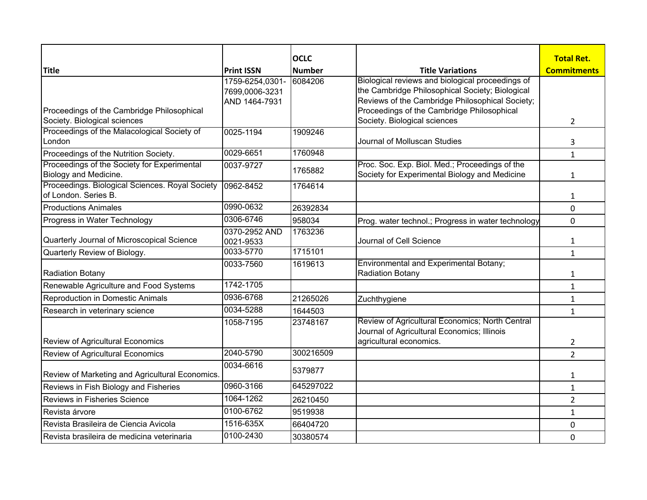|                                                                                   |                                                    | <b>OCLC</b>   |                                                                                                                                                                                                                                      | <b>Total Ret.</b>  |
|-----------------------------------------------------------------------------------|----------------------------------------------------|---------------|--------------------------------------------------------------------------------------------------------------------------------------------------------------------------------------------------------------------------------------|--------------------|
| <b>Title</b>                                                                      | <b>Print ISSN</b>                                  | <b>Number</b> | <b>Title Variations</b>                                                                                                                                                                                                              | <b>Commitments</b> |
| Proceedings of the Cambridge Philosophical<br>Society. Biological sciences        | 1759-6254,0301-<br>7699,0006-3231<br>AND 1464-7931 | 6084206       | Biological reviews and biological proceedings of<br>the Cambridge Philosophical Society; Biological<br>Reviews of the Cambridge Philosophical Society;<br>Proceedings of the Cambridge Philosophical<br>Society. Biological sciences | $\overline{2}$     |
| Proceedings of the Malacological Society of                                       | 0025-1194                                          | 1909246       |                                                                                                                                                                                                                                      |                    |
| London                                                                            |                                                    |               | Journal of Molluscan Studies                                                                                                                                                                                                         | 3                  |
| Proceedings of the Nutrition Society.                                             | 0029-6651                                          | 1760948       |                                                                                                                                                                                                                                      | $\mathbf{1}$       |
| Proceedings of the Society for Experimental<br>Biology and Medicine.              | 0037-9727                                          | 1765882       | Proc. Soc. Exp. Biol. Med.; Proceedings of the<br>Society for Experimental Biology and Medicine                                                                                                                                      | 1                  |
| Proceedings. Biological Sciences. Royal Society 0962-8452<br>of London. Series B. |                                                    | 1764614       |                                                                                                                                                                                                                                      | 1                  |
| <b>Productions Animales</b>                                                       | 0990-0632                                          | 26392834      |                                                                                                                                                                                                                                      | 0                  |
| Progress in Water Technology                                                      | 0306-6746                                          | 958034        | Prog. water technol.; Progress in water technology                                                                                                                                                                                   | $\mathbf 0$        |
| Quarterly Journal of Microscopical Science                                        | 0370-2952 AND<br>0021-9533                         | 1763236       | Journal of Cell Science                                                                                                                                                                                                              | $\mathbf{1}$       |
| Quarterly Review of Biology.                                                      | 0033-5770                                          | 1715101       |                                                                                                                                                                                                                                      | $\mathbf{1}$       |
| <b>Radiation Botany</b>                                                           | 0033-7560                                          | 1619613       | Environmental and Experimental Botany;<br><b>Radiation Botany</b>                                                                                                                                                                    | $\mathbf{1}$       |
| Renewable Agriculture and Food Systems                                            | 1742-1705                                          |               |                                                                                                                                                                                                                                      | $\mathbf{1}$       |
| <b>Reproduction in Domestic Animals</b>                                           | 0936-6768                                          | 21265026      | Zuchthygiene                                                                                                                                                                                                                         | 1                  |
| Research in veterinary science                                                    | 0034-5288                                          | 1644503       |                                                                                                                                                                                                                                      | $\mathbf{1}$       |
| <b>Review of Agricultural Economics</b>                                           | 1058-7195                                          | 23748167      | Review of Agricultural Economics; North Central<br>Journal of Agricultural Economics; Illinois<br>agricultural economics.                                                                                                            | 2                  |
| Review of Agricultural Economics                                                  | 2040-5790                                          | 300216509     |                                                                                                                                                                                                                                      | $\overline{2}$     |
| Review of Marketing and Agricultural Economics.                                   | 0034-6616                                          | 5379877       |                                                                                                                                                                                                                                      | 1                  |
| Reviews in Fish Biology and Fisheries                                             | 0960-3166                                          | 645297022     |                                                                                                                                                                                                                                      | $\mathbf{1}$       |
| Reviews in Fisheries Science                                                      | 1064-1262                                          | 26210450      |                                                                                                                                                                                                                                      | $\overline{2}$     |
| Revista árvore                                                                    | 0100-6762                                          | 9519938       |                                                                                                                                                                                                                                      | $\mathbf{1}$       |
| Revista Brasileira de Ciencia Avicola                                             | 1516-635X                                          | 66404720      |                                                                                                                                                                                                                                      | 0                  |
| Revista brasileira de medicina veterinaria                                        | 0100-2430                                          | 30380574      |                                                                                                                                                                                                                                      | 0                  |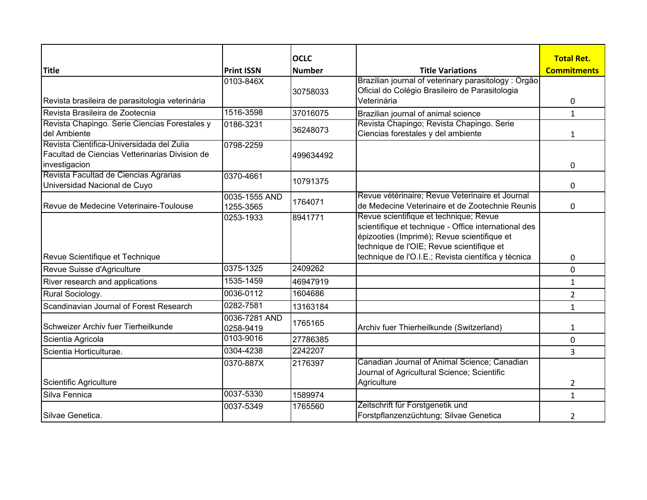|                                                                                                              |                            | <b>OCLC</b>   |                                                                                                                                                                                            | <b>Total Ret.</b>  |
|--------------------------------------------------------------------------------------------------------------|----------------------------|---------------|--------------------------------------------------------------------------------------------------------------------------------------------------------------------------------------------|--------------------|
| <b>Title</b>                                                                                                 | <b>Print ISSN</b>          | <b>Number</b> | <b>Title Variations</b>                                                                                                                                                                    | <b>Commitments</b> |
| Revista brasileira de parasitologia veterinária                                                              | 0103-846X                  | 30758033      | Brazilian journal of veterinary parasitology : Orgão<br>Oficial do Colégio Brasileiro de Parasitologia<br>Veterinária                                                                      |                    |
|                                                                                                              | 1516-3598                  |               |                                                                                                                                                                                            | 0                  |
| Revista Brasileira de Zootecnia                                                                              |                            | 37016075      | Brazilian journal of animal science<br>Revista Chapingo; Revista Chapingo. Serie                                                                                                           | $\mathbf{1}$       |
| Revista Chapingo. Serie Ciencias Forestales y<br>del Ambiente                                                | 0186-3231                  | 36248073      | Ciencias forestales y del ambiente                                                                                                                                                         | $\mathbf{1}$       |
| Revista Cientifica-Universidada del Zulia<br>Facultad de Ciencias Vetterinarias Division de<br>investigacion | 0798-2259                  | 499634492     |                                                                                                                                                                                            | 0                  |
| Revista Facultad de Ciencias Agrarias<br>Universidad Nacional de Cuyo                                        | 0370-4661                  | 10791375      |                                                                                                                                                                                            | 0                  |
| IRevue de Medecine Veterinaire-Toulouse                                                                      | 0035-1555 AND<br>1255-3565 | 1764071       | Revue vétérinaire; Revue Veterinaire et Journal<br>de Medecine Veterinaire et de Zootechnie Reunis                                                                                         | 0                  |
|                                                                                                              | 0253-1933                  | 8941771       | Revue scientifique et technique; Revue<br>scientifique et technique - Office international des<br>épizooties (Imprimé); Revue scientifique et<br>technique de l'OIE; Revue scientifique et |                    |
| Revue Scientifique et Technique                                                                              |                            |               | technique de l'O.I.E.; Revista científica y técnica                                                                                                                                        | 0                  |
| Revue Suisse d'Agriculture                                                                                   | 0375-1325                  | 2409262       |                                                                                                                                                                                            | 0                  |
| River research and applications                                                                              | 1535-1459                  | 46947919      |                                                                                                                                                                                            | $\mathbf{1}$       |
| Rural Sociology.                                                                                             | 0036-0112                  | 1604686       |                                                                                                                                                                                            | 2                  |
| Scandinavian Journal of Forest Research                                                                      | 0282-7581                  | 13163184      |                                                                                                                                                                                            | $\mathbf{1}$       |
| Schweizer Archiv fuer Tierheilkunde                                                                          | 0036-7281 AND<br>0258-9419 | 1765165       | Archiv fuer Thierheilkunde (Switzerland)                                                                                                                                                   | 1                  |
| Scientia Agricola                                                                                            | 0103-9016                  | 27786385      |                                                                                                                                                                                            | 0                  |
| Scientia Horticulturae.                                                                                      | 0304-4238                  | 2242207       |                                                                                                                                                                                            | 3                  |
| Scientific Agriculture                                                                                       | 0370-887X                  | 2176397       | Canadian Journal of Animal Science; Canadian<br>Journal of Agricultural Science; Scientific<br>Agriculture                                                                                 | 2                  |
| Silva Fennica                                                                                                | 0037-5330                  | 1589974       |                                                                                                                                                                                            | $\mathbf{1}$       |
| Silvae Genetica.                                                                                             | 0037-5349                  | 1765560       | Zeitschrift für Forstgenetik und<br>Forstpflanzenzüchtung; Silvae Genetica                                                                                                                 | 2                  |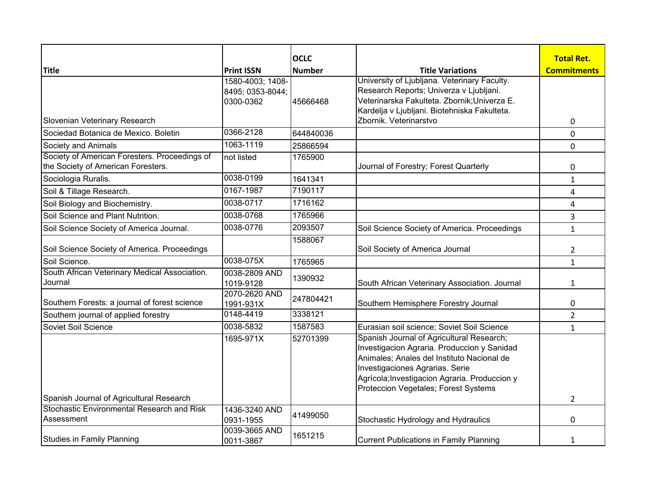|                                                                                        |                            | <b>OCLC</b>   |                                                                                         | <b>Total Ret.</b>  |
|----------------------------------------------------------------------------------------|----------------------------|---------------|-----------------------------------------------------------------------------------------|--------------------|
| <b>Title</b>                                                                           | <b>Print ISSN</b>          | <b>Number</b> | <b>Title Variations</b>                                                                 | <b>Commitments</b> |
|                                                                                        | 1580-4003; 1408-           |               | University of Ljubljana. Veterinary Faculty.                                            |                    |
|                                                                                        | 8495; 0353-8044;           |               | Research Reports; Univerza v Ljubljani.<br>Veterinarska Fakulteta. Zbornik; Univerza E. |                    |
|                                                                                        | 0300-0362                  | 45666468      | Kardelja v Ljubljani. Biotehniska Fakulteta.                                            |                    |
| Slovenian Veterinary Research                                                          |                            |               | Zbornik. Veterinarstvo                                                                  | 0                  |
| Sociedad Botanica de Mexico. Boletin                                                   | 0366-2128                  | 644840036     |                                                                                         | $\mathbf 0$        |
| <b>Society and Animals</b>                                                             | 1063-1119                  | 25866594      |                                                                                         | $\mathbf 0$        |
| Society of American Foresters. Proceedings of                                          | not listed                 | 1765900       |                                                                                         |                    |
| the Society of American Foresters.                                                     |                            |               | Journal of Forestry; Forest Quarterly                                                   | 0                  |
| Sociologia Ruralis.                                                                    | 0038-0199                  | 1641341       |                                                                                         | $\mathbf{1}$       |
| Soil & Tillage Research.                                                               | 0167-1987                  | 7190117       |                                                                                         | 4                  |
| Soil Biology and Biochemistry.                                                         | 0038-0717                  | 1716162       |                                                                                         | 4                  |
| Soil Science and Plant Nutrition.                                                      | 0038-0768                  | 1765966       |                                                                                         | 3                  |
| Soil Science Society of America Journal.                                               | 0038-0776                  | 2093507       | Soil Science Society of America. Proceedings                                            | $\mathbf{1}$       |
|                                                                                        |                            | 1588067       |                                                                                         |                    |
| Soil Science Society of America. Proceedings                                           |                            |               | Soil Society of America Journal                                                         | $\overline{2}$     |
| Soil Science.                                                                          | 0038-075X                  | 1765965       |                                                                                         | $\mathbf{1}$       |
| South African Veterinary Medical Association.                                          | 0038-2809 AND              | 1390932       |                                                                                         |                    |
| Journal                                                                                | 1019-9128                  |               | South African Veterinary Association. Journal                                           | $\mathbf{1}$       |
| Southern Forests: a journal of forest science                                          | 2070-2620 AND<br>1991-931X | 247804421     | Southern Hemisphere Forestry Journal                                                    | 0                  |
| Southern journal of applied forestry                                                   | 0148-4419                  | 3338121       |                                                                                         | $\overline{2}$     |
| Soviet Soil Science                                                                    | 0038-5832                  | 1587583       | Eurasian soil science; Soviet Soil Science                                              | $\mathbf{1}$       |
|                                                                                        | 1695-971X                  | 52701399      | Spanish Journal of Agricultural Research;                                               |                    |
|                                                                                        |                            |               | Investigacion Agraria. Produccion y Sanidad                                             |                    |
|                                                                                        |                            |               | Animales; Anales del Instituto Nacional de                                              |                    |
|                                                                                        |                            |               | Investigaciones Agrarias. Serie                                                         |                    |
|                                                                                        |                            |               | Agrícola; Investigacion Agraria. Produccion y                                           |                    |
|                                                                                        |                            |               | Proteccion Vegetales; Forest Systems                                                    |                    |
| Spanish Journal of Agricultural Research<br>Stochastic Environmental Research and Risk | 1436-3240 AND              |               |                                                                                         | $\overline{2}$     |
| Assessment                                                                             | 0931-1955                  | 41499050      | Stochastic Hydrology and Hydraulics                                                     | 0                  |
|                                                                                        | 0039-3665 AND              |               |                                                                                         |                    |
| <b>Studies in Family Planning</b>                                                      | 0011-3867                  | 1651215       | <b>Current Publications in Family Planning</b>                                          | 1                  |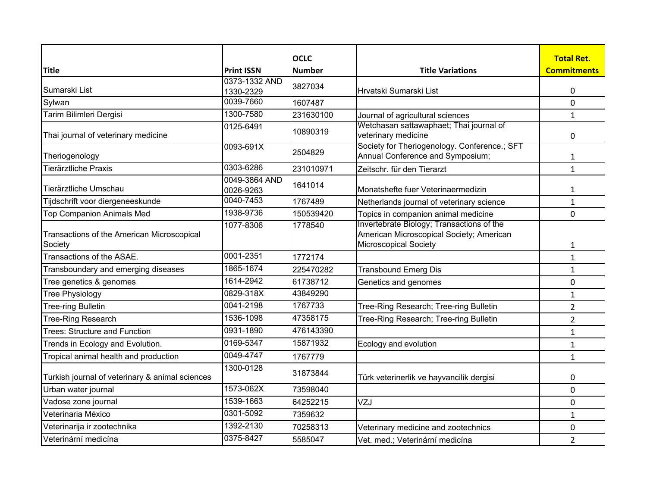|                                                       | <b>Print ISSN</b>          | <b>OCLC</b>   |                                                                                                                       | <b>Total Ret.</b>  |
|-------------------------------------------------------|----------------------------|---------------|-----------------------------------------------------------------------------------------------------------------------|--------------------|
| <b>Title</b>                                          | 0373-1332 AND              | <b>Number</b> | <b>Title Variations</b>                                                                                               | <b>Commitments</b> |
| Sumarski List                                         | 1330-2329                  | 3827034       | Hrvatski Sumarski List                                                                                                | 0                  |
| Sylwan                                                | 0039-7660                  | 1607487       |                                                                                                                       | 0                  |
| Tarim Bilimleri Dergisi                               | 1300-7580                  | 231630100     | Journal of agricultural sciences                                                                                      | $\mathbf{1}$       |
| Thai journal of veterinary medicine                   | 0125-6491                  | 10890319      | Wetchasan sattawaphaet; Thai journal of<br>veterinary medicine                                                        | 0                  |
| Theriogenology                                        | 0093-691X                  | 2504829       | Society for Theriogenology. Conference.; SFT<br>Annual Conference and Symposium;                                      | $\mathbf{1}$       |
| Tierärztliche Praxis                                  | 0303-6286                  | 231010971     | Zeitschr. für den Tierarzt                                                                                            | $\mathbf{1}$       |
| Tierärztliche Umschau                                 | 0049-3864 AND<br>0026-9263 | 1641014       | Monatshefte fuer Veterinaermedizin                                                                                    | $\mathbf{1}$       |
| Tijdschrift voor diergeneeskunde                      | $\overline{00}$ 40-7453    | 1767489       | Netherlands journal of veterinary science                                                                             | $\mathbf{1}$       |
| <b>Top Companion Animals Med</b>                      | 1938-9736                  | 150539420     | Topics in companion animal medicine                                                                                   | 0                  |
| Transactions of the American Microscopical<br>Society | 1077-8306                  | 1778540       | Invertebrate Biology; Transactions of the<br>American Microscopical Society; American<br><b>Microscopical Society</b> | 1                  |
| Transactions of the ASAE.                             | 0001-2351                  | 1772174       |                                                                                                                       | $\mathbf{1}$       |
| Transboundary and emerging diseases                   | 1865-1674                  | 225470282     | <b>Transbound Emerg Dis</b>                                                                                           | $\mathbf{1}$       |
| Tree genetics & genomes                               | 1614-2942                  | 61738712      | Genetics and genomes                                                                                                  | 0                  |
| Tree Physiology                                       | 0829-318X                  | 43849290      |                                                                                                                       | $\mathbf{1}$       |
| <b>Tree-ring Bulletin</b>                             | 0041-2198                  | 1767733       | Tree-Ring Research; Tree-ring Bulletin                                                                                | $\overline{2}$     |
| <b>Tree-Ring Research</b>                             | 1536-1098                  | 47358175      | Tree-Ring Research; Tree-ring Bulletin                                                                                | $\overline{2}$     |
| <b>Trees: Structure and Function</b>                  | 0931-1890                  | 476143390     |                                                                                                                       | $\mathbf{1}$       |
| Trends in Ecology and Evolution.                      | 0169-5347                  | 15871932      | Ecology and evolution                                                                                                 | $\mathbf{1}$       |
| Tropical animal health and production                 | 0049-4747                  | 1767779       |                                                                                                                       | $\mathbf{1}$       |
| Turkish journal of veterinary & animal sciences       | 1300-0128                  | 31873844      | Türk veterinerlik ve hayvancilik dergisi                                                                              | 0                  |
| Urban water journal                                   | 1573-062X                  | 73598040      |                                                                                                                       | 0                  |
| Vadose zone journal                                   | 1539-1663                  | 64252215      | VZJ                                                                                                                   | 0                  |
| Veterinaria México                                    | 0301-5092                  | 7359632       |                                                                                                                       | $\mathbf{1}$       |
| Veterinarija ir zootechnika                           | 1392-2130                  | 70258313      | Veterinary medicine and zootechnics                                                                                   | 0                  |
| Veterinární medicína                                  | 0375-8427                  | 5585047       | Vet. med.; Veterinární medicína                                                                                       | $\overline{2}$     |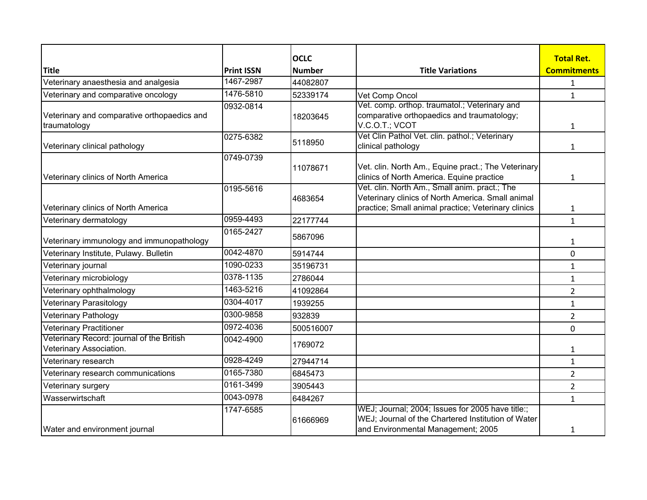|                                                                      |                   | <b>OCLC</b>   |                                                                                                                                                           | <b>Total Ret.</b>  |
|----------------------------------------------------------------------|-------------------|---------------|-----------------------------------------------------------------------------------------------------------------------------------------------------------|--------------------|
| <b>Title</b>                                                         | <b>Print ISSN</b> | <b>Number</b> | <b>Title Variations</b>                                                                                                                                   | <b>Commitments</b> |
| Veterinary anaesthesia and analgesia                                 | 1467-2987         | 44082807      |                                                                                                                                                           | 1                  |
| Veterinary and comparative oncology                                  | 1476-5810         | 52339174      | Vet Comp Oncol                                                                                                                                            | $\mathbf{1}$       |
| Veterinary and comparative orthopaedics and<br>traumatology          | 0932-0814         | 18203645      | Vet. comp. orthop. traumatol.; Veterinary and<br>comparative orthopaedics and traumatology;<br>V.C.O.T.; VCOT                                             | 1                  |
| Veterinary clinical pathology                                        | 0275-6382         | 5118950       | Vet Clin Pathol Vet. clin. pathol.; Veterinary<br>clinical pathology                                                                                      | 1                  |
| Veterinary clinics of North America                                  | 0749-0739         | 11078671      | Vet. clin. North Am., Equine pract.; The Veterinary<br>clinics of North America. Equine practice                                                          | 1                  |
| Veterinary clinics of North America                                  | 0195-5616         | 4683654       | Vet. clin. North Am., Small anim. pract.; The<br>Veterinary clinics of North America. Small animal<br>practice; Small animal practice; Veterinary clinics | $\mathbf{1}$       |
| Veterinary dermatology                                               | 0959-4493         | 22177744      |                                                                                                                                                           | $\mathbf{1}$       |
| Veterinary immunology and immunopathology                            | 0165-2427         | 5867096       |                                                                                                                                                           | 1                  |
| Veterinary Institute, Pulawy. Bulletin                               | 0042-4870         | 5914744       |                                                                                                                                                           | 0                  |
| Veterinary journal                                                   | 1090-0233         | 35196731      |                                                                                                                                                           | $\mathbf{1}$       |
| Veterinary microbiology                                              | 0378-1135         | 2786044       |                                                                                                                                                           | $\mathbf{1}$       |
| Veterinary ophthalmology                                             | 1463-5216         | 41092864      |                                                                                                                                                           | $\overline{2}$     |
| Veterinary Parasitology                                              | 0304-4017         | 1939255       |                                                                                                                                                           | 1                  |
| Veterinary Pathology                                                 | 0300-9858         | 932839        |                                                                                                                                                           | 2                  |
| Veterinary Practitioner                                              | 0972-4036         | 500516007     |                                                                                                                                                           | $\mathbf 0$        |
| Veterinary Record: journal of the British<br>Veterinary Association. | 0042-4900         | 1769072       |                                                                                                                                                           | 1                  |
| Veterinary research                                                  | 0928-4249         | 27944714      |                                                                                                                                                           | $\mathbf{1}$       |
| Veterinary research communications                                   | 0165-7380         | 6845473       |                                                                                                                                                           | $\overline{2}$     |
| Veterinary surgery                                                   | 0161-3499         | 3905443       |                                                                                                                                                           | $\overline{2}$     |
| Wasserwirtschaft                                                     | 0043-0978         | 6484267       |                                                                                                                                                           | $\mathbf{1}$       |
| Water and environment journal                                        | 1747-6585         | 61666969      | WEJ; Journal; 2004; Issues for 2005 have title:;<br>WEJ; Journal of the Chartered Institution of Water<br>and Environmental Management; 2005              | 1                  |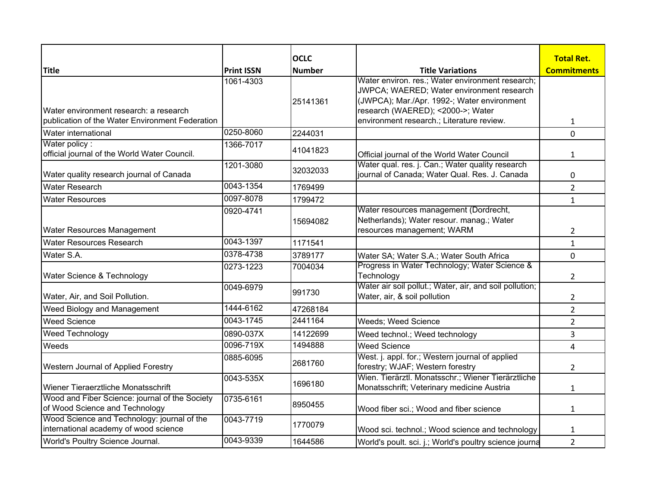|                                                                                           |                   | <b>OCLC</b>   |                                                                                                                                                                                                                                | <b>Total Ret.</b>  |
|-------------------------------------------------------------------------------------------|-------------------|---------------|--------------------------------------------------------------------------------------------------------------------------------------------------------------------------------------------------------------------------------|--------------------|
| <b>Title</b>                                                                              | <b>Print ISSN</b> | <b>Number</b> | <b>Title Variations</b>                                                                                                                                                                                                        | <b>Commitments</b> |
| Water environment research: a research<br>publication of the Water Environment Federation | 1061-4303         | 25141361      | Water environ. res.; Water environment research;<br>JWPCA; WAERED; Water environment research<br>(JWPCA); Mar./Apr. 1992-; Water environment<br>research (WAERED); <2000->; Water<br>environment research.; Literature review. | $\mathbf{1}$       |
| Water international                                                                       | 0250-8060         | 2244031       |                                                                                                                                                                                                                                | 0                  |
| Water policy:<br>official journal of the World Water Council.                             | 1366-7017         | 41041823      | Official journal of the World Water Council                                                                                                                                                                                    | 1                  |
| Water quality research journal of Canada                                                  | 1201-3080         | 32032033      | Water qual. res. j. Can.; Water quality research<br>journal of Canada; Water Qual. Res. J. Canada                                                                                                                              | 0                  |
| <b>Water Research</b>                                                                     | 0043-1354         | 1769499       |                                                                                                                                                                                                                                | $\overline{2}$     |
| <b>Water Resources</b>                                                                    | 0097-8078         | 1799472       |                                                                                                                                                                                                                                | $\mathbf{1}$       |
| Water Resources Management                                                                | 0920-4741         | 15694082      | Water resources management (Dordrecht,<br>Netherlands); Water resour. manag.; Water<br>resources management; WARM                                                                                                              | $\overline{2}$     |
| Water Resources Research                                                                  | 0043-1397         | 1171541       |                                                                                                                                                                                                                                | $\mathbf{1}$       |
| Water S.A.                                                                                | 0378-4738         | 3789177       | Water SA; Water S.A.; Water South Africa                                                                                                                                                                                       | 0                  |
| Water Science & Technology                                                                | 0273-1223         | 7004034       | Progress in Water Technology; Water Science &<br>Technology                                                                                                                                                                    | $\overline{2}$     |
| Water, Air, and Soil Pollution.                                                           | 0049-6979         | 991730        | Water air soil pollut.; Water, air, and soil pollution;<br>Water, air, & soil pollution                                                                                                                                        | $\overline{2}$     |
| Weed Biology and Management                                                               | 1444-6162         | 47268184      |                                                                                                                                                                                                                                | $\overline{2}$     |
| <b>Weed Science</b>                                                                       | 0043-1745         | 2441164       | Weeds; Weed Science                                                                                                                                                                                                            | $\overline{2}$     |
| Weed Technology                                                                           | 0890-037X         | 14122699      | Weed technol.; Weed technology                                                                                                                                                                                                 | 3                  |
| Weeds                                                                                     | 0096-719X         | 1494888       | <b>Weed Science</b>                                                                                                                                                                                                            | 4                  |
| Western Journal of Applied Forestry                                                       | 0885-6095         | 2681760       | West. j. appl. for.; Western journal of applied<br>forestry; WJAF; Western forestry                                                                                                                                            | $\overline{2}$     |
| Wiener Tieraerztliche Monatsschrift                                                       | 0043-535X         | 1696180       | Wien. Tierärztl. Monatsschr.; Wiener Tierärztliche<br>Monatsschrift; Veterinary medicine Austria                                                                                                                               | $\mathbf{1}$       |
| Wood and Fiber Science: journal of the Society<br>of Wood Science and Technology          | 0735-6161         | 8950455       | Wood fiber sci.; Wood and fiber science                                                                                                                                                                                        | 1                  |
| Wood Science and Technology: journal of the<br>international academy of wood science      | 0043-7719         | 1770079       | Wood sci. technol.; Wood science and technology                                                                                                                                                                                | 1                  |
| World's Poultry Science Journal.                                                          | 0043-9339         | 1644586       | World's poult. sci. j.; World's poultry science journa                                                                                                                                                                         | $\overline{2}$     |